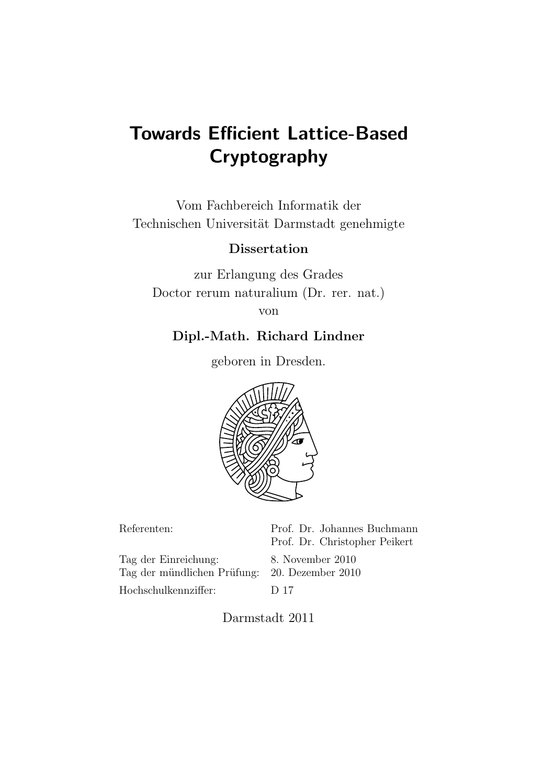# Towards Efficient Lattice-Based Cryptography

Vom Fachbereich Informatik der Technischen Universität Darmstadt genehmigte

## Dissertation

zur Erlangung des Grades Doctor rerum naturalium (Dr. rer. nat.) von

## Dipl.-Math. Richard Lindner

geboren in Dresden.



| Referenten:                                                           | Prof. Dr. Johannes Buchmann<br>Prof. Dr. Christopher Peikert |
|-----------------------------------------------------------------------|--------------------------------------------------------------|
| Tag der Einreichung:<br>Tag der mündlichen Prüfung: 20. Dezember 2010 | 8. November 2010                                             |
| Hochschulkennziffer:                                                  | D 17                                                         |

Darmstadt 2011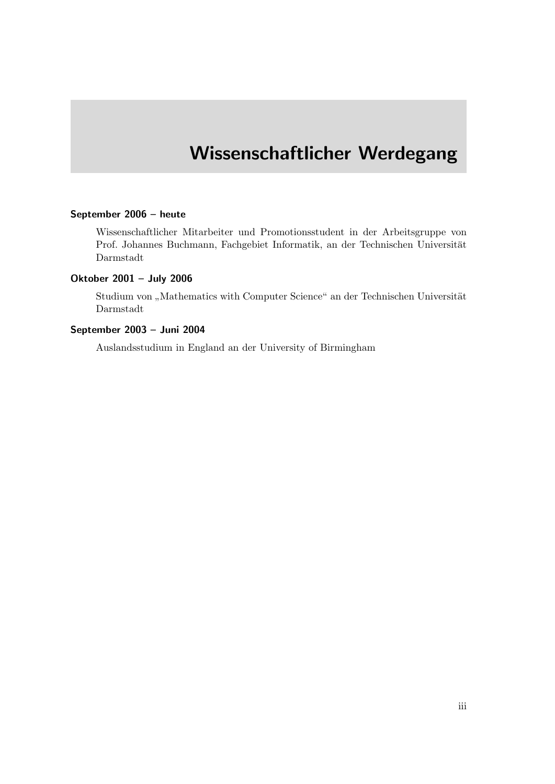## Wissenschaftlicher Werdegang

#### September 2006 – heute

Wissenschaftlicher Mitarbeiter und Promotionsstudent in der Arbeitsgruppe von Prof. Johannes Buchmann, Fachgebiet Informatik, an der Technischen Universität Darmstadt

### Oktober 2001 – July 2006

Studium von "Mathematics with Computer Science" an der Technischen Universität Darmstadt

#### September 2003 – Juni 2004

Auslandsstudium in England an der University of Birmingham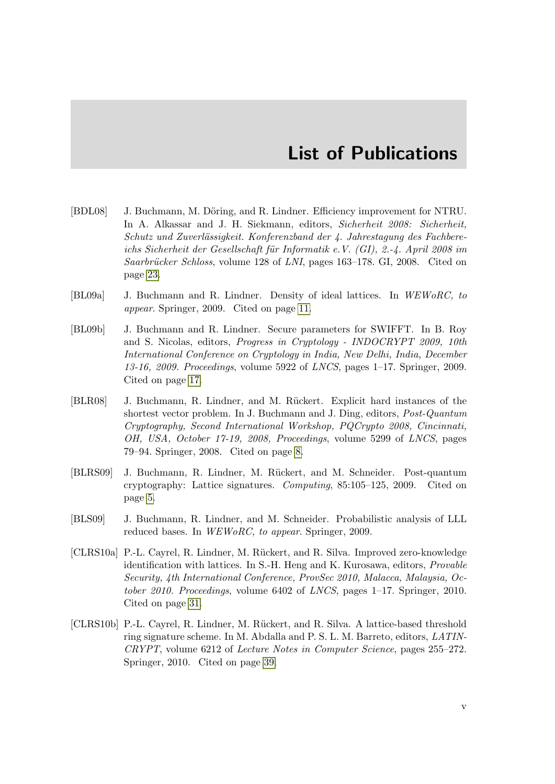## List of Publications

- [BDL08] J. Buchmann, M. Döring, and R. Lindner. Efficiency improvement for NTRU. In A. Alkassar and J. H. Siekmann, editors, Sicherheit 2008: Sicherheit,  $Schutz$  und Zuverlässigkeit. Konferenzband der 4. Jahrestagung des Fachbereichs Sicherheit der Gesellschaft für Informatik e.V. (GI), 2.-4. April 2008 im Saarbrücker Schloss, volume 128 of LNI, pages 163–178. GI, 2008. Cited on page [23.](#page-36-0)
- <span id="page-4-2"></span>[BL09a] J. Buchmann and R. Lindner. Density of ideal lattices. In WEWoRC, to appear. Springer, 2009. Cited on page [11.](#page-24-0)
- <span id="page-4-3"></span>[BL09b] J. Buchmann and R. Lindner. Secure parameters for SWIFFT. In B. Roy and S. Nicolas, editors, Progress in Cryptology - INDOCRYPT 2009, 10th International Conference on Cryptology in India, New Delhi, India, December 13-16, 2009. Proceedings, volume 5922 of LNCS, pages  $1-17$ . Springer, 2009. Cited on page [17.](#page-30-0)
- <span id="page-4-1"></span>[BLR08] J. Buchmann, R. Lindner, and M. Rückert. Explicit hard instances of the shortest vector problem. In J. Buchmann and J. Ding, editors, Post-Quantum Cryptography, Second International Workshop, PQCrypto 2008, Cincinnati, OH, USA, October 17-19, 2008, Proceedings, volume 5299 of LNCS, pages 79–94. Springer, 2008. Cited on page [8.](#page-21-0)
- <span id="page-4-0"></span>[BLRS09] J. Buchmann, R. Lindner, M. R¨uckert, and M. Schneider. Post-quantum cryptography: Lattice signatures. Computing, 85:105–125, 2009. Cited on page [5.](#page-18-0)
- [BLS09] J. Buchmann, R. Lindner, and M. Schneider. Probabilistic analysis of LLL reduced bases. In WEWoRC, to appear. Springer, 2009.
- [CLRS10a] P.-L. Cayrel, R. Lindner, M. Rückert, and R. Silva. Improved zero-knowledge identification with lattices. In S.-H. Heng and K. Kurosawa, editors, Provable Security, 4th International Conference, ProvSec 2010, Malacca, Malaysia, October 2010. Proceedings, volume 6402 of LNCS, pages 1–17. Springer, 2010. Cited on page [31.](#page-44-0)
- [CLRS10b] P.-L. Cayrel, R. Lindner, M. Rückert, and R. Silva. A lattice-based threshold ring signature scheme. In M. Abdalla and P. S. L. M. Barreto, editors, LATIN-CRYPT, volume 6212 of Lecture Notes in Computer Science, pages 255–272. Springer, 2010. Cited on page [39.](#page-52-0)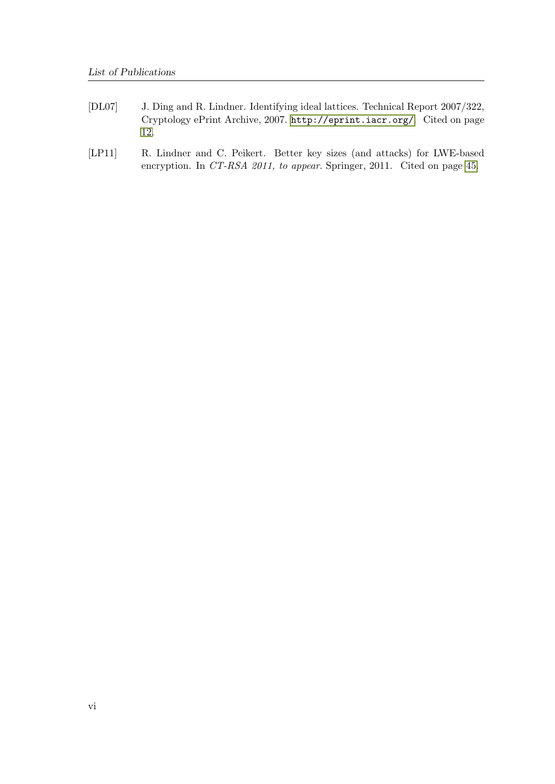- <span id="page-5-0"></span>[DL07] J. Ding and R. Lindner. Identifying ideal lattices. Technical Report 2007/322, Cryptology ePrint Archive, 2007. <http://eprint.iacr.org/>. Cited on page [12.](#page-25-0)
- [LP11] R. Lindner and C. Peikert. Better key sizes (and attacks) for LWE-based encryption. In CT-RSA 2011, to appear. Springer, 2011. Cited on page [45.](#page-58-0)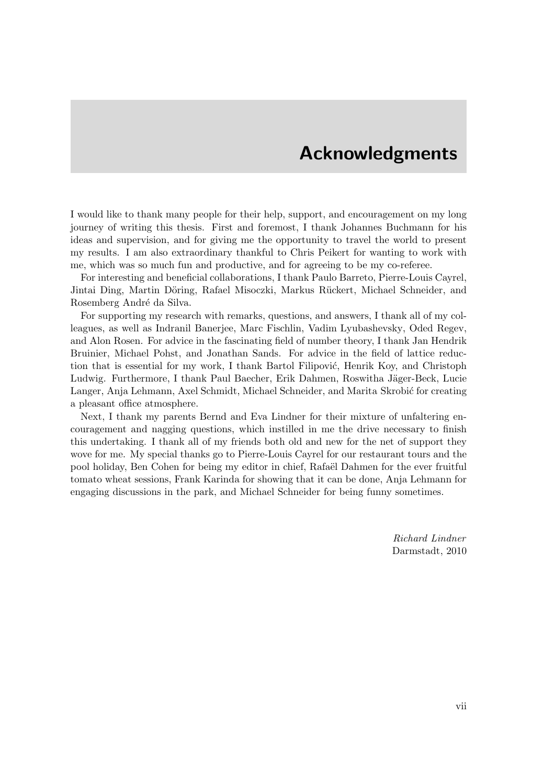## Acknowledgments

I would like to thank many people for their help, support, and encouragement on my long journey of writing this thesis. First and foremost, I thank Johannes Buchmann for his ideas and supervision, and for giving me the opportunity to travel the world to present my results. I am also extraordinary thankful to Chris Peikert for wanting to work with me, which was so much fun and productive, and for agreeing to be my co-referee.

For interesting and beneficial collaborations, I thank Paulo Barreto, Pierre-Louis Cayrel, Jintai Ding, Martin Döring, Rafael Misoczki, Markus Rückert, Michael Schneider, and Rosemberg André da Silva.

For supporting my research with remarks, questions, and answers, I thank all of my colleagues, as well as Indranil Banerjee, Marc Fischlin, Vadim Lyubashevsky, Oded Regev, and Alon Rosen. For advice in the fascinating field of number theory, I thank Jan Hendrik Bruinier, Michael Pohst, and Jonathan Sands. For advice in the field of lattice reduction that is essential for my work, I thank Bartol Filipović, Henrik Koy, and Christoph Ludwig. Furthermore, I thank Paul Baecher, Erik Dahmen, Roswitha Jäger-Beck, Lucie Langer, Anja Lehmann, Axel Schmidt, Michael Schneider, and Marita Skrobić for creating a pleasant office atmosphere.

Next, I thank my parents Bernd and Eva Lindner for their mixture of unfaltering encouragement and nagging questions, which instilled in me the drive necessary to finish this undertaking. I thank all of my friends both old and new for the net of support they wove for me. My special thanks go to Pierre-Louis Cayrel for our restaurant tours and the pool holiday, Ben Cohen for being my editor in chief, Rafaël Dahmen for the ever fruitful tomato wheat sessions, Frank Karinda for showing that it can be done, Anja Lehmann for engaging discussions in the park, and Michael Schneider for being funny sometimes.

> Richard Lindner Darmstadt, 2010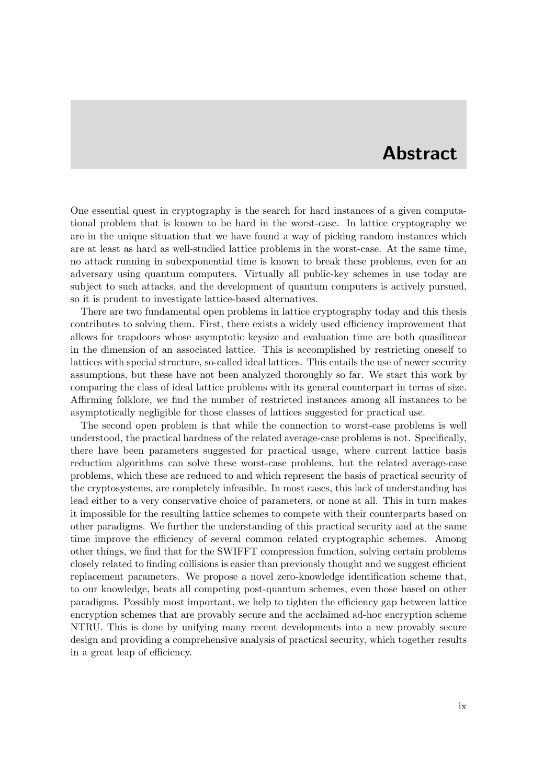## Abstract

One essential quest in cryptography is the search for hard instances of a given computational problem that is known to be hard in the worst-case. In lattice cryptography we are in the unique situation that we have found a way of picking random instances which are at least as hard as well-studied lattice problems in the worst-case. At the same time, no attack running in subexponential time is known to break these problems, even for an adversary using quantum computers. Virtually all public-key schemes in use today are subject to such attacks, and the development of quantum computers is actively pursued, so it is prudent to investigate lattice-based alternatives.

There are two fundamental open problems in lattice cryptography today and this thesis contributes to solving them. First, there exists a widely used efficiency improvement that allows for trapdoors whose asymptotic keysize and evaluation time are both quasilinear in the dimension of an associated lattice. This is accomplished by restricting oneself to lattices with special structure, so-called ideal lattices. This entails the use of newer security assumptions, but these have not been analyzed thoroughly so far. We start this work by comparing the class of ideal lattice problems with its general counterpart in terms of size. Affirming folklore, we find the number of restricted instances among all instances to be asymptotically negligible for those classes of lattices suggested for practical use.

The second open problem is that while the connection to worst-case problems is well understood, the practical hardness of the related average-case problems is not. Specifically, there have been parameters suggested for practical usage, where current lattice basis reduction algorithms can solve these worst-case problems, but the related average-case problems, which these are reduced to and which represent the basis of practical security of the cryptosystems, are completely infeasible. In most cases, this lack of understanding has lead either to a very conservative choice of parameters, or none at all. This in turn makes it impossible for the resulting lattice schemes to compete with their counterparts based on other paradigms. We further the understanding of this practical security and at the same time improve the efficiency of several common related cryptographic schemes. Among other things, we find that for the SWIFFT compression function, solving certain problems closely related to finding collisions is easier than previously thought and we suggest efficient replacement parameters. We propose a novel zero-knowledge identification scheme that, to our knowledge, beats all competing post-quantum schemes, even those based on other paradigms. Possibly most important, we help to tighten the efficiency gap between lattice encryption schemes that are provably secure and the acclaimed ad-hoc encryption scheme NTRU. This is done by unifying many recent developments into a new provably secure design and providing a comprehensive analysis of practical security, which together results in a great leap of efficiency.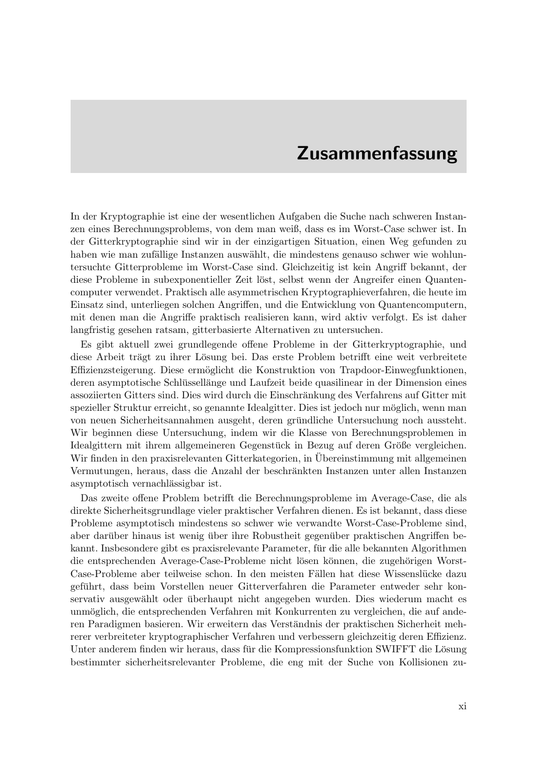## Zusammenfassung

In der Kryptographie ist eine der wesentlichen Aufgaben die Suche nach schweren Instanzen eines Berechnungsproblems, von dem man weiß, dass es im Worst-Case schwer ist. In der Gitterkryptographie sind wir in der einzigartigen Situation, einen Weg gefunden zu haben wie man zufällige Instanzen auswählt, die mindestens genauso schwer wie wohluntersuchte Gitterprobleme im Worst-Case sind. Gleichzeitig ist kein Angriff bekannt, der diese Probleme in subexponentieller Zeit löst, selbst wenn der Angreifer einen Quantencomputer verwendet. Praktisch alle asymmetrischen Kryptographieverfahren, die heute im Einsatz sind, unterliegen solchen Angriffen, und die Entwicklung von Quantencomputern, mit denen man die Angriffe praktisch realisieren kann, wird aktiv verfolgt. Es ist daher langfristig gesehen ratsam, gitterbasierte Alternativen zu untersuchen.

Es gibt aktuell zwei grundlegende offene Probleme in der Gitterkryptographie, und diese Arbeit trägt zu ihrer Lösung bei. Das erste Problem betrifft eine weit verbreitete Effizienzsteigerung. Diese ermöglicht die Konstruktion von Trapdoor-Einwegfunktionen, deren asymptotische Schlüssellänge und Laufzeit beide quasilinear in der Dimension eines assoziierten Gitters sind. Dies wird durch die Einschränkung des Verfahrens auf Gitter mit spezieller Struktur erreicht, so genannte Idealgitter. Dies ist jedoch nur möglich, wenn man von neuen Sicherheitsannahmen ausgeht, deren gründliche Untersuchung noch aussteht. Wir beginnen diese Untersuchung, indem wir die Klasse von Berechnungsproblemen in Idealgittern mit ihrem allgemeineren Gegenstück in Bezug auf deren Größe vergleichen. Wir finden in den praxisrelevanten Gitterkategorien, in Übereinstimmung mit allgemeinen Vermutungen, heraus, dass die Anzahl der beschränkten Instanzen unter allen Instanzen asymptotisch vernachlässigbar ist.

Das zweite offene Problem betrifft die Berechnungsprobleme im Average-Case, die als direkte Sicherheitsgrundlage vieler praktischer Verfahren dienen. Es ist bekannt, dass diese Probleme asymptotisch mindestens so schwer wie verwandte Worst-Case-Probleme sind, aber darüber hinaus ist wenig über ihre Robustheit gegenüber praktischen Angriffen bekannt. Insbesondere gibt es praxisrelevante Parameter, für die alle bekannten Algorithmen die entsprechenden Average-Case-Probleme nicht lösen können, die zugehörigen Worst-Case-Probleme aber teilweise schon. In den meisten Fällen hat diese Wissenslücke dazu geführt, dass beim Vorstellen neuer Gitterverfahren die Parameter entweder sehr konservativ ausgewählt oder überhaupt nicht angegeben wurden. Dies wiederum macht es unmöglich, die entsprechenden Verfahren mit Konkurrenten zu vergleichen, die auf anderen Paradigmen basieren. Wir erweitern das Verständnis der praktischen Sicherheit mehrerer verbreiteter kryptographischer Verfahren und verbessern gleichzeitig deren Effizienz. Unter anderem finden wir heraus, dass für die Kompressionsfunktion SWIFFT die Lösung bestimmter sicherheitsrelevanter Probleme, die eng mit der Suche von Kollisionen zu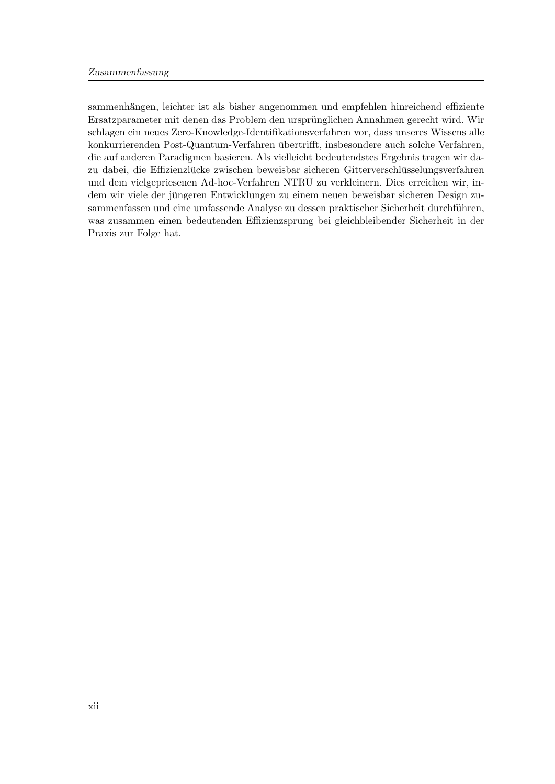sammenhängen, leichter ist als bisher angenommen und empfehlen hinreichend effiziente Ersatzparameter mit denen das Problem den ursprunglichen Annahmen gerecht wird. Wir ¨ schlagen ein neues Zero-Knowledge-Identifikationsverfahren vor, dass unseres Wissens alle konkurrierenden Post-Quantum-Verfahren übertrifft, insbesondere auch solche Verfahren, die auf anderen Paradigmen basieren. Als vielleicht bedeutendstes Ergebnis tragen wir dazu dabei, die Effizienzlücke zwischen beweisbar sicheren Gitterverschlüsselungsverfahren und dem vielgepriesenen Ad-hoc-Verfahren NTRU zu verkleinern. Dies erreichen wir, indem wir viele der jüngeren Entwicklungen zu einem neuen beweisbar sicheren Design zusammenfassen und eine umfassende Analyse zu dessen praktischer Sicherheit durchführen, was zusammen einen bedeutenden Effizienzsprung bei gleichbleibender Sicherheit in der Praxis zur Folge hat.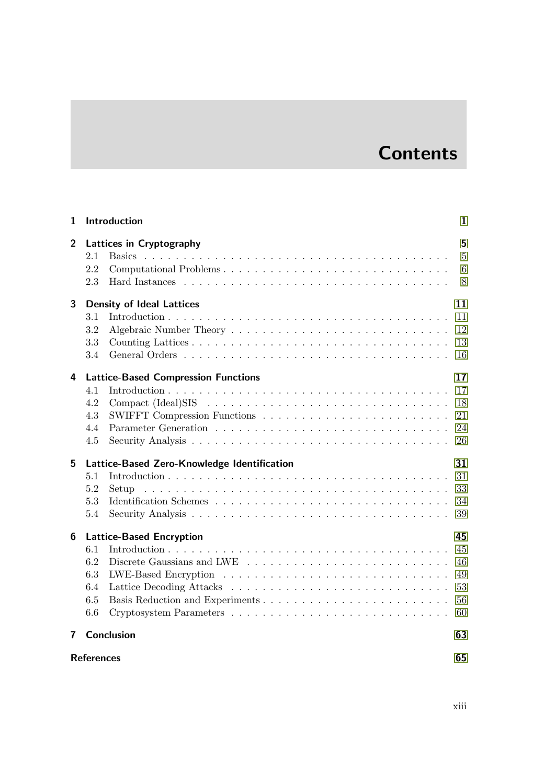# **Contents**

| 1              |                                        | Introduction                                                                                                                                                      | 1                                |  |
|----------------|----------------------------------------|-------------------------------------------------------------------------------------------------------------------------------------------------------------------|----------------------------------|--|
| $\overline{2}$ | 2.1<br>2.2<br>2.3                      | <b>Lattices in Cryptography</b><br>Computational Problems<br>Hard Instances $\ldots \ldots \ldots \ldots \ldots \ldots \ldots \ldots \ldots \ldots \ldots \ldots$ | 5<br>$\overline{5}$<br>6<br>8    |  |
| 3              |                                        | <b>Density of Ideal Lattices</b>                                                                                                                                  | 11                               |  |
|                | 3.1<br>3.2<br>3.3<br>3.4               |                                                                                                                                                                   | 11<br>12<br>13<br>16             |  |
| 4              |                                        | <b>Lattice-Based Compression Functions</b>                                                                                                                        | 17                               |  |
|                | 4.1<br>4.2<br>4.3<br>4.4<br>4.5        |                                                                                                                                                                   | 17<br>18<br>21<br>24<br>26       |  |
| 5              |                                        | Lattice-Based Zero-Knowledge Identification                                                                                                                       | 31                               |  |
|                | 5.1<br>5.2<br>5.3<br>5.4               | Setup                                                                                                                                                             | 31<br>33<br>34<br>39             |  |
| 6              |                                        | <b>Lattice-Based Encryption</b>                                                                                                                                   | 45                               |  |
|                | 6.1<br>6.2<br>6.3<br>6.4<br>6.5<br>6.6 |                                                                                                                                                                   | 45<br>46<br>49<br>53<br>56<br>60 |  |
| 7              |                                        | <b>Conclusion</b>                                                                                                                                                 | 63                               |  |
|                | 65<br><b>References</b>                |                                                                                                                                                                   |                                  |  |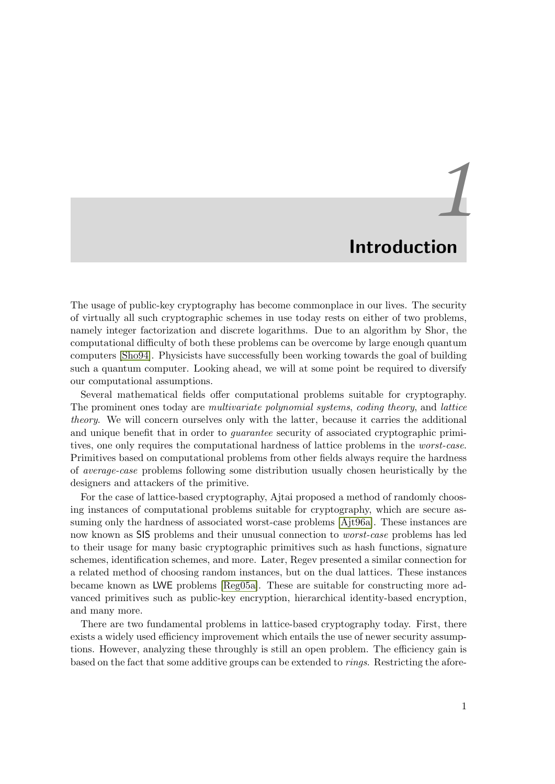# *1* Introduction

<span id="page-14-0"></span>The usage of public-key cryptography has become commonplace in our lives. The security of virtually all such cryptographic schemes in use today rests on either of two problems, namely integer factorization and discrete logarithms. Due to an algorithm by Shor, the computational difficulty of both these problems can be overcome by large enough quantum computers [\[Sho94\]](#page-84-0). Physicists have successfully been working towards the goal of building such a quantum computer. Looking ahead, we will at some point be required to diversify our computational assumptions.

Several mathematical fields offer computational problems suitable for cryptography. The prominent ones today are multivariate polynomial systems, coding theory, and lattice theory. We will concern ourselves only with the latter, because it carries the additional and unique benefit that in order to guarantee security of associated cryptographic primitives, one only requires the computational hardness of lattice problems in the worst-case. Primitives based on computational problems from other fields always require the hardness of average-case problems following some distribution usually chosen heuristically by the designers and attackers of the primitive.

For the case of lattice-based cryptography, Ajtai proposed a method of randomly choosing instances of computational problems suitable for cryptography, which are secure assuming only the hardness of associated worst-case problems [\[Ajt96a\]](#page-78-0). These instances are now known as SIS problems and their unusual connection to worst-case problems has led to their usage for many basic cryptographic primitives such as hash functions, signature schemes, identification schemes, and more. Later, Regev presented a similar connection for a related method of choosing random instances, but on the dual lattices. These instances became known as LWE problems [\[Reg05a\]](#page-83-0). These are suitable for constructing more advanced primitives such as public-key encryption, hierarchical identity-based encryption, and many more.

There are two fundamental problems in lattice-based cryptography today. First, there exists a widely used efficiency improvement which entails the use of newer security assumptions. However, analyzing these throughly is still an open problem. The efficiency gain is based on the fact that some additive groups can be extended to rings. Restricting the afore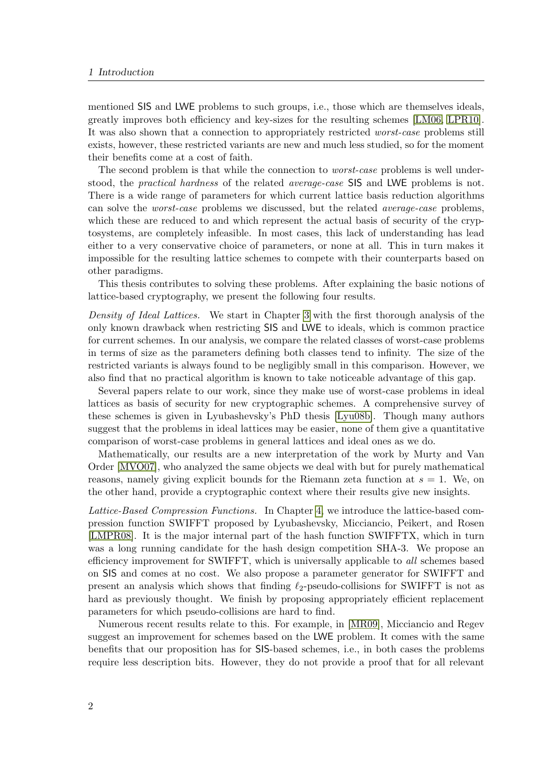mentioned SIS and LWE problems to such groups, i.e., those which are themselves ideals, greatly improves both efficiency and key-sizes for the resulting schemes [\[LM06,](#page-81-0) [LPR10\]](#page-81-1). It was also shown that a connection to appropriately restricted worst-case problems still exists, however, these restricted variants are new and much less studied, so for the moment their benefits come at a cost of faith.

The second problem is that while the connection to *worst-case* problems is well understood, the practical hardness of the related average-case SIS and LWE problems is not. There is a wide range of parameters for which current lattice basis reduction algorithms can solve the worst-case problems we discussed, but the related average-case problems, which these are reduced to and which represent the actual basis of security of the cryptosystems, are completely infeasible. In most cases, this lack of understanding has lead either to a very conservative choice of parameters, or none at all. This in turn makes it impossible for the resulting lattice schemes to compete with their counterparts based on other paradigms.

This thesis contributes to solving these problems. After explaining the basic notions of lattice-based cryptography, we present the following four results.

Density of Ideal Lattices. We start in Chapter [3](#page-24-1) with the first thorough analysis of the only known drawback when restricting SIS and LWE to ideals, which is common practice for current schemes. In our analysis, we compare the related classes of worst-case problems in terms of size as the parameters defining both classes tend to infinity. The size of the restricted variants is always found to be negligibly small in this comparison. However, we also find that no practical algorithm is known to take noticeable advantage of this gap.

Several papers relate to our work, since they make use of worst-case problems in ideal lattices as basis of security for new cryptographic schemes. A comprehensive survey of these schemes is given in Lyubashevsky's PhD thesis [\[Lyu08b\]](#page-82-0). Though many authors suggest that the problems in ideal lattices may be easier, none of them give a quantitative comparison of worst-case problems in general lattices and ideal ones as we do.

Mathematically, our results are a new interpretation of the work by Murty and Van Order [\[MVO07\]](#page-82-1), who analyzed the same objects we deal with but for purely mathematical reasons, namely giving explicit bounds for the Riemann zeta function at  $s = 1$ . We, on the other hand, provide a cryptographic context where their results give new insights.

Lattice-Based Compression Functions. In Chapter [4,](#page-30-1) we introduce the lattice-based compression function SWIFFT proposed by Lyubashevsky, Micciancio, Peikert, and Rosen [\[LMPR08\]](#page-81-2). It is the major internal part of the hash function SWIFFTX, which in turn was a long running candidate for the hash design competition SHA-3. We propose an efficiency improvement for SWIFFT, which is universally applicable to all schemes based on SIS and comes at no cost. We also propose a parameter generator for SWIFFT and present an analysis which shows that finding  $\ell_2$ -pseudo-collisions for SWIFFT is not as hard as previously thought. We finish by proposing appropriately efficient replacement parameters for which pseudo-collisions are hard to find.

Numerous recent results relate to this. For example, in [\[MR09\]](#page-82-2), Micciancio and Regev suggest an improvement for schemes based on the LWE problem. It comes with the same benefits that our proposition has for SIS-based schemes, i.e., in both cases the problems require less description bits. However, they do not provide a proof that for all relevant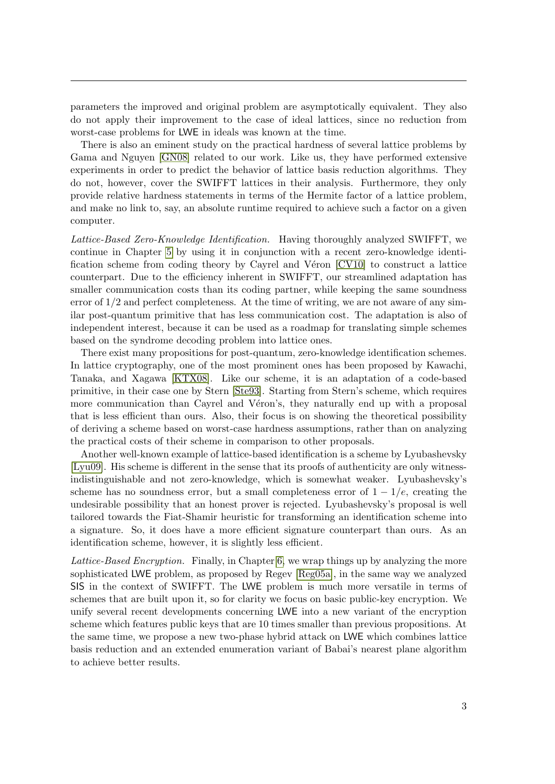parameters the improved and original problem are asymptotically equivalent. They also do not apply their improvement to the case of ideal lattices, since no reduction from worst-case problems for LWE in ideals was known at the time.

There is also an eminent study on the practical hardness of several lattice problems by Gama and Nguyen [\[GN08\]](#page-80-0) related to our work. Like us, they have performed extensive experiments in order to predict the behavior of lattice basis reduction algorithms. They do not, however, cover the SWIFFT lattices in their analysis. Furthermore, they only provide relative hardness statements in terms of the Hermite factor of a lattice problem, and make no link to, say, an absolute runtime required to achieve such a factor on a given computer.

Lattice-Based Zero-Knowledge Identification. Having thoroughly analyzed SWIFFT, we continue in Chapter [5](#page-44-1) by using it in conjunction with a recent zero-knowledge identification scheme from coding theory by Cayrel and Véron  $[CV10]$  to construct a lattice counterpart. Due to the efficiency inherent in SWIFFT, our streamlined adaptation has smaller communication costs than its coding partner, while keeping the same soundness error of  $1/2$  and perfect completeness. At the time of writing, we are not aware of any similar post-quantum primitive that has less communication cost. The adaptation is also of independent interest, because it can be used as a roadmap for translating simple schemes based on the syndrome decoding problem into lattice ones.

There exist many propositions for post-quantum, zero-knowledge identification schemes. In lattice cryptography, one of the most prominent ones has been proposed by Kawachi, Tanaka, and Xagawa [\[KTX08\]](#page-81-3). Like our scheme, it is an adaptation of a code-based primitive, in their case one by Stern [\[Ste93\]](#page-84-1). Starting from Stern's scheme, which requires more communication than Cayrel and Véron's, they naturally end up with a proposal that is less efficient than ours. Also, their focus is on showing the theoretical possibility of deriving a scheme based on worst-case hardness assumptions, rather than on analyzing the practical costs of their scheme in comparison to other proposals.

Another well-known example of lattice-based identification is a scheme by Lyubashevsky [\[Lyu09\]](#page-82-3). His scheme is different in the sense that its proofs of authenticity are only witnessindistinguishable and not zero-knowledge, which is somewhat weaker. Lyubashevsky's scheme has no soundness error, but a small completeness error of  $1 - 1/e$ , creating the undesirable possibility that an honest prover is rejected. Lyubashevsky's proposal is well tailored towards the Fiat-Shamir heuristic for transforming an identification scheme into a signature. So, it does have a more efficient signature counterpart than ours. As an identification scheme, however, it is slightly less efficient.

Lattice-Based Encryption. Finally, in Chapter [6,](#page-58-1) we wrap things up by analyzing the more sophisticated LWE problem, as proposed by Regev [\[Reg05a\]](#page-83-0), in the same way we analyzed SIS in the context of SWIFFT. The LWE problem is much more versatile in terms of schemes that are built upon it, so for clarity we focus on basic public-key encryption. We unify several recent developments concerning LWE into a new variant of the encryption scheme which features public keys that are 10 times smaller than previous propositions. At the same time, we propose a new two-phase hybrid attack on LWE which combines lattice basis reduction and an extended enumeration variant of Babai's nearest plane algorithm to achieve better results.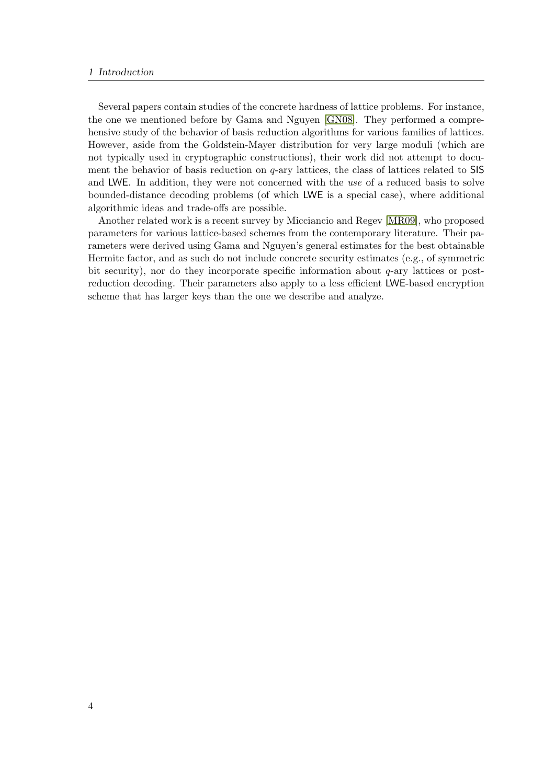#### 1 Introduction

Several papers contain studies of the concrete hardness of lattice problems. For instance, the one we mentioned before by Gama and Nguyen [\[GN08\]](#page-80-0). They performed a comprehensive study of the behavior of basis reduction algorithms for various families of lattices. However, aside from the Goldstein-Mayer distribution for very large moduli (which are not typically used in cryptographic constructions), their work did not attempt to document the behavior of basis reduction on  $q$ -ary lattices, the class of lattices related to SIS and LWE. In addition, they were not concerned with the use of a reduced basis to solve bounded-distance decoding problems (of which LWE is a special case), where additional algorithmic ideas and trade-offs are possible.

Another related work is a recent survey by Micciancio and Regev [\[MR09\]](#page-82-2), who proposed parameters for various lattice-based schemes from the contemporary literature. Their parameters were derived using Gama and Nguyen's general estimates for the best obtainable Hermite factor, and as such do not include concrete security estimates (e.g., of symmetric bit security), nor do they incorporate specific information about  $q$ -ary lattices or postreduction decoding. Their parameters also apply to a less efficient LWE-based encryption scheme that has larger keys than the one we describe and analyze.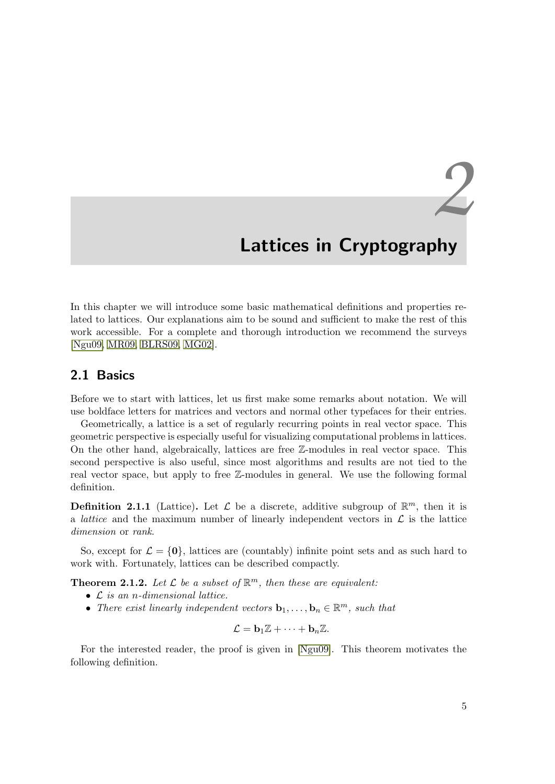# <span id="page-18-1"></span><span id="page-18-0"></span>*2* Lattices in Cryptography

In this chapter we will introduce some basic mathematical definitions and properties related to lattices. Our explanations aim to be sound and sufficient to make the rest of this work accessible. For a complete and thorough introduction we recommend the surveys [\[Ngu09,](#page-83-1) [MR09,](#page-82-2) [BLRS09,](#page-4-0) [MG02\]](#page-82-4).

### <span id="page-18-2"></span>2.1 Basics

Before we to start with lattices, let us first make some remarks about notation. We will use boldface letters for matrices and vectors and normal other typefaces for their entries.

Geometrically, a lattice is a set of regularly recurring points in real vector space. This geometric perspective is especially useful for visualizing computational problems in lattices. On the other hand, algebraically, lattices are free Z-modules in real vector space. This second perspective is also useful, since most algorithms and results are not tied to the real vector space, but apply to free Z-modules in general. We use the following formal definition.

**Definition 2.1.1** (Lattice). Let  $\mathcal{L}$  be a discrete, additive subgroup of  $\mathbb{R}^m$ , then it is a *lattice* and the maximum number of linearly independent vectors in  $\mathcal L$  is the lattice dimension or rank.

So, except for  $\mathcal{L} = \{0\}$ , lattices are (countably) infinite point sets and as such hard to work with. Fortunately, lattices can be described compactly.

**Theorem 2.1.2.** Let  $\mathcal{L}$  be a subset of  $\mathbb{R}^m$ , then these are equivalent:

- $\mathcal L$  is an n-dimensional lattice.
- There exist linearly independent vectors  $\mathbf{b}_1, \ldots, \mathbf{b}_n \in \mathbb{R}^m$ , such that

$$
\mathcal{L} = \mathbf{b}_1 \mathbb{Z} + \cdots + \mathbf{b}_n \mathbb{Z}.
$$

For the interested reader, the proof is given in [\[Ngu09\]](#page-83-1). This theorem motivates the following definition.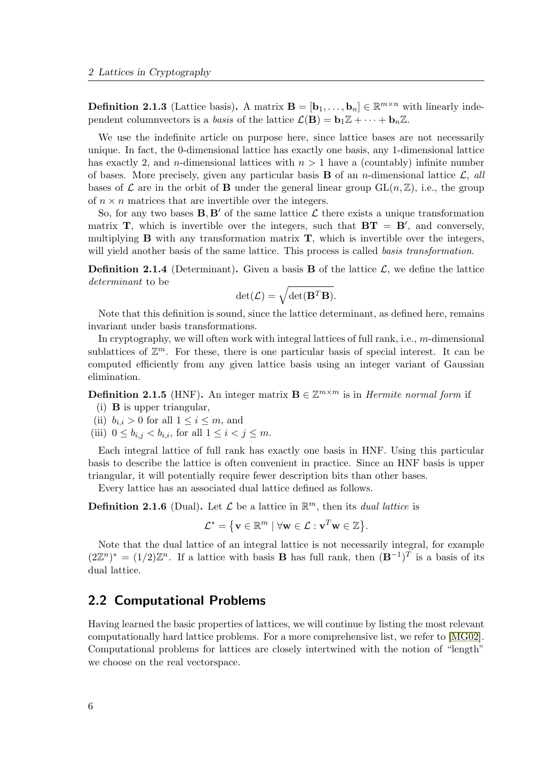**Definition 2.1.3** (Lattice basis). A matrix  $\mathbf{B} = [\mathbf{b}_1, \dots, \mathbf{b}_n] \in \mathbb{R}^{m \times n}$  with linearly independent column vectors is a basis of the lattice  $\mathcal{L}(\mathbf{B}) = \mathbf{b}_1 \mathbb{Z} + \cdots + \mathbf{b}_n \mathbb{Z}$ .

We use the indefinite article on purpose here, since lattice bases are not necessarily unique. In fact, the 0-dimensional lattice has exactly one basis, any 1-dimensional lattice has exactly 2, and n-dimensional lattices with  $n > 1$  have a (countably) infinite number of bases. More precisely, given any particular basis **B** of an *n*-dimensional lattice  $\mathcal{L}$ , all bases of  $\mathcal L$  are in the orbit of **B** under the general linear group  $GL(n,\mathbb Z)$ , i.e., the group of  $n \times n$  matrices that are invertible over the integers.

So, for any two bases  $B, B'$  of the same lattice  $\mathcal L$  there exists a unique transformation matrix **T**, which is invertible over the integers, such that  $BT = B'$ , and conversely, multiplying  $\bf{B}$  with any transformation matrix  $\bf{T}$ , which is invertible over the integers, will yield another basis of the same lattice. This process is called basis transformation.

**Definition 2.1.4** (Determinant). Given a basis **B** of the lattice  $\mathcal{L}$ , we define the lattice determinant to be

$$
\det(\mathcal{L}) = \sqrt{\det(\mathbf{B}^T \mathbf{B})}.
$$

Note that this definition is sound, since the lattice determinant, as defined here, remains invariant under basis transformations.

In cryptography, we will often work with integral lattices of full rank, i.e., m-dimensional sublattices of  $\mathbb{Z}^m$ . For these, there is one particular basis of special interest. It can be computed efficiently from any given lattice basis using an integer variant of Gaussian elimination.

**Definition 2.1.5** (HNF). An integer matrix  $\mathbf{B} \in \mathbb{Z}^{m \times m}$  is in *Hermite normal form* if

- (i) B is upper triangular,
- (ii)  $b_{i,i} > 0$  for all  $1 \leq i \leq m$ , and
- (iii)  $0 \le b_{i,j} < b_{i,i}$ , for all  $1 \le i < j \le m$ .

Each integral lattice of full rank has exactly one basis in HNF. Using this particular basis to describe the lattice is often convenient in practice. Since an HNF basis is upper triangular, it will potentially require fewer description bits than other bases.

Every lattice has an associated dual lattice defined as follows.

**Definition 2.1.6** (Dual). Let  $\mathcal{L}$  be a lattice in  $\mathbb{R}^m$ , then its *dual lattice* is

$$
\mathcal{L}^* = \{ \mathbf{v} \in \mathbb{R}^m \mid \forall \mathbf{w} \in \mathcal{L} : \mathbf{v}^T \mathbf{w} \in \mathbb{Z} \}.
$$

Note that the dual lattice of an integral lattice is not necessarily integral, for example  $(2\mathbb{Z}^n)^* = (1/2)\mathbb{Z}^n$ . If a lattice with basis **B** has full rank, then  $(\mathbf{B}^{-1})^T$  is a basis of its dual lattice.

### <span id="page-19-0"></span>2.2 Computational Problems

Having learned the basic properties of lattices, we will continue by listing the most relevant computationally hard lattice problems. For a more comprehensive list, we refer to [\[MG02\]](#page-82-4). Computational problems for lattices are closely intertwined with the notion of "length" we choose on the real vectorspace.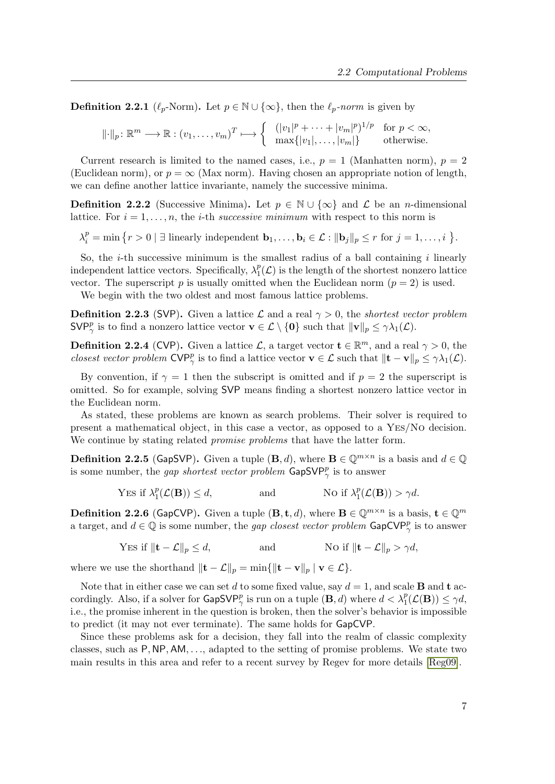**Definition 2.2.1** ( $\ell_p$ -Norm). Let  $p \in \mathbb{N} \cup \{\infty\}$ , then the  $\ell_p\text{-norm}$  is given by

$$
\|\cdot\|_p \colon \mathbb{R}^m \longrightarrow \mathbb{R} : (v_1, \dots, v_m)^T \longmapsto \begin{cases} (|v_1|^p + \dots + |v_m|^p)^{1/p} & \text{for } p < \infty, \\ \max\{|v_1|, \dots, |v_m|\} & \text{otherwise.} \end{cases}
$$

Current research is limited to the named cases, i.e.,  $p = 1$  (Manhatten norm),  $p = 2$ (Euclidean norm), or  $p = \infty$  (Max norm). Having chosen an appropriate notion of length, we can define another lattice invariante, namely the successive minima.

**Definition 2.2.2** (Successive Minima). Let  $p \in \mathbb{N} \cup \{\infty\}$  and  $\mathcal{L}$  be an *n*-dimensional lattice. For  $i = 1, \ldots, n$ , the *i*-th *successive minimum* with respect to this norm is

 $\lambda_i^p = \min \left\{ r > 0 \mid \exists \text{ linearly independent } \mathbf{b}_1, \ldots, \mathbf{b}_i \in \mathcal{L} : ||\mathbf{b}_j||_p \leq r \text{ for } j = 1, \ldots, i \right\}.$ 

So, the  $i$ -th successive minimum is the smallest radius of a ball containing  $i$  linearly independent lattice vectors. Specifically,  $\lambda_1^p$  $_{1}^{p}(\mathcal{L})$  is the length of the shortest nonzero lattice vector. The superscript p is usually omitted when the Euclidean norm  $(p = 2)$  is used.

We begin with the two oldest and most famous lattice problems.

**Definition 2.2.3** (SVP). Given a lattice L and a real  $\gamma > 0$ , the *shortest vector problem*  $\mathsf{SVP}^p_\gamma$  is to find a nonzero lattice vector  $\mathbf{v} \in \mathcal{L} \setminus \{\mathbf{0}\}\$  such that  $\|\mathbf{v}\|_p \leq \gamma \lambda_1(\mathcal{L})$ .

**Definition 2.2.4** (CVP). Given a lattice  $\mathcal{L}$ , a target vector  $\mathbf{t} \in \mathbb{R}^m$ , and a real  $\gamma > 0$ , the closest vector problem  $\text{CVP}^p_\gamma$  is to find a lattice vector  $\mathbf{v} \in \mathcal{L}$  such that  $\|\mathbf{t} - \mathbf{v}\|_p \leq \gamma \lambda_1(\mathcal{L})$ .

By convention, if  $\gamma = 1$  then the subscript is omitted and if  $p = 2$  the superscript is omitted. So for example, solving SVP means finding a shortest nonzero lattice vector in the Euclidean norm.

As stated, these problems are known as search problems. Their solver is required to present a mathematical object, in this case a vector, as opposed to a Yes/No decision. We continue by stating related *promise problems* that have the latter form.

**Definition 2.2.5** (GapSVP). Given a tuple  $(\mathbf{B}, d)$ , where  $\mathbf{B} \in \mathbb{Q}^{m \times n}$  is a basis and  $d \in \mathbb{Q}$ is some number, the *gap shortest vector problem*  $\textsf{GapSVP}_{\gamma}^p$  is to answer

Yes if 
$$
\lambda_1^p(\mathcal{L}(\mathbf{B})) \le d
$$
, and No if  $\lambda_1^p(\mathcal{L}(\mathbf{B})) > \gamma d$ .

**Definition 2.2.6** (GapCVP). Given a tuple  $(\mathbf{B}, \mathbf{t}, d)$ , where  $\mathbf{B} \in \mathbb{Q}^{m \times n}$  is a basis,  $\mathbf{t} \in \mathbb{Q}^m$ a target, and  $d \in \mathbb{Q}$  is some number, the *gap closest vector problem*  $\mathsf{GapCVP}^p_{\gamma}$  is to answer

Yes if 
$$
\|\mathbf{t} - \mathcal{L}\|_p \le d
$$
, and No if  $\|\mathbf{t} - \mathcal{L}\|_p > \gamma d$ ,

where we use the shorthand  $\|\mathbf{t} - \mathcal{L}\|_p = \min\{\|\mathbf{t} - \mathbf{v}\|_p \mid \mathbf{v} \in \mathcal{L}\}.$ 

Note that in either case we can set d to some fixed value, say  $d = 1$ , and scale **B** and **t** accordingly. Also, if a solver for  $\mathsf{GapSVP}^p_\gamma$  is run on a tuple  $(\mathbf{B}, d)$  where  $d < \lambda_1^p(\mathcal{L}(\mathbf{B})) \le \gamma d$ , i.e., the promise inherent in the question is broken, then the solver's behavior is impossible to predict (it may not ever terminate). The same holds for GapCVP.

Since these problems ask for a decision, they fall into the realm of classic complexity classes, such as  $P, NP, AM, \ldots$ , adapted to the setting of promise problems. We state two main results in this area and refer to a recent survey by Regev for more details [\[Reg09\]](#page-83-2).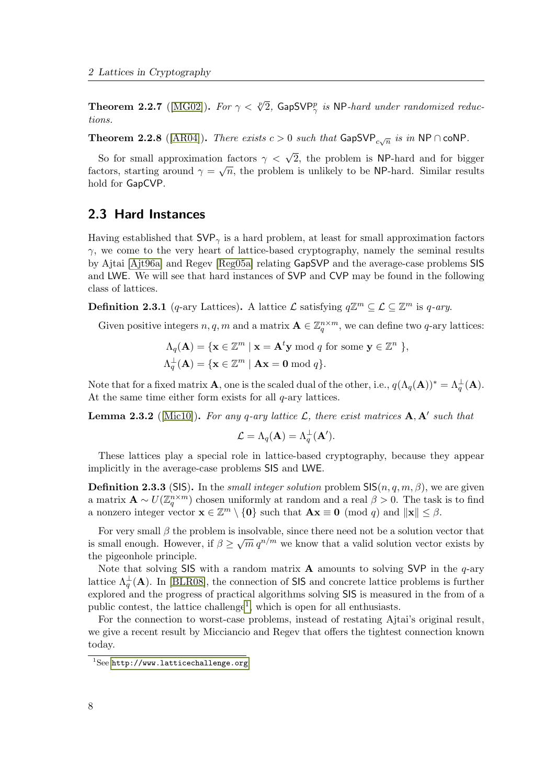<span id="page-21-0"></span>**Theorem 2.2.7** ([\[MG02\]](#page-82-4)). For  $\gamma < \sqrt[p]{2}$ , GapSVP<sub> $\gamma$ </sub> is NP-hard under randomized reductions.

**Theorem 2.2.8** ([\[AR04\]](#page-78-1)). *There exists*  $c > 0$  *such that*  $\mathsf{GapSVP}_{c\sqrt{n}}$  *is in*  $\mathsf{NP} \cap \mathsf{coNP}$ .

So for small approximation factors  $\gamma < \sqrt{2}$ , the problem is NP-hard and for bigger bo for small approximation factors  $\gamma \leq \sqrt{2}$ , the problem is NF-hard and for bigger factors, starting around  $\gamma = \sqrt{n}$ , the problem is unlikely to be NP-hard. Similar results hold for GapCVP.

### <span id="page-21-1"></span>2.3 Hard Instances

Having established that  $SVP_{\gamma}$  is a hard problem, at least for small approximation factors  $\gamma$ , we come to the very heart of lattice-based cryptography, namely the seminal results by Ajtai [\[Ajt96a\]](#page-78-0) and Regev [\[Reg05a\]](#page-83-0) relating GapSVP and the average-case problems SIS and LWE. We will see that hard instances of SVP and CVP may be found in the following class of lattices.

**Definition 2.3.1** (q-ary Lattices). A lattice  $\mathcal{L}$  satisfying  $q\mathbb{Z}^m \subseteq \mathcal{L} \subseteq \mathbb{Z}^m$  is q-ary.

Given positive integers  $n, q, m$  and a matrix  $\mathbf{A} \in \mathbb{Z}_q^{n \times m}$ , we can define two q-ary lattices:

$$
\Lambda_q(\mathbf{A}) = \{ \mathbf{x} \in \mathbb{Z}^m \mid \mathbf{x} = \mathbf{A}^t \mathbf{y} \bmod q \text{ for some } \mathbf{y} \in \mathbb{Z}^n \}
$$
\n
$$
\Lambda_q^\perp(\mathbf{A}) = \{ \mathbf{x} \in \mathbb{Z}^m \mid \mathbf{A} \mathbf{x} = \mathbf{0} \bmod q \}.
$$

Note that for a fixed matrix **A**, one is the scaled dual of the other, i.e.,  $q(\Lambda_q(A))^* = \Lambda_q^{\perp}(A)$ . At the same time either form exists for all  $q$ -ary lattices.

**Lemma 2.3.2** ([\[Mic10\]](#page-82-5)). For any q-ary lattice  $\mathcal{L}$ , there exist matrices  $\mathbf{A}$ ,  $\mathbf{A}'$  such that

$$
\mathcal{L} = \Lambda_q(\mathbf{A}) = \Lambda_q^{\perp}(\mathbf{A}').
$$

These lattices play a special role in lattice-based cryptography, because they appear implicitly in the average-case problems SIS and LWE.

**Definition 2.3.3** (SIS). In the *small integer solution* problem  $\text{SIS}(n, q, m, \beta)$ , we are given a matrix  $\mathbf{A} \sim U(\mathbb{Z}_q^{n \times m})$  chosen uniformly at random and a real  $\beta > 0$ . The task is to find a nonzero integer vector  $\mathbf{x} \in \mathbb{Z}^m \setminus \{\mathbf{0}\}\)$  such that  $\mathbf{A}\mathbf{x} \equiv \mathbf{0} \pmod{q}$  and  $\|\mathbf{x}\| \leq \beta$ .

For very small  $\beta$  the problem is insolvable, since there need not be a solution vector that For very small  $\beta$  the problem is msolvable, since there here not be a solution vector that is small enough. However, if  $\beta \geq \sqrt{m} q^{n/m}$  we know that a valid solution vector exists by the pigeonhole principle.

Note that solving SIS with a random matrix  $A$  amounts to solving SVP in the q-ary lattice  $\Lambda_q^{\perp}({\bf A})$ . In [\[BLR08\]](#page-4-1), the connection of SIS and concrete lattice problems is further explored and the progress of practical algorithms solving SIS is measured in the from of a public contest, the lattice challenge<sup>[1](#page-21-2)</sup>, which is open for all enthusiasts.

For the connection to worst-case problems, instead of restating Ajtai's original result, we give a recent result by Micciancio and Regev that offers the tightest connection known today.

<span id="page-21-2"></span> $1$ See <http://www.latticechallenge.org>.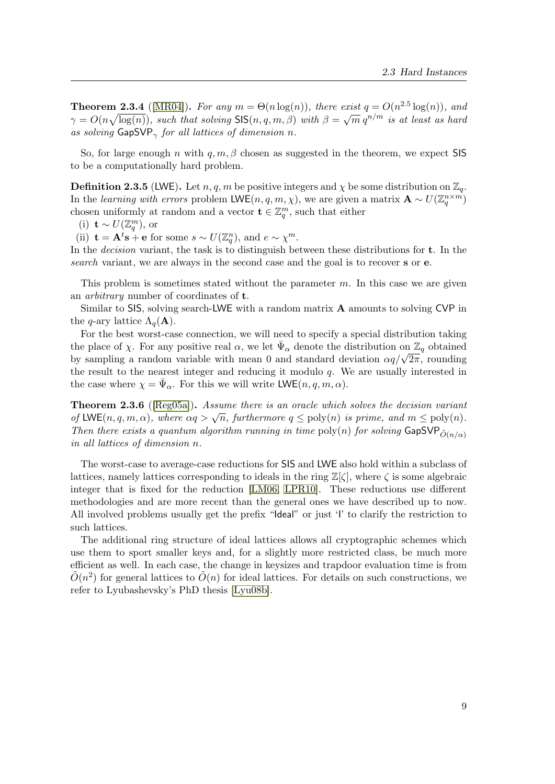**Theorem 2.3.4** ([\[MR04\]](#page-82-6)). For any  $m = \Theta(n \log(n))$ , there exist  $q = O(n^{2.5} \log(n))$ , and **Theorem 2.3.4** ([ $[MH04]$ ). For any  $m = O(n \log(n))$ , there exist  $q = O(n \log(n))$ , and  $\gamma = O(n \sqrt{\log(n)})$ , such that solving SIS $(n, q, m, \beta)$  with  $\beta = \sqrt{m} q^{n/m}$  is at least as hard as solving  $\mathsf{GapSVP}_{\gamma}$  for all lattices of dimension n.

So, for large enough n with  $q, m, \beta$  chosen as suggested in the theorem, we expect SIS to be a computationally hard problem.

**Definition 2.3.5** (LWE). Let  $n, q, m$  be positive integers and  $\chi$  be some distribution on  $\mathbb{Z}_q$ . In the learning with errors problem LWE $(n, q, m, \chi)$ , we are given a matrix  $\mathbf{A} \sim U(\mathbb{Z}_q^{n \times m})$ chosen uniformly at random and a vector  $\mathbf{t} \in \mathbb{Z}_q^m$ , such that either

(i) **t** ~  $U(\mathbb{Z}_q^m)$ , or

(ii)  $\mathbf{t} = \mathbf{A}^t \mathbf{s} + \mathbf{e}$  for some  $s \sim U(\mathbb{Z}_q^n)$ , and  $e \sim \chi^m$ .

In the *decision* variant, the task is to distinguish between these distributions for **t**. In the search variant, we are always in the second case and the goal is to recover s or e.

This problem is sometimes stated without the parameter  $m$ . In this case we are given an arbitrary number of coordinates of t.

Similar to SIS, solving search-LWE with a random matrix A amounts to solving CVP in the q-ary lattice  $\Lambda_q(\mathbf{A})$ .

For the best worst-case connection, we will need to specify a special distribution taking the place of  $\chi$ . For any positive real  $\alpha$ , we let  $\bar{\Psi}_{\alpha}$  denote the distribution on  $\mathbb{Z}_q$  obtained the place of  $\chi$ . For any positive real  $\alpha$ , we let  $\Psi_{\alpha}$  denote the distribution on  $\mathbb{Z}_q$  obtained<br>by sampling a random variable with mean 0 and standard deviation  $\alpha q/\sqrt{2\pi}$ , rounding the result to the nearest integer and reducing it modulo  $q$ . We are usually interested in the case where  $\chi = \bar{\Psi}_{\alpha}$ . For this we will write  $\mathsf{LWE}(n, q, m, \alpha)$ .

Theorem 2.3.6 ([\[Reg05a\]](#page-83-0)). Assume there is an oracle which solves the decision variant **Theorem 2.3.0** ([Regosa]). Assume there is an oracle which solves the decision variant of LWE(n, q, m,  $\alpha$ ), where  $\alpha q > \sqrt{n}$ , furthermore  $q \leq \text{poly}(n)$  is prime, and  $m \leq \text{poly}(n)$ . Then there exists a quantum algorithm running in time  $poly(n)$  for solving  $GapSVP_{\tilde{O}(n/\alpha)}$ in all lattices of dimension n.

The worst-case to average-case reductions for SIS and LWE also hold within a subclass of lattices, namely lattices corresponding to ideals in the ring  $\mathbb{Z}[\zeta]$ , where  $\zeta$  is some algebraic integer that is fixed for the reduction [\[LM06,](#page-81-0) [LPR10\]](#page-81-1). These reductions use different methodologies and are more recent than the general ones we have described up to now. All involved problems usually get the prefix "Ideal" or just 'I' to clarify the restriction to such lattices.

The additional ring structure of ideal lattices allows all cryptographic schemes which use them to sport smaller keys and, for a slightly more restricted class, be much more efficient as well. In each case, the change in keysizes and trapdoor evaluation time is from  $\tilde{O}(n^2)$  for general lattices to  $\tilde{O}(n)$  for ideal lattices. For details on such constructions, we refer to Lyubashevsky's PhD thesis [\[Lyu08b\]](#page-82-0).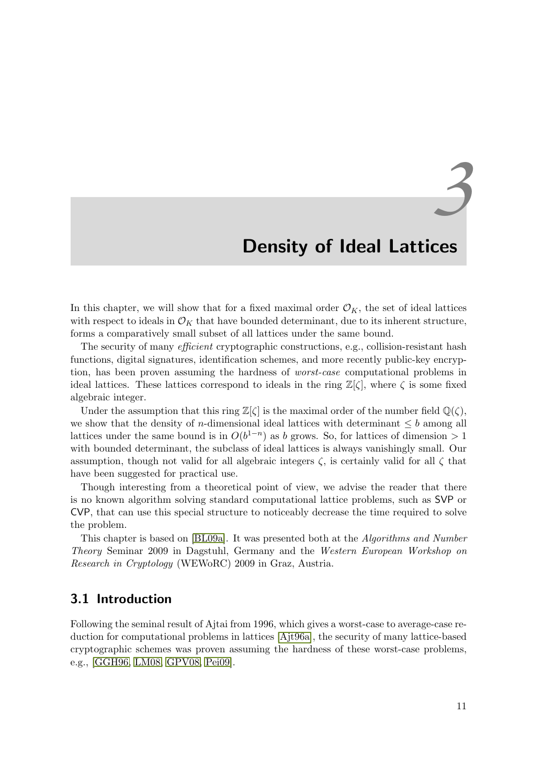# <span id="page-24-1"></span><span id="page-24-0"></span>*3* Density of Ideal Lattices

In this chapter, we will show that for a fixed maximal order  $\mathcal{O}_K$ , the set of ideal lattices with respect to ideals in  $\mathcal{O}_K$  that have bounded determinant, due to its inherent structure, forms a comparatively small subset of all lattices under the same bound.

The security of many *efficient* cryptographic constructions, e.g., collision-resistant hash functions, digital signatures, identification schemes, and more recently public-key encryption, has been proven assuming the hardness of worst-case computational problems in ideal lattices. These lattices correspond to ideals in the ring  $\mathbb{Z}[\zeta]$ , where  $\zeta$  is some fixed algebraic integer.

Under the assumption that this ring  $\mathbb{Z}[\zeta]$  is the maximal order of the number field  $\mathbb{Q}(\zeta)$ , we show that the density of *n*-dimensional ideal lattices with determinant  $\leq b$  among all lattices under the same bound is in  $O(b^{1-n})$  as b grows. So, for lattices of dimension > 1 with bounded determinant, the subclass of ideal lattices is always vanishingly small. Our assumption, though not valid for all algebraic integers  $\zeta$ , is certainly valid for all  $\zeta$  that have been suggested for practical use.

Though interesting from a theoretical point of view, we advise the reader that there is no known algorithm solving standard computational lattice problems, such as SVP or CVP, that can use this special structure to noticeably decrease the time required to solve the problem.

This chapter is based on [\[BL09a\]](#page-4-2). It was presented both at the Algorithms and Number Theory Seminar 2009 in Dagstuhl, Germany and the Western European Workshop on Research in Cryptology (WEWoRC) 2009 in Graz, Austria.

### <span id="page-24-2"></span>3.1 Introduction

Following the seminal result of Ajtai from 1996, which gives a worst-case to average-case reduction for computational problems in lattices [\[Ajt96a\]](#page-78-0), the security of many lattice-based cryptographic schemes was proven assuming the hardness of these worst-case problems, e.g., [\[GGH96,](#page-80-1) [LM08,](#page-81-4) [GPV08,](#page-80-2) [Pei09\]](#page-83-3).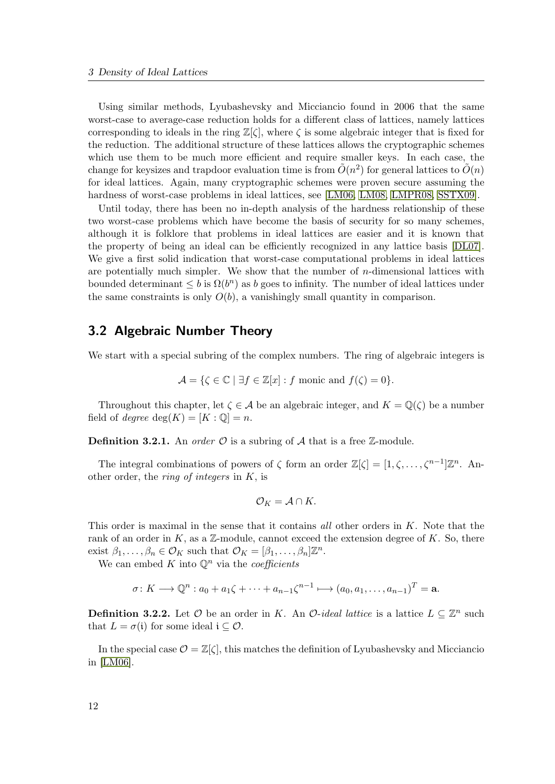<span id="page-25-0"></span>Using similar methods, Lyubashevsky and Micciancio found in 2006 that the same worst-case to average-case reduction holds for a different class of lattices, namely lattices corresponding to ideals in the ring  $\mathbb{Z}[\zeta]$ , where  $\zeta$  is some algebraic integer that is fixed for the reduction. The additional structure of these lattices allows the cryptographic schemes which use them to be much more efficient and require smaller keys. In each case, the change for keysizes and trapdoor evaluation time is from  $\tilde{O}(n^2)$  for general lattices to  $\tilde{O}(n)$ for ideal lattices. Again, many cryptographic schemes were proven secure assuming the hardness of worst-case problems in ideal lattices, see [\[LM06,](#page-81-0) [LM08,](#page-81-4) [LMPR08,](#page-81-2) [SSTX09\]](#page-84-2).

Until today, there has been no in-depth analysis of the hardness relationship of these two worst-case problems which have become the basis of security for so many schemes, although it is folklore that problems in ideal lattices are easier and it is known that the property of being an ideal can be efficiently recognized in any lattice basis [\[DL07\]](#page-5-0). We give a first solid indication that worst-case computational problems in ideal lattices are potentially much simpler. We show that the number of  $n$ -dimensional lattices with bounded determinant  $\leq b$  is  $\Omega(b^n)$  as b goes to infinity. The number of ideal lattices under the same constraints is only  $O(b)$ , a vanishingly small quantity in comparison.

### <span id="page-25-1"></span>3.2 Algebraic Number Theory

We start with a special subring of the complex numbers. The ring of algebraic integers is

$$
\mathcal{A} = \{ \zeta \in \mathbb{C} \mid \exists f \in \mathbb{Z}[x] : f \text{ monic and } f(\zeta) = 0 \}.
$$

Throughout this chapter, let  $\zeta \in A$  be an algebraic integer, and  $K = \mathbb{Q}(\zeta)$  be a number field of *degree* deg $(K) = [K : \mathbb{Q}] = n$ .

**Definition 3.2.1.** An *order*  $\mathcal{O}$  is a subring of  $\mathcal{A}$  that is a free  $\mathbb{Z}$ -module.

The integral combinations of powers of  $\zeta$  form an order  $\mathbb{Z}[\zeta] = [1, \zeta, \ldots, \zeta^{n-1}]\mathbb{Z}^n$ . Another order, the *ring of integers* in  $K$ , is

$$
\mathcal{O}_K=\mathcal{A}\cap K.
$$

This order is maximal in the sense that it contains all other orders in  $K$ . Note that the rank of an order in  $K$ , as a  $\mathbb{Z}$ -module, cannot exceed the extension degree of  $K$ . So, there exist  $\beta_1, \ldots, \beta_n \in \mathcal{O}_K$  such that  $\mathcal{O}_K = [\beta_1, \ldots, \beta_n] \mathbb{Z}^n$ .

We can embed K into  $\mathbb{Q}^n$  via the *coefficients* 

$$
\sigma \colon K \longrightarrow \mathbb{Q}^n : a_0 + a_1 \zeta + \dots + a_{n-1} \zeta^{n-1} \longmapsto (a_0, a_1, \dots, a_{n-1})^T = \mathbf{a}.
$$

**Definition 3.2.2.** Let  $\mathcal O$  be an order in K. An  $\mathcal O$ -ideal lattice is a lattice  $L \subseteq \mathbb Z^n$  such that  $L = \sigma(i)$  for some ideal  $i \subseteq \mathcal{O}$ .

In the special case  $\mathcal{O} = \mathbb{Z}[\zeta]$ , this matches the definition of Lyubashevsky and Micciancio in [\[LM06\]](#page-81-0).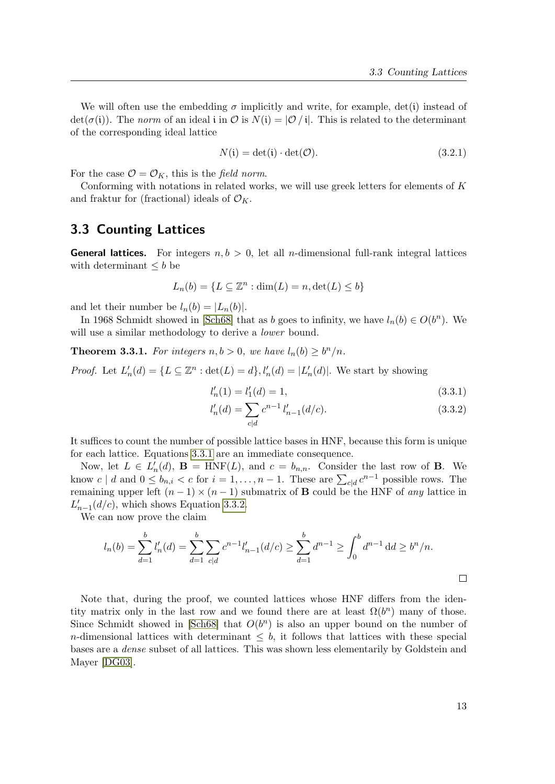We will often use the embedding  $\sigma$  implicitly and write, for example, det(i) instead of  $\det(\sigma(i))$ . The norm of an ideal i in  $\mathcal O$  is  $N(i) = |\mathcal O / i|$ . This is related to the determinant of the corresponding ideal lattice

$$
N(i) = \det(i) \cdot \det(\mathcal{O}).\tag{3.2.1}
$$

For the case  $\mathcal{O} = \mathcal{O}_K$ , this is the field norm.

Conforming with notations in related works, we will use greek letters for elements of K and fraktur for (fractional) ideals of  $\mathcal{O}_K$ .

### <span id="page-26-0"></span>3.3 Counting Lattices

**General lattices.** For integers  $n, b > 0$ , let all *n*-dimensional full-rank integral lattices with determinant  $\leq b$  be

$$
L_n(b) = \{ L \subseteq \mathbb{Z}^n : \dim(L) = n, \det(L) \le b \}
$$

and let their number be  $l_n(b) = |L_n(b)|$ .

In 1968 Schmidt showed in [\[Sch68\]](#page-84-3) that as b goes to infinity, we have  $l_n(b) \in O(b^n)$ . We will use a similar methodology to derive a *lower* bound.

<span id="page-26-3"></span>**Theorem 3.3.1.** For integers  $n, b > 0$ , we have  $l_n(b) \geq b^n/n$ .

*Proof.* Let  $L'_n(d) = \{L \subseteq \mathbb{Z}^n : \det(L) = d\}, l'_n(d) = |L'_n(d)|$ . We start by showing

<span id="page-26-1"></span>
$$
l'_n(1) = l'_1(d) = 1,\t\t(3.3.1)
$$

<span id="page-26-2"></span>
$$
l'_n(d) = \sum_{c|d} c^{n-1} l'_{n-1}(d/c).
$$
 (3.3.2)

It suffices to count the number of possible lattice bases in HNF, because this form is unique for each lattice. Equations [3.3.1](#page-26-1) are an immediate consequence.

Now, let  $L \in L'_n(d)$ ,  $\mathbf{B} = \text{HNF}(L)$ , and  $c = b_{n,n}$ . Consider the last row of **B**. We know  $c \mid d$  and  $0 \le b_{n,i} < c$  for  $i = 1, \ldots, n-1$ . These are  $\sum_{c \mid d} c^{n-1}$  possible rows. The remaining upper left  $(n-1) \times (n-1)$  submatrix of **B** could be the HNF of any lattice in  $L'_{n-1}(d/c)$ , which shows Equation [3.3.2.](#page-26-2)

We can now prove the claim

$$
l_n(b) = \sum_{d=1}^b l'_n(d) = \sum_{d=1}^b \sum_{c|d} c^{n-1} l'_{n-1}(d/c) \ge \sum_{d=1}^b d^{n-1} \ge \int_0^b d^{n-1} d d \ge b^n/n.
$$

Note that, during the proof, we counted lattices whose HNF differs from the identity matrix only in the last row and we found there are at least  $\Omega(b^n)$  many of those. Since Schmidt showed in [\[Sch68\]](#page-84-3) that  $O(b^n)$  is also an upper bound on the number of n-dimensional lattices with determinant  $\leq b$ , it follows that lattices with these special bases are a dense subset of all lattices. This was shown less elementarily by Goldstein and Mayer [\[DG03\]](#page-80-3).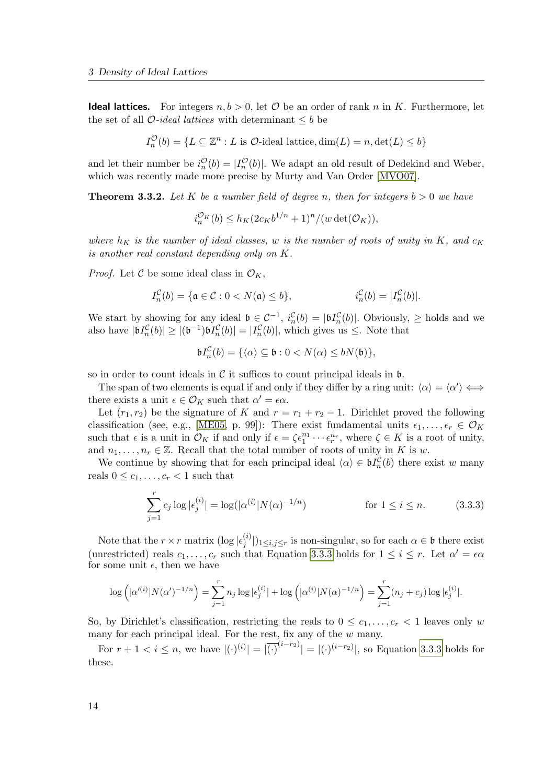**Ideal lattices.** For integers  $n, b > 0$ , let  $\mathcal{O}$  be an order of rank n in K. Furthermore, let the set of all  $\mathcal{O}-ideal$  lattices with determinant  $\leq b$  be

$$
I_n^{\mathcal{O}}(b) = \{ L \subseteq \mathbb{Z}^n : L \text{ is } \mathcal{O}\text{-ideal lattice}, \dim(L) = n, \det(L) \le b \}
$$

and let their number be  $i_n^{\mathcal{O}}(b) = |I_n^{\mathcal{O}}(b)|$ . We adapt an old result of Dedekind and Weber, which was recently made more precise by Murty and Van Order [\[MVO07\]](#page-82-1).

**Theorem 3.3.2.** Let K be a number field of degree n, then for integers  $b > 0$  we have

$$
i_n^{\mathcal{O}_K}(b) \le h_K(2c_Kb^{1/n}+1)^n/(w \det(\mathcal{O}_K)),
$$

where  $h_K$  is the number of ideal classes, w is the number of roots of unity in K, and  $c_K$ is another real constant depending only on K.

*Proof.* Let C be some ideal class in  $\mathcal{O}_K$ ,

$$
I_n^{\mathcal{C}}(b) = \{ \mathfrak{a} \in \mathcal{C} : 0 < N(\mathfrak{a}) \le b \}, \qquad \qquad i_n^{\mathcal{C}}(b) = |I_n^{\mathcal{C}}(b)|.
$$

We start by showing for any ideal  $\mathfrak{b} \in \mathcal{C}^{-1}$ ,  $i_n^{\mathcal{C}}(b) = |\mathfrak{b}I_n^{\mathcal{C}}(b)|$ . Obviously,  $\geq$  holds and we also have  $|\mathfrak{b}I_n^{\mathcal{C}}(b)| \geq |(\mathfrak{b}^{-1})\mathfrak{b}I_n^{\mathcal{C}}(b)| = |I_n^{\mathcal{C}}(b)|$ , which gives us  $\leq$ . Note that

<span id="page-27-0"></span>
$$
\mathfrak{b}I_n^{\mathcal{C}}(b) = \{ \langle \alpha \rangle \subseteq \mathfrak{b} : 0 < N(\alpha) \leq bN(\mathfrak{b}) \},
$$

so in order to count ideals in  $\mathcal C$  it suffices to count principal ideals in  $\mathfrak b$ .

The span of two elements is equal if and only if they differ by a ring unit:  $\langle \alpha \rangle = \langle \alpha' \rangle \Longleftrightarrow$ there exists a unit  $\epsilon \in \mathcal{O}_K$  such that  $\alpha' = \epsilon \alpha$ .

Let  $(r_1, r_2)$  be the signature of K and  $r = r_1 + r_2 - 1$ . Dirichlet proved the following classification (see, e.g., [\[ME05,](#page-82-7) p. 99]): There exist fundamental units  $\epsilon_1, \ldots, \epsilon_r \in \mathcal{O}_K$ such that  $\epsilon$  is a unit in  $\mathcal{O}_K$  if and only if  $\epsilon = \zeta \epsilon_1^{n_1} \cdots \epsilon_r^{n_r}$ , where  $\zeta \in K$  is a root of unity, and  $n_1, \ldots, n_r \in \mathbb{Z}$ . Recall that the total number of roots of unity in K is w.

We continue by showing that for each principal ideal  $\langle \alpha \rangle \in \mathfrak{b}I_n^{\mathcal{C}}(b)$  there exist w many reals  $0 \leq c_1, \ldots, c_r < 1$  such that

$$
\sum_{j=1}^{r} c_j \log |\epsilon_j^{(i)}| = \log(|\alpha^{(i)}| N(\alpha)^{-1/n}) \qquad \text{for } 1 \le i \le n. \tag{3.3.3}
$$

Note that the  $r \times r$  matrix  $(\log |\epsilon_i^{(i)})$  $|j^{(i)}|$ <sub>1≤*i*,j≤r</sub> is non-singular, so for each  $\alpha \in \mathfrak{b}$  there exist (unrestricted) reals  $c_1, \ldots, c_r$  such that Equation [3.3.3](#page-27-0) holds for  $1 \leq i \leq r$ . Let  $\alpha' = \epsilon \alpha$ for some unit  $\epsilon$ , then we have

$$
\log \left( |\alpha'^{(i)}| N(\alpha')^{-1/n} \right) = \sum_{j=1}^{r} n_j \log |\epsilon_j^{(i)}| + \log \left( |\alpha^{(i)}| N(\alpha)^{-1/n} \right) = \sum_{j=1}^{r} (n_j + c_j) \log |\epsilon_j^{(i)}|.
$$

So, by Dirichlet's classification, restricting the reals to  $0 \leq c_1, \ldots, c_r < 1$  leaves only w many for each principal ideal. For the rest, fix any of the  $w$  many.

For  $r + 1 < i \le n$ , we have  $|(\cdot)^{(i)}| = |\overline{(\cdot)}^{(i-r_2)}| = |(\cdot)^{(i-r_2)}|$ , so Equation [3.3.3](#page-27-0) holds for these.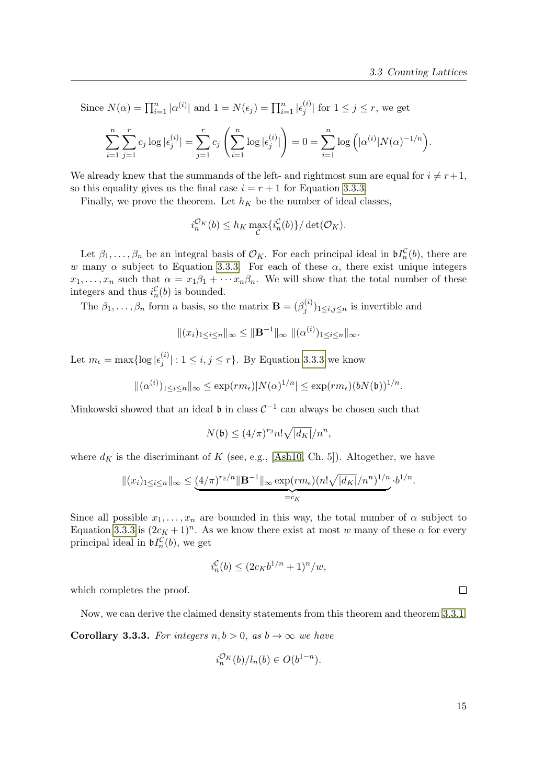Since  $N(\alpha) = \prod_{i=1}^{n} |\alpha^{(i)}|$  and  $1 = N(\epsilon_j) = \prod_{i=1}^{n} |\epsilon_j^{(i)}|$  $\binom{v}{j}$  for  $1 \leq j \leq r$ , we get

$$
\sum_{i=1}^{n} \sum_{j=1}^{r} c_j \log |\epsilon_j^{(i)}| = \sum_{j=1}^{r} c_j \left( \sum_{i=1}^{n} \log |\epsilon_j^{(i)}| \right) = 0 = \sum_{i=1}^{n} \log \left( |\alpha^{(i)}| N(\alpha)^{-1/n} \right).
$$

We already knew that the summands of the left- and rightmost sum are equal for  $i \neq r+1$ , so this equality gives us the final case  $i = r + 1$  for Equation [3.3.3.](#page-27-0)

Finally, we prove the theorem. Let  $h_K$  be the number of ideal classes,

$$
i_n^{\mathcal{O}_K}(b) \le h_K \max_{\mathcal{C}} \{i_n^{\mathcal{C}}(b)\} / \det(\mathcal{O}_K).
$$

Let  $\beta_1,\ldots,\beta_n$  be an integral basis of  $\mathcal{O}_K$ . For each principal ideal in  $\mathfrak{b}I_n^{\mathcal{C}}(b)$ , there are w many  $\alpha$  subject to Equation [3.3.3.](#page-27-0) For each of these  $\alpha$ , there exist unique integers  $x_1, \ldots, x_n$  such that  $\alpha = x_1 \beta_1 + \cdots x_n \beta_n$ . We will show that the total number of these integers and thus  $i_n^{\mathcal{C}}(b)$  is bounded.

The  $\beta_1, \ldots, \beta_n$  form a basis, so the matrix  $\mathbf{B} = (\beta_j^{(i)})$  $(j^{(i)}_j)_{1 \leq i,j \leq n}$  is invertible and

$$
|| (x_i)_{1 \leq i \leq n} ||_{\infty} \leq ||\mathbf{B}^{-1}||_{\infty} ||(\alpha^{(i)})_{1 \leq i \leq n} ||_{\infty}.
$$

Let  $m_{\epsilon} = \max\{\log |\epsilon_j^{(i)}\|$  $|j^{(i)}|: 1 \leq i, j \leq r$ . By Equation [3.3.3](#page-27-0) we know

$$
\|(\alpha^{(i)})_{1\leq i\leq n}\|_{\infty}\leq \exp(r m_{\epsilon})|N(\alpha)^{1/n}|\leq \exp(r m_{\epsilon})(bN(\mathfrak{b}))^{1/n}.
$$

Minkowski showed that an ideal  $\mathfrak b$  in class  $C^{-1}$  can always be chosen such that

$$
N(\mathfrak{b}) \le (4/\pi)^{r_2} n! \sqrt{|d_K|}/n^n,
$$

where  $d_K$  is the discriminant of K (see, e.g., [\[Ash10,](#page-78-2) Ch. 5]). Altogether, we have

$$
||(x_i)_{1\leq i\leq n}||_{\infty} \leq \underbrace{(4/\pi)^{r_2/n}||\mathbf{B}^{-1}||_{\infty} \exp(r m_{\epsilon})(n! \sqrt{|d_K|}/n^n)^{1/n}}_{=c_K} \cdot b^{1/n}.
$$

Since all possible  $x_1, \ldots, x_n$  are bounded in this way, the total number of  $\alpha$  subject to Equation [3.3.3](#page-27-0) is  $(2c_K + 1)^n$ . As we know there exist at most w many of these  $\alpha$  for every principal ideal in  $\mathfrak{b}I_n^{\mathcal{C}}(b)$ , we get

$$
i_n^{\mathcal{C}}(b) \le (2c_K b^{1/n} + 1)^n / w,
$$

which completes the proof.

<span id="page-28-0"></span>Now, we can derive the claimed density statements from this theorem and theorem [3.3.1.](#page-26-3)

**Corollary 3.3.3.** For integers  $n, b > 0$ , as  $b \rightarrow \infty$  we have

$$
i_n^{\mathcal{O}_K}(b)/l_n(b) \in O(b^{1-n}).
$$

 $\Box$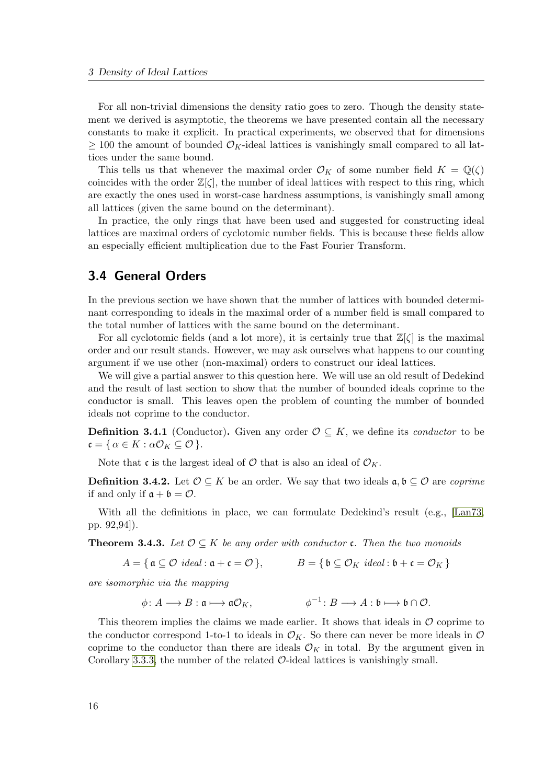For all non-trivial dimensions the density ratio goes to zero. Though the density statement we derived is asymptotic, the theorems we have presented contain all the necessary constants to make it explicit. In practical experiments, we observed that for dimensions  $\geq 100$  the amount of bounded  $\mathcal{O}_K$ -ideal lattices is vanishingly small compared to all lattices under the same bound.

This tells us that whenever the maximal order  $\mathcal{O}_K$  of some number field  $K = \mathbb{Q}(\zeta)$ coincides with the order  $\mathbb{Z}[\zeta]$ , the number of ideal lattices with respect to this ring, which are exactly the ones used in worst-case hardness assumptions, is vanishingly small among all lattices (given the same bound on the determinant).

In practice, the only rings that have been used and suggested for constructing ideal lattices are maximal orders of cyclotomic number fields. This is because these fields allow an especially efficient multiplication due to the Fast Fourier Transform.

### <span id="page-29-0"></span>3.4 General Orders

In the previous section we have shown that the number of lattices with bounded determinant corresponding to ideals in the maximal order of a number field is small compared to the total number of lattices with the same bound on the determinant.

For all cyclotomic fields (and a lot more), it is certainly true that  $\mathbb{Z}[\zeta]$  is the maximal order and our result stands. However, we may ask ourselves what happens to our counting argument if we use other (non-maximal) orders to construct our ideal lattices.

We will give a partial answer to this question here. We will use an old result of Dedekind and the result of last section to show that the number of bounded ideals coprime to the conductor is small. This leaves open the problem of counting the number of bounded ideals not coprime to the conductor.

**Definition 3.4.1** (Conductor). Given any order  $\mathcal{O} \subseteq K$ , we define its *conductor* to be  $\mathfrak{c} = \{ \alpha \in K : \alpha \mathcal{O}_K \subseteq \mathcal{O} \}.$ 

Note that c is the largest ideal of  $\mathcal O$  that is also an ideal of  $\mathcal O_K$ .

**Definition 3.4.2.** Let  $\mathcal{O} \subseteq K$  be an order. We say that two ideals  $\mathfrak{a}, \mathfrak{b} \subseteq \mathcal{O}$  are *coprime* if and only if  $a + b = \mathcal{O}$ .

With all the definitions in place, we can formulate Dedekind's result (e.g., [\[Lan73,](#page-81-5) pp. 92,94]).

**Theorem 3.4.3.** Let  $\mathcal{O} \subseteq K$  be any order with conductor **c**. Then the two monoids

$$
A = \{ \mathfrak{a} \subseteq \mathcal{O} \ ideal \colon \mathfrak{a} + \mathfrak{c} = \mathcal{O} \}, \qquad B = \{ \mathfrak{b} \subseteq \mathcal{O}_K \ ideal \colon \mathfrak{b} + \mathfrak{c} = \mathcal{O}_K \}
$$

are isomorphic via the mapping

$$
\phi\colon A\longrightarrow B:\mathfrak{a}\longmapsto \mathfrak{a}\mathcal{O}_K,\qquad\qquad \phi^{-1}\colon B\longrightarrow A:\mathfrak{b}\longmapsto \mathfrak{b}\cap\mathcal{O}.
$$

This theorem implies the claims we made earlier. It shows that ideals in  $\mathcal O$  coprime to the conductor correspond 1-to-1 to ideals in  $\mathcal{O}_K$ . So there can never be more ideals in  $\mathcal O$ coprime to the conductor than there are ideals  $\mathcal{O}_K$  in total. By the argument given in Corollary [3.3.3,](#page-28-0) the number of the related  $\mathcal{O}\text{-ideal}$  lattices is vanishingly small.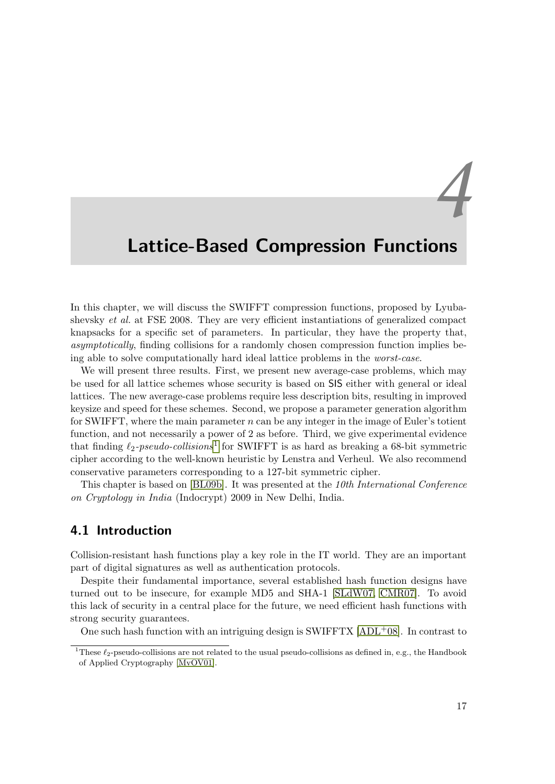## <span id="page-30-1"></span><span id="page-30-0"></span>Lattice-Based Compression Functions

In this chapter, we will discuss the SWIFFT compression functions, proposed by Lyubashevsky *et al.* at FSE 2008. They are very efficient instantiations of generalized compact knapsacks for a specific set of parameters. In particular, they have the property that, asymptotically, finding collisions for a randomly chosen compression function implies being able to solve computationally hard ideal lattice problems in the worst-case.

We will present three results. First, we present new average-case problems, which may be used for all lattice schemes whose security is based on SIS either with general or ideal lattices. The new average-case problems require less description bits, resulting in improved keysize and speed for these schemes. Second, we propose a parameter generation algorithm for SWIFFT, where the main parameter  $n$  can be any integer in the image of Euler's totient function, and not necessarily a power of 2 as before. Third, we give experimental evidence that finding  $\ell_2$ -pseudo-collisions<sup>[1](#page-30-3)</sup> for SWIFFT is as hard as breaking a 68-bit symmetric cipher according to the well-known heuristic by Lenstra and Verheul. We also recommend conservative parameters corresponding to a 127-bit symmetric cipher.

This chapter is based on [\[BL09b\]](#page-4-3). It was presented at the 10th International Conference on Cryptology in India (Indocrypt) 2009 in New Delhi, India.

### <span id="page-30-2"></span>4.1 Introduction

Collision-resistant hash functions play a key role in the IT world. They are an important part of digital signatures as well as authentication protocols.

Despite their fundamental importance, several established hash function designs have turned out to be insecure, for example MD5 and SHA-1 [\[SLdW07,](#page-84-4) [CMR07\]](#page-79-1). To avoid this lack of security in a central place for the future, we need efficient hash functions with strong security guarantees.

One such hash function with an intriguing design is SWIFFTX  $[ADL+08]$ . In contrast to

*4*

<span id="page-30-3"></span><sup>&</sup>lt;sup>1</sup>These  $\ell_2$ -pseudo-collisions are not related to the usual pseudo-collisions as defined in, e.g., the Handbook of Applied Cryptography [\[MvOV01\]](#page-83-4).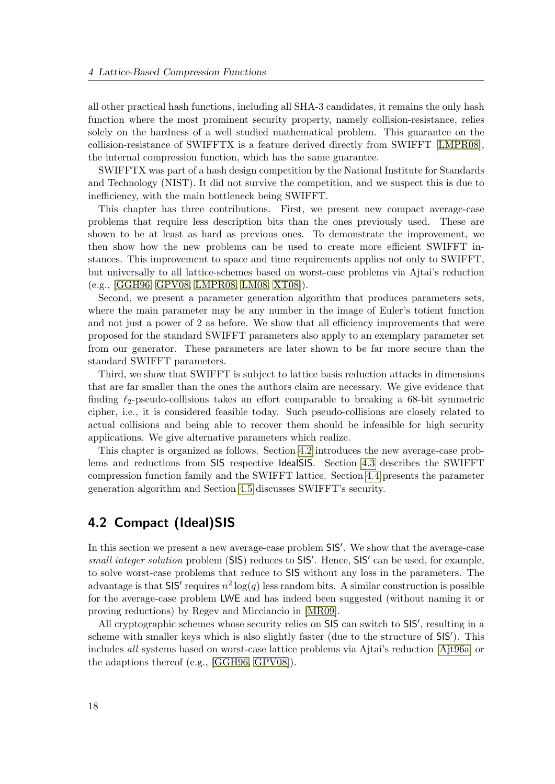all other practical hash functions, including all SHA-3 candidates, it remains the only hash function where the most prominent security property, namely collision-resistance, relies solely on the hardness of a well studied mathematical problem. This guarantee on the collision-resistance of SWIFFTX is a feature derived directly from SWIFFT [\[LMPR08\]](#page-81-2), the internal compression function, which has the same guarantee.

SWIFFTX was part of a hash design competition by the National Institute for Standards and Technology (NIST). It did not survive the competition, and we suspect this is due to inefficiency, with the main bottleneck being SWIFFT.

This chapter has three contributions. First, we present new compact average-case problems that require less description bits than the ones previously used. These are shown to be at least as hard as previous ones. To demonstrate the improvement, we then show how the new problems can be used to create more efficient SWIFFT instances. This improvement to space and time requirements applies not only to SWIFFT, but universally to all lattice-schemes based on worst-case problems via Ajtai's reduction (e.g., [\[GGH96,](#page-80-1) [GPV08,](#page-80-2) [LMPR08,](#page-81-2) [LM08,](#page-81-4) [XT08\]](#page-84-5)).

Second, we present a parameter generation algorithm that produces parameters sets, where the main parameter may be any number in the image of Euler's totient function and not just a power of 2 as before. We show that all efficiency improvements that were proposed for the standard SWIFFT parameters also apply to an exemplary parameter set from our generator. These parameters are later shown to be far more secure than the standard SWIFFT parameters.

Third, we show that SWIFFT is subject to lattice basis reduction attacks in dimensions that are far smaller than the ones the authors claim are necessary. We give evidence that finding  $\ell_2$ -pseudo-collisions takes an effort comparable to breaking a 68-bit symmetric cipher, i.e., it is considered feasible today. Such pseudo-collisions are closely related to actual collisions and being able to recover them should be infeasible for high security applications. We give alternative parameters which realize.

This chapter is organized as follows. Section [4.2](#page-31-0) introduces the new average-case problems and reductions from SIS respective IdealSIS. Section [4.3](#page-34-0) describes the SWIFFT compression function family and the SWIFFT lattice. Section [4.4](#page-37-0) presents the parameter generation algorithm and Section [4.5](#page-39-0) discusses SWIFFT's security.

### <span id="page-31-0"></span>4.2 Compact (Ideal)SIS

In this section we present a new average-case problem SIS'. We show that the average-case small integer solution problem (SIS) reduces to SIS'. Hence, SIS' can be used, for example, to solve worst-case problems that reduce to SIS without any loss in the parameters. The advantage is that SIS' requires  $n^2 \log(q)$  less random bits. A similar construction is possible for the average-case problem LWE and has indeed been suggested (without naming it or proving reductions) by Regev and Micciancio in [\[MR09\]](#page-82-2).

All cryptographic schemes whose security relies on SIS can switch to SIS', resulting in a scheme with smaller keys which is also slightly faster (due to the structure of  $SIS'$ ). This includes all systems based on worst-case lattice problems via Ajtai's reduction [\[Ajt96a\]](#page-78-0) or the adaptions thereof (e.g., [\[GGH96,](#page-80-1) [GPV08\]](#page-80-2)).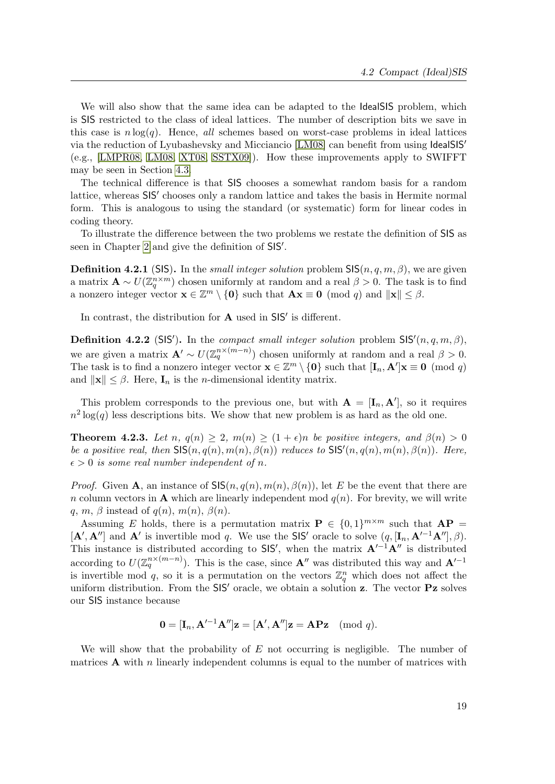We will also show that the same idea can be adapted to the IdealSIS problem, which is SIS restricted to the class of ideal lattices. The number of description bits we save in this case is  $n \log(q)$ . Hence, all schemes based on worst-case problems in ideal lattices via the reduction of Lyubashevsky and Micciancio [\[LM08\]](#page-81-4) can benefit from using IdealSIS<sup>'</sup> (e.g., [\[LMPR08,](#page-81-2) [LM08,](#page-81-4) [XT08,](#page-84-5) [SSTX09\]](#page-84-2)). How these improvements apply to SWIFFT may be seen in Section [4.3.](#page-34-0)

The technical difference is that SIS chooses a somewhat random basis for a random lattice, whereas SIS' chooses only a random lattice and takes the basis in Hermite normal form. This is analogous to using the standard (or systematic) form for linear codes in coding theory.

To illustrate the difference between the two problems we restate the definition of SIS as seen in Chapter [2](#page-18-1) and give the definition of SIS'.

**Definition 4.2.1** (SIS). In the *small integer solution* problem  $\text{SIS}(n, q, m, \beta)$ , we are given a matrix  $\mathbf{A} \sim U(\mathbb{Z}_q^{n \times m})$  chosen uniformly at random and a real  $\beta > 0$ . The task is to find a nonzero integer vector  $\mathbf{x} \in \mathbb{Z}^m \setminus \{\mathbf{0}\}\$  such that  $\mathbf{A}\mathbf{x} \equiv \mathbf{0} \pmod{q}$  and  $\|\mathbf{x}\| \leq \beta$ .

In contrast, the distribution for  $A$  used in  $SIS'$  is different.

**Definition 4.2.2** (SIS'). In the *compact small integer solution* problem  $\text{SIS}'(n, q, m, \beta)$ , we are given a matrix  $\mathbf{A}' \sim U(\mathbb{Z}_q^{n \times (m-n)})$  chosen uniformly at random and a real  $\beta > 0$ . The task is to find a nonzero integer vector  $\mathbf{x} \in \mathbb{Z}^m \setminus \{\mathbf{0}\}\)$  such that  $[\mathbf{I}_n, \mathbf{A}']\mathbf{x} \equiv \mathbf{0} \pmod{q}$ and  $\|\mathbf{x}\| \leq \beta$ . Here,  $\mathbf{I}_n$  is the *n*-dimensional identity matrix.

This problem corresponds to the previous one, but with  $\mathbf{A} = [\mathbf{I}_n, \mathbf{A}']$ , so it requires  $n^2 \log(q)$  less descriptions bits. We show that new problem is as hard as the old one.

<span id="page-32-0"></span>**Theorem 4.2.3.** Let n,  $q(n) \geq 2$ ,  $m(n) \geq (1+\epsilon)n$  be positive integers, and  $\beta(n) > 0$ be a positive real, then  $\mathsf{SIS}(n, q(n), m(n), \beta(n))$  reduces to  $\mathsf{SIS}'(n, q(n), m(n), \beta(n))$ . Here,  $\epsilon > 0$  is some real number independent of n.

*Proof.* Given A, an instance of  $\mathsf{SIS}(n, q(n), m(n), \beta(n))$ , let E be the event that there are n column vectors in **A** which are linearly independent mod  $q(n)$ . For brevity, we will write q, m,  $\beta$  instead of q(n), m(n),  $\beta(n)$ .

Assuming E holds, there is a permutation matrix  $P \in \{0,1\}^{m \times m}$  such that  $AP =$  $[\mathbf{A}', \mathbf{A}']$  and  $\mathbf{A}'$  is invertible mod q. We use the SIS' oracle to solve  $(q, [\mathbf{I}_n, \mathbf{A}'^{-1} \mathbf{A}''], \beta)$ . This instance is distributed according to SIS', when the matrix  $A^{-1}A''$  is distributed according to  $U(\mathbb{Z}_q^{n\times (m-n)})$ . This is the case, since  $\mathbf{A}''$  was distributed this way and  $\mathbf{A}^{l-1}$ is invertible mod q, so it is a permutation on the vectors  $\mathbb{Z}_q^n$  which does not affect the uniform distribution. From the  $SIS$  oracle, we obtain a solution z. The vector Pz solves our SIS instance because

$$
\mathbf{0} = [\mathbf{I}_n, \mathbf{A}'^{-1} \mathbf{A}'']\mathbf{z} = [\mathbf{A}', \mathbf{A}'']\mathbf{z} = \mathbf{A} \mathbf{P} \mathbf{z} \pmod{q}.
$$

We will show that the probability of  $E$  not occurring is negligible. The number of matrices  $\bf{A}$  with n linearly independent columns is equal to the number of matrices with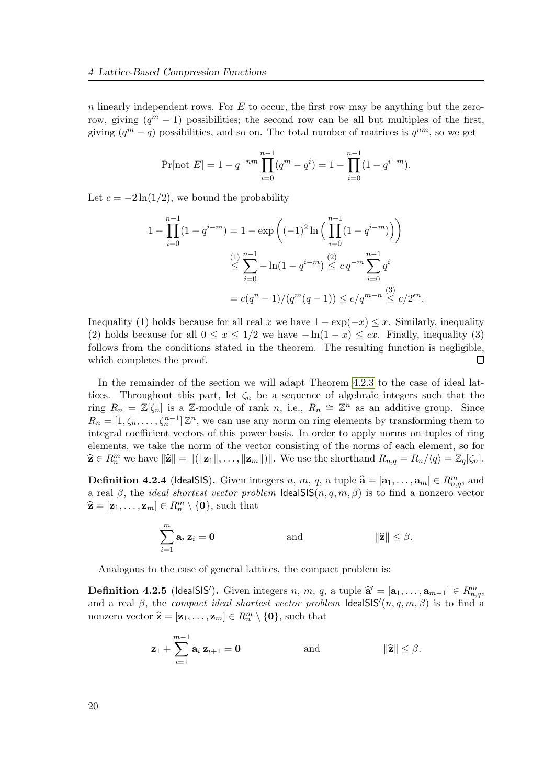$n$  linearly independent rows. For  $E$  to occur, the first row may be anything but the zerorow, giving  $(q^m - 1)$  possibilities; the second row can be all but multiples of the first, giving  $(q^m - q)$  possibilities, and so on. The total number of matrices is  $q^{nm}$ , so we get

$$
\Pr[\text{not } E] = 1 - q^{-nm} \prod_{i=0}^{n-1} (q^m - q^i) = 1 - \prod_{i=0}^{n-1} (1 - q^{i-m}).
$$

Let  $c = -2\ln(1/2)$ , we bound the probability

$$
1 - \prod_{i=0}^{n-1} (1 - q^{i-m}) = 1 - \exp\left((-1)^2 \ln\left(\prod_{i=0}^{n-1} (1 - q^{i-m})\right)\right)
$$
  

$$
\leq \sum_{i=0}^{n-1} -\ln(1 - q^{i-m}) \leq c q^{-m} \sum_{i=0}^{n-1} q^i
$$
  

$$
= c(q^n - 1)/(q^m(q - 1)) \leq c/q^{m-n} \leq c/2^{\epsilon n}.
$$

Inequality (1) holds because for all real x we have  $1 - \exp(-x) \le x$ . Similarly, inequality (2) holds because for all  $0 \le x \le 1/2$  we have  $-\ln(1-x) \le cx$ . Finally, inequality (3) follows from the conditions stated in the theorem. The resulting function is negligible, which completes the proof.  $\Box$ 

In the remainder of the section we will adapt Theorem [4.2.3](#page-32-0) to the case of ideal lattices. Throughout this part, let  $\zeta_n$  be a sequence of algebraic integers such that the ring  $R_n = \mathbb{Z}[\zeta_n]$  is a Z-module of rank n, i.e.,  $R_n \cong \mathbb{Z}^n$  as an additive group. Since  $R_n = [1, \zeta_n, \ldots, \zeta_n^{n-1}] \mathbb{Z}^n$ , we can use any norm on ring elements by transforming them to integral coefficient vectors of this power basis. In order to apply norms on tuples of ring elements, we take the norm of the vector consisting of the norms of each element, so for  $\widehat{\mathbf{z}} \in R_n^m$  we have  $\|\widehat{\mathbf{z}}\| = \|(\|\mathbf{z}_1\|, \ldots, \|\mathbf{z}_m\|)\|$ . We use the shorthand  $R_{n,q} = R_n/\langle q \rangle = \mathbb{Z}_q[\zeta_n]$ .

**Definition 4.2.4** (IdealSIS). Given integers n, m, q, a tuple  $\hat{\mathbf{a}} = [\mathbf{a}_1, \dots, \mathbf{a}_m] \in R_{m,q}^m$ , and  $\mathbf{a}_1 \text{ mod } q$ , the *ideal chertect useter problem* IdealSIS( $p, q, m, q$ ) is to find a personal vector a real  $\beta$ , the *ideal shortest vector problem* **IdealSIS** $(n, q, m, \beta)$  is to find a nonzero vector  $\widehat{\mathbf{z}} = [\mathbf{z}_1, \dots, \mathbf{z}_m] \in R_n^m \setminus \{\mathbf{0}\},\$  such that

$$
\sum_{i=1}^m \mathbf{a}_i \, \mathbf{z}_i = \mathbf{0} \qquad \text{and} \qquad \|\widehat{\mathbf{z}}\| \leq \beta.
$$

Analogous to the case of general lattices, the compact problem is:

**Definition 4.2.5** (IdealSIS'). Given integers n, m, q, a tuple  $\hat{\mathbf{a}}' = [\mathbf{a}_1, \dots, \mathbf{a}_{m-1}] \in R_{m,q}^m$ and a real  $\beta$ , the compact ideal shortest vector problem IdealSIS' $(n, q, m, \beta)$  is to find a nonzero vector  $\hat{\mathbf{z}} = [\mathbf{z}_1, \dots, \mathbf{z}_m] \in R_n^m \setminus \{\mathbf{0}\}$ , such that

$$
\mathbf{z}_1 + \sum_{i=1}^{m-1} \mathbf{a}_i \, \mathbf{z}_{i+1} = \mathbf{0} \qquad \text{and} \qquad \|\widehat{\mathbf{z}}\| \leq \beta.
$$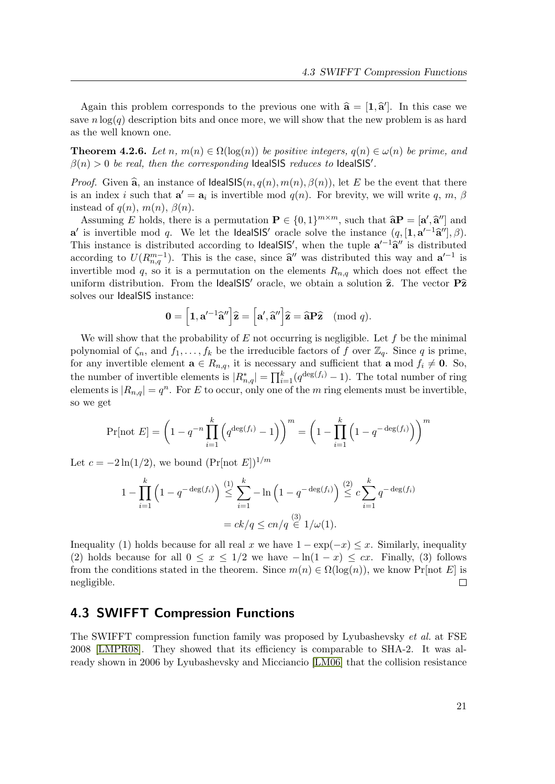Again this problem corresponds to the previous one with  $\hat{\mathbf{a}} = [\mathbf{1}, \hat{\mathbf{a}}']$ . In this case we save  $n \log(q)$  description bits and once more, we will show that the new problem is as hard as the well known one.

**Theorem 4.2.6.** Let n,  $m(n) \in \Omega(\log(n))$  be positive integers,  $q(n) \in \omega(n)$  be prime, and  $\beta(n) > 0$  be real, then the corresponding IdealSIS reduces to IdealSIS'.

*Proof.* Given  $\hat{a}$ , an instance of IdealSIS $(n, q(n), m(n), \beta(n))$ , let E be the event that there is an index *i* such that  $\mathbf{a}' = \mathbf{a}_i$  is invertible mod  $q(n)$ . For brevity, we will write q, m,  $\beta$ instead of  $q(n)$ ,  $m(n)$ ,  $\beta(n)$ .

Assuming E holds, there is a permutation  $\mathbf{P} \in \{0,1\}^{m \times m}$ , such that  $\hat{\mathbf{a}}\mathbf{P} = [\mathbf{a}', \hat{\mathbf{a}}'']$  and<br>is invertible mod  $\alpha$ . We let the lead SIS' angle selve the instance  $(\alpha, [\mathbf{1}, \mathbf{a}'^{-1} \hat{\mathbf{a}}'']$ **a**' is invertible mod q. We let the **IdealSIS'** oracle solve the instance  $(q, [\mathbf{1}, \mathbf{a'}^{-1}\hat{\mathbf{a}}''], \beta)$ .<br>This instance is distributed associator to **IdealSIS'**, when the tuple  $\mathbf{a'}^{-1}\hat{\mathbf{a}}''$  is distributed This instance is distributed according to **IdealSIS'**, when the tuple  $a'^{-1}\hat{a}''$  is distributed<br>conservative to  $U(Dm-1)$ . This is the gase since  $\hat{a}''$  wese distributed this way and  $a'^{-1}$  is according to  $U(R_{n,q}^{m-1})$ . This is the case, since  $\hat{\mathbf{a}}''$  was distributed this way and  $\mathbf{a}'^{-1}$  is<br>investible mod  $\epsilon$  so it is a permutation on the elements  $R$ , which does not effect the invertible mod q, so it is a permutation on the elements  $R_{n,q}$  which does not effect the uniform distribution. From the IdealSIS' oracle, we obtain a solution  $\hat{z}$ . The vector P $\hat{z}$ solves our IdealSIS instance:

$$
\mathbf{0} = \left[\mathbf{1}, \mathbf{a}'^{-1}\mathbf{\widehat{a}}''\right]\mathbf{\widehat{z}} = \left[\mathbf{a}', \mathbf{\widehat{a}}''\right]\mathbf{\widehat{z}} = \mathbf{\widehat{a}}\mathbf{P}\mathbf{\widehat{z}} \pmod{q}.
$$

We will show that the probability of  $E$  not occurring is negligible. Let  $f$  be the minimal polynomial of  $\zeta_n$ , and  $f_1, \ldots, f_k$  be the irreducible factors of f over  $\mathbb{Z}_q$ . Since q is prime, for any invertible element  $\mathbf{a} \in R_{n,q}$ , it is necessary and sufficient that  $\mathbf{a} \mod f_i \neq \mathbf{0}$ . So, the number of invertible elements is  $|R_{n,q}^*| = \prod_{i=1}^k (q^{\deg(f_i)} - 1)$ . The total number of ring elements is  $|R_{n,q}| = q^n$ . For E to occur, only one of the m ring elements must be invertible, so we get

$$
\Pr[\text{not } E] = \left(1 - q^{-n} \prod_{i=1}^{k} \left( q^{\deg(f_i)} - 1 \right) \right)^m = \left(1 - \prod_{i=1}^{k} \left(1 - q^{-\deg(f_i)}\right) \right)^m
$$

Let  $c = -2\ln(1/2)$ , we bound  $(\Pr[\text{not } E])^{1/m}$ 

$$
1 - \prod_{i=1}^{k} \left( 1 - q^{-\deg(f_i)} \right) \stackrel{(1)}{\leq} \sum_{i=1}^{k} - \ln \left( 1 - q^{-\deg(f_i)} \right) \stackrel{(2)}{\leq} c \sum_{i=1}^{k} q^{-\deg(f_i)}
$$

$$
= ck/q \leq cn/q \stackrel{(3)}{\in} 1/\omega(1).
$$

Inequality (1) holds because for all real x we have  $1 - \exp(-x) \leq x$ . Similarly, inequality (2) holds because for all  $0 \le x \le 1/2$  we have  $-\ln(1-x) \le cx$ . Finally, (3) follows from the conditions stated in the theorem. Since  $m(n) \in \Omega(\log(n))$ , we know Pr[not E] is negligible.  $\Box$ 

### <span id="page-34-0"></span>4.3 SWIFFT Compression Functions

The SWIFFT compression function family was proposed by Lyubashevsky et al. at FSE 2008 [\[LMPR08\]](#page-81-2). They showed that its efficiency is comparable to SHA-2. It was already shown in 2006 by Lyubashevsky and Micciancio [\[LM06\]](#page-81-0) that the collision resistance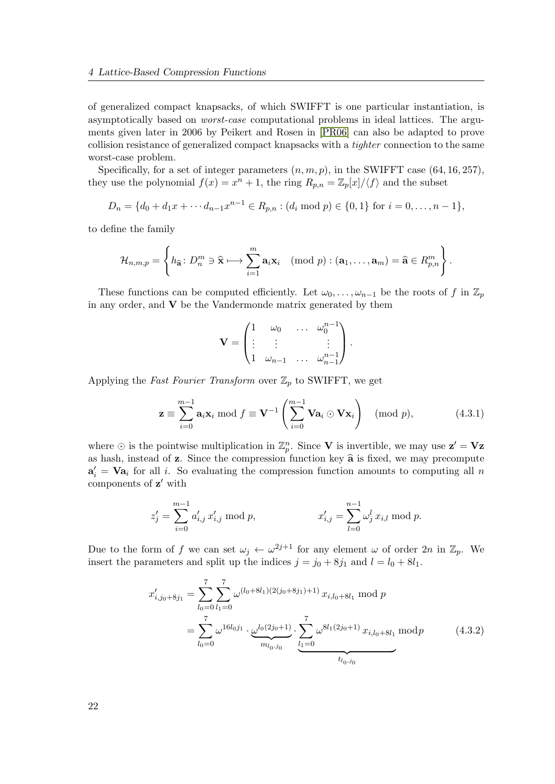of generalized compact knapsacks, of which SWIFFT is one particular instantiation, is asymptotically based on worst-case computational problems in ideal lattices. The arguments given later in 2006 by Peikert and Rosen in [\[PR06\]](#page-83-5) can also be adapted to prove collision resistance of generalized compact knapsacks with a tighter connection to the same worst-case problem.

Specifically, for a set of integer parameters  $(n, m, p)$ , in the SWIFFT case (64, 16, 257), they use the polynomial  $f(x) = x^n + 1$ , the ring  $R_{p,n} = \mathbb{Z}_p[x]/\langle f \rangle$  and the subset

$$
D_n = \{d_0 + d_1x + \cdots + d_{n-1}x^{n-1} \in R_{p,n} : (d_i \bmod p) \in \{0,1\} \text{ for } i = 0,\ldots, n-1\},\
$$

to define the family

$$
\mathcal{H}_{n,m,p} = \left\{ h_{\widehat{\mathbf{a}}} \colon D_n^m \ni \widehat{\mathbf{x}} \longmapsto \sum_{i=1}^m \mathbf{a}_i \mathbf{x}_i \pmod{p} : (\mathbf{a}_1,\ldots,\mathbf{a}_m) = \widehat{\mathbf{a}} \in R_{p,n}^m \right\}.
$$

These functions can be computed efficiently. Let  $\omega_0, \ldots, \omega_{n-1}$  be the roots of f in  $\mathbb{Z}_p$ in any order, and  $V$  be the Vandermonde matrix generated by them

$$
\mathbf{V} = \begin{pmatrix} 1 & \omega_0 & \dots & \omega_0^{n-1} \\ \vdots & \vdots & & \vdots \\ 1 & \omega_{n-1} & \dots & \omega_{n-1}^{n-1} \end{pmatrix}.
$$

Applying the Fast Fourier Transform over  $\mathbb{Z}_p$  to SWIFFT, we get

$$
\mathbf{z} \equiv \sum_{i=0}^{m-1} \mathbf{a}_i \mathbf{x}_i \bmod f \equiv \mathbf{V}^{-1} \left( \sum_{i=0}^{m-1} \mathbf{Va}_i \odot \mathbf{V} \mathbf{x}_i \right) \pmod{p}, \tag{4.3.1}
$$

where  $\odot$  is the pointwise multiplication in  $\mathbb{Z}_p^n$ . Since **V** is invertible, we may use  $\mathbf{z}' = \mathbf{V}\mathbf{z}$ as hash, instead of  $z$ . Since the compression function key  $\hat{a}$  is fixed, we may precompute  $a'_i = Va_i$  for all i. So evaluating the compression function amounts to computing all n components of  $z'$  with

$$
z'_{j} = \sum_{i=0}^{m-1} a'_{i,j} x'_{i,j} \bmod p, \qquad x'_{i,j} = \sum_{l=0}^{n-1} \omega_{j}^{l} x_{i,l} \bmod p.
$$

Due to the form of f we can set  $\omega_j \leftarrow \omega^{2j+1}$  for any element  $\omega$  of order  $2n$  in  $\mathbb{Z}_p$ . We insert the parameters and split up the indices  $j = j_0 + 8j_1$  and  $l = l_0 + 8l_1$ .

$$
x'_{i,j_0+8j_1} = \sum_{l_0=0}^{7} \sum_{l_1=0}^{7} \omega^{(l_0+8l_1)(2(j_0+8j_1)+1)} x_{i,l_0+8l_1} \mod p
$$
  
= 
$$
\sum_{l_0=0}^{7} \omega^{16l_0j_1} \cdot \underbrace{\omega^{l_0(2j_0+1)}}_{m_{l_0,j_0}} \cdot \underbrace{\sum_{l_1=0}^{7} \omega^{8l_1(2j_0+1)} x_{i,l_0+8l_1} \mod p}_{t_{l_0,j_0}}
$$
 (4.3.2)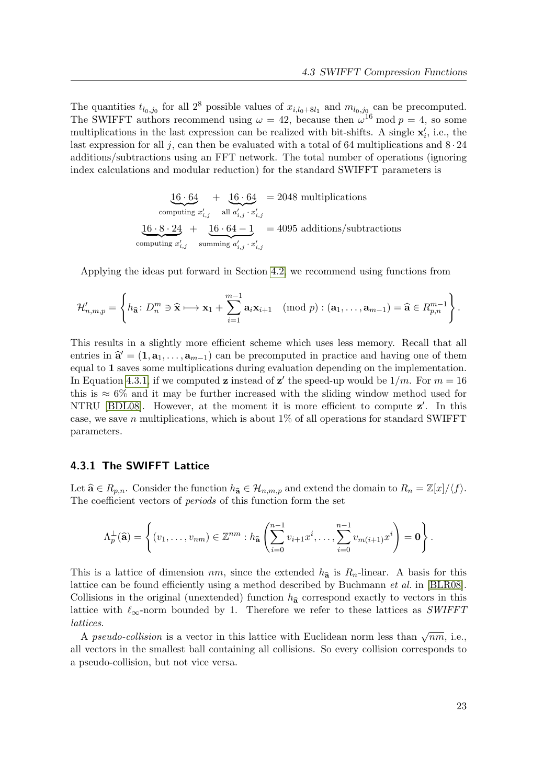The quantities  $t_{l_0,j_0}$  for all  $2^8$  possible values of  $x_{i,l_0+8l_1}$  and  $m_{l_0,j_0}$  can be precomputed. The SWIFFT authors recommend using  $\omega = 42$ , because then  $\omega^{16}$  mod  $p = 4$ , so some multiplications in the last expression can be realized with bit-shifts. A single  $\mathbf{x}'_i$ , i.e., the last expression for all j, can then be evaluated with a total of 64 multiplications and  $8 \cdot 24$ additions/subtractions using an FFT network. The total number of operations (ignoring index calculations and modular reduction) for the standard SWIFFT parameters is

> $16 \cdot 64$ computing  $x'_{i,j}$  $+ 16 \cdot 64$ all  $\overline{a'_{i,j} \cdot x'_{i,j}}$ = 2048 multiplications  $16 \cdot 8 \cdot 24$ computing  $x'_{i,j}$  $+$  16 · 64 – 1 summing  $a'_{i,j} \cdot x'_{i,j}$ = 4095 additions/subtractions

Applying the ideas put forward in Section [4.2,](#page-31-0) we recommend using functions from

$$
\mathcal{H}'_{n,m,p} = \left\{ h_{\widehat{\mathbf{a}}} \colon D_n^m \ni \widehat{\mathbf{x}} \longmapsto \mathbf{x}_1 + \sum_{i=1}^{m-1} \mathbf{a}_i \mathbf{x}_{i+1} \pmod{p} : (\mathbf{a}_1, \dots, \mathbf{a}_{m-1}) = \widehat{\mathbf{a}} \in R_{p,n}^{m-1} \right\}.
$$

This results in a slightly more efficient scheme which uses less memory. Recall that all entries in  $\hat{\mathbf{a}}' = (\mathbf{1}, \mathbf{a}_1, \dots, \mathbf{a}_{m-1})$  can be precomputed in practice and having one of them equal to 1 saves some multiplications during evaluation depending on the implementation. In Equation [4.3.1,](#page-35-0) if we computed **z** instead of **z'** the speed-up would be  $1/m$ . For  $m = 16$ this is  $\approx 6\%$  and it may be further increased with the sliding window method used for NTRU [\[BDL08\]](#page-4-0). However, at the moment it is more efficient to compute  $z'$ . In this case, we save n multiplications, which is about  $1\%$  of all operations for standard SWIFFT parameters.

### <span id="page-36-0"></span>4.3.1 The SWIFFT Lattice

Let  $\hat{\mathbf{a}} \in R_{p,n}$ . Consider the function  $h_{\hat{\mathbf{a}}} \in \mathcal{H}_{n,m,p}$  and extend the domain to  $R_n = \mathbb{Z}[x]/\langle f \rangle$ . The coefficient vectors of periods of this function form the set

$$
\Lambda_p^{\perp}(\widehat{\mathbf{a}})=\left\{(v_1,\ldots,v_{nm})\in\mathbb{Z}^{nm}: h_{\widehat{\mathbf{a}}}\left(\sum_{i=0}^{n-1}v_{i+1}x^i,\ldots,\sum_{i=0}^{n-1}v_{m(i+1)}x^i\right)=\mathbf{0}\right\}.
$$

This is a lattice of dimension  $nm$ , since the extended  $h_{\hat{\mathbf{a}}}$  is  $R_n$ -linear. A basis for this lattice can be found efficiently using a method described by Buchmann et al. in [\[BLR08\]](#page-79-0). Collisions in the original (unextended) function  $h_{\hat{a}}$  correspond exactly to vectors in this lattice with  $\ell_{\infty}$ -norm bounded by 1. Therefore we refer to these lattices as SWIFFT lattices.

A pseudo-collision is a vector in this lattice with Euclidean norm less than  $\sqrt{nm}$ , i.e., all vectors in the smallest ball containing all collisions. So every collision corresponds to a pseudo-collision, but not vice versa.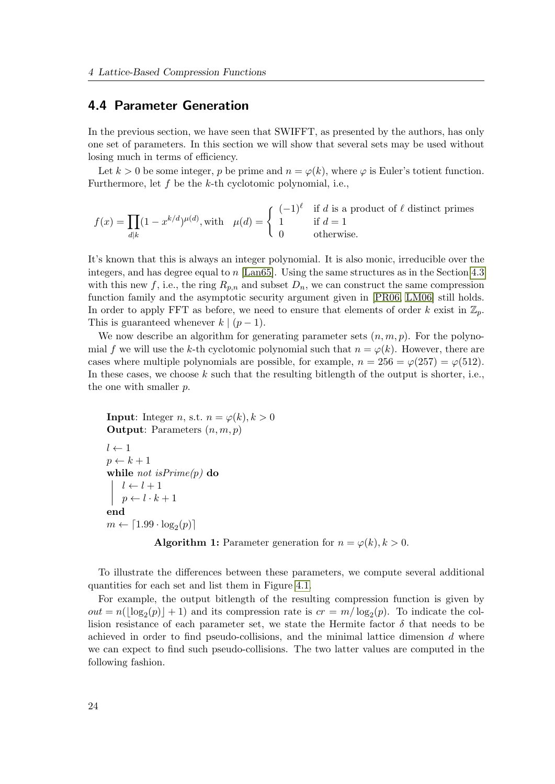### <span id="page-37-0"></span>4.4 Parameter Generation

In the previous section, we have seen that SWIFFT, as presented by the authors, has only one set of parameters. In this section we will show that several sets may be used without losing much in terms of efficiency.

Let  $k > 0$  be some integer, p be prime and  $n = \varphi(k)$ , where  $\varphi$  is Euler's totient function. Furthermore, let  $f$  be the  $k$ -th cyclotomic polynomial, i.e.,

$$
f(x) = \prod_{d|k} (1 - x^{k/d})^{\mu(d)},
$$
 with  $\mu(d) = \begin{cases} (-1)^{\ell} & \text{if } d \text{ is a product of } \ell \text{ distinct primes} \\ 1 & \text{if } d = 1 \\ 0 & \text{otherwise.} \end{cases}$ 

It's known that this is always an integer polynomial. It is also monic, irreducible over the integers, and has degree equal to  $n$  [\[Lan65\]](#page-81-0). Using the same structures as in the Section [4.3](#page-34-0) with this new f, i.e., the ring  $R_{p,n}$  and subset  $D_n$ , we can construct the same compression function family and the asymptotic security argument given in [\[PR06,](#page-83-0) [LM06\]](#page-81-1) still holds. In order to apply FFT as before, we need to ensure that elements of order k exist in  $\mathbb{Z}_p$ . This is guaranteed whenever  $k \mid (p-1)$ .

We now describe an algorithm for generating parameter sets  $(n, m, p)$ . For the polynomial f we will use the k-th cyclotomic polynomial such that  $n = \varphi(k)$ . However, there are cases where multiple polynomials are possible, for example,  $n = 256 = \varphi(257) = \varphi(512)$ . In these cases, we choose  $k$  such that the resulting bitlength of the output is shorter, i.e., the one with smaller p.

```
Input: Integer n, s.t. n = \varphi(k), k > 0Output: Parameters (n, m, p)l \leftarrow 1p \leftarrow k + 1while not is Prime(p) do
    l \leftarrow l + 1p \leftarrow l \cdot k + 1end
m \leftarrow \lceil 1.99 \cdot \log_2(p) \rceilAlgorithm 1: Parameter generation for n = \varphi(k), k > 0.
```
To illustrate the differences between these parameters, we compute several additional quantities for each set and list them in Figure [4.1.](#page-38-0)

For example, the output bitlength of the resulting compression function is given by  $out = n(\lfloor \log_2(p) \rfloor + 1)$  and its compression rate is  $cr = m/\log_2(p)$ . To indicate the collision resistance of each parameter set, we state the Hermite factor  $\delta$  that needs to be achieved in order to find pseudo-collisions, and the minimal lattice dimension  $d$  where we can expect to find such pseudo-collisions. The two latter values are computed in the following fashion.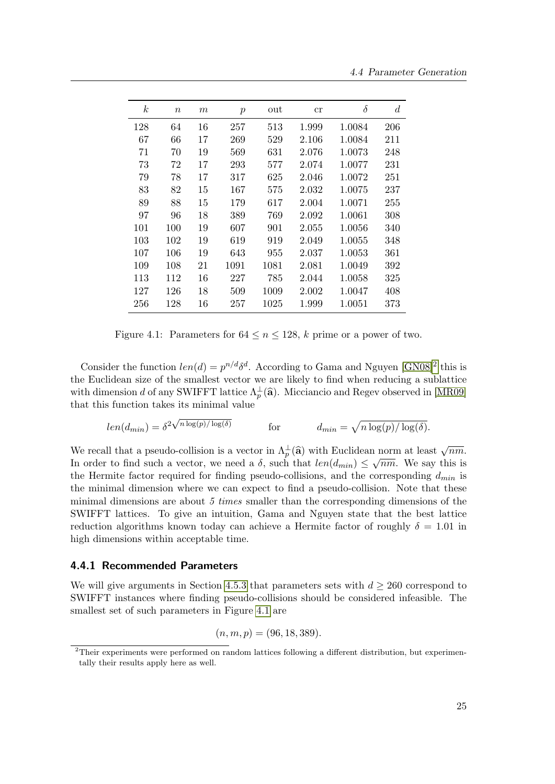| $\boldsymbol{k}$ | $\it{n}$ | $\,m$ | $\boldsymbol{p}$ | out  | cr    | $\delta$ | $\boldsymbol{d}$ |
|------------------|----------|-------|------------------|------|-------|----------|------------------|
| 128              | 64       | 16    | 257              | 513  | 1.999 | 1.0084   | 206              |
| 67               | 66       | 17    | 269              | 529  | 2.106 | 1.0084   | 211              |
| 71               | 70       | 19    | 569              | 631  | 2.076 | 1.0073   | 248              |
| 73               | 72       | 17    | 293              | 577  | 2.074 | 1.0077   | 231              |
| 79               | 78       | 17    | 317              | 625  | 2.046 | 1.0072   | 251              |
| 83               | 82       | 15    | 167              | 575  | 2.032 | 1.0075   | 237              |
| 89               | 88       | 15    | 179              | 617  | 2.004 | 1.0071   | 255              |
| 97               | 96       | 18    | 389              | 769  | 2.092 | 1.0061   | 308              |
| 101              | 100      | 19    | 607              | 901  | 2.055 | 1.0056   | 340              |
| 103              | 102      | 19    | 619              | 919  | 2.049 | 1.0055   | 348              |
| 107              | 106      | 19    | 643              | 955  | 2.037 | 1.0053   | 361              |
| 109              | 108      | 21    | 1091             | 1081 | 2.081 | 1.0049   | 392              |
| 113              | 112      | 16    | 227              | 785  | 2.044 | 1.0058   | 325              |
| 127              | 126      | 18    | 509              | 1009 | 2.002 | 1.0047   | 408              |
| 256              | 128      | 16    | 257              | 1025 | 1.999 | 1.0051   | 373              |

<span id="page-38-0"></span>Figure 4.1: Parameters for  $64 \le n \le 128$ , k prime or a power of two.

Consider the function  $len(d) = p^{n/d}\delta^d$ . According to Gama and Nguyen [\[GN08\]](#page-80-0)<sup>[2](#page-38-1)</sup> this is the Euclidean size of the smallest vector we are likely to find when reducing a sublattice with dimension d of any SWIFFT lattice  $\Lambda_p^{\perp}(\hat{\mathbf{a}})$ . Micciancio and Regev observed in [\[MR09\]](#page-82-0) that this function takes its minimal value

$$
len(d_{min}) = \delta^{2\sqrt{n \log(p)/\log(\delta)}}
$$
 for  $d_{min} = \sqrt{n \log(p)/\log(\delta)}$ .

We recall that a pseudo-collision is a vector in  $\Lambda_p^{\perp}(\hat{\mathbf{a}})$  with Euclidean norm at least  $\sqrt{nm}$ .<br>In order to find such a vector, we need a  $\delta$  such that  $\log(d)$   $\leq$   $\delta$   $\infty$ . We see this is In order to find such a vector, we need a  $\delta$ , such that  $len(d_{min}) \leq \sqrt{nm}$ . We say this is the Hermite factor required for finding pseudo-collisions, and the corresponding  $d_{min}$  is the minimal dimension where we can expect to find a pseudo-collision. Note that these minimal dimensions are about 5 times smaller than the corresponding dimensions of the SWIFFT lattices. To give an intuition, Gama and Nguyen state that the best lattice reduction algorithms known today can achieve a Hermite factor of roughly  $\delta = 1.01$  in high dimensions within acceptable time.

### <span id="page-38-2"></span>4.4.1 Recommended Parameters

We will give arguments in Section [4.5.3](#page-42-0) that parameters sets with  $d \geq 260$  correspond to SWIFFT instances where finding pseudo-collisions should be considered infeasible. The smallest set of such parameters in Figure [4.1](#page-38-0) are

$$
(n, m, p) = (96, 18, 389).
$$

<span id="page-38-1"></span><sup>&</sup>lt;sup>2</sup>Their experiments were performed on random lattices following a different distribution, but experimentally their results apply here as well.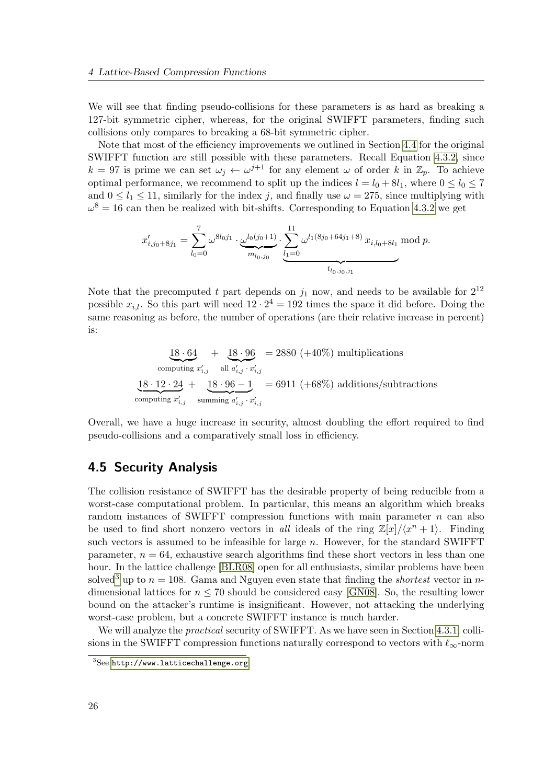We will see that finding pseudo-collisions for these parameters is as hard as breaking a 127-bit symmetric cipher, whereas, for the original SWIFFT parameters, finding such collisions only compares to breaking a 68-bit symmetric cipher.

Note that most of the efficiency improvements we outlined in Section [4.4](#page-37-0) for the original SWIFFT function are still possible with these parameters. Recall Equation [4.3.2,](#page-35-1) since  $k = 97$  is prime we can set  $\omega_j \leftarrow \omega^{j+1}$  for any element  $\omega$  of order k in  $\mathbb{Z}_p$ . To achieve optimal performance, we recommend to split up the indices  $l = l_0 + 8l_1$ , where  $0 \leq l_0 \leq 7$ and  $0 \le l_1 \le 11$ , similarly for the index j, and finally use  $\omega = 275$ , since multiplying with  $\omega^8 = 16$  can then be realized with bit-shifts. Corresponding to Equation [4.3.2](#page-35-1) we get

$$
x'_{i,j_0+8j_1} = \sum_{l_0=0}^7 \omega^{8l_0j_1} \cdot \underbrace{\omega^{l_0(j_0+1)}}_{m_{l_0,j_0}} \cdot \underbrace{\sum_{l_1=0}^{11} \omega^{l_1(8j_0+64j_1+8)}}_{t_{l_0,j_0,j_1}} x_{i,l_0+8l_1} \mod p.
$$

Note that the precomputed t part depends on  $j_1$  now, and needs to be available for  $2^{12}$ possible  $x_{i,l}$ . So this part will need  $12 \cdot 2^4 = 192$  times the space it did before. Doing the same reasoning as before, the number of operations (are their relative increase in percent) is:

$$
\underbrace{18 \cdot 64}_{\text{computing } x'_{i,j}} + \underbrace{18 \cdot 96}_{\text{all } a'_{i,j} \cdot x'_{i,j}} = 2880 \ (+40\%) \text{ multiplications}
$$
\n
$$
\underbrace{18 \cdot 12 \cdot 24}_{\text{computing } x'_{i,j}} + \underbrace{18 \cdot 96 - 1}_{\text{summing } a'_{i,j} \cdot x'_{i,j}} = 6911 \ (+68\%) \text{ additions/subtractions}
$$

Overall, we have a huge increase in security, almost doubling the effort required to find pseudo-collisions and a comparatively small loss in efficiency.

# 4.5 Security Analysis

The collision resistance of SWIFFT has the desirable property of being reducible from a worst-case computational problem. In particular, this means an algorithm which breaks random instances of SWIFFT compression functions with main parameter  $n$  can also be used to find short nonzero vectors in all ideals of the ring  $\mathbb{Z}[x]/\langle x^n + 1 \rangle$ . Finding such vectors is assumed to be infeasible for large  $n$ . However, for the standard SWIFFT parameter,  $n = 64$ , exhaustive search algorithms find these short vectors in less than one hour. In the lattice challenge [\[BLR08\]](#page-79-0) open for all enthusiasts, similar problems have been solved<sup>[3](#page-39-0)</sup> up to  $n = 108$ . Gama and Nguyen even state that finding the *shortest* vector in *n*dimensional lattices for  $n \leq 70$  should be considered easy [\[GN08\]](#page-80-0). So, the resulting lower bound on the attacker's runtime is insignificant. However, not attacking the underlying worst-case problem, but a concrete SWIFFT instance is much harder.

We will analyze the *practical* security of SWIFFT. As we have seen in Section [4.3.1,](#page-36-0) collisions in the SWIFFT compression functions naturally correspond to vectors with  $\ell_{\infty}$ -norm

<span id="page-39-0"></span><sup>3</sup>See <http://www.latticechallenge.org>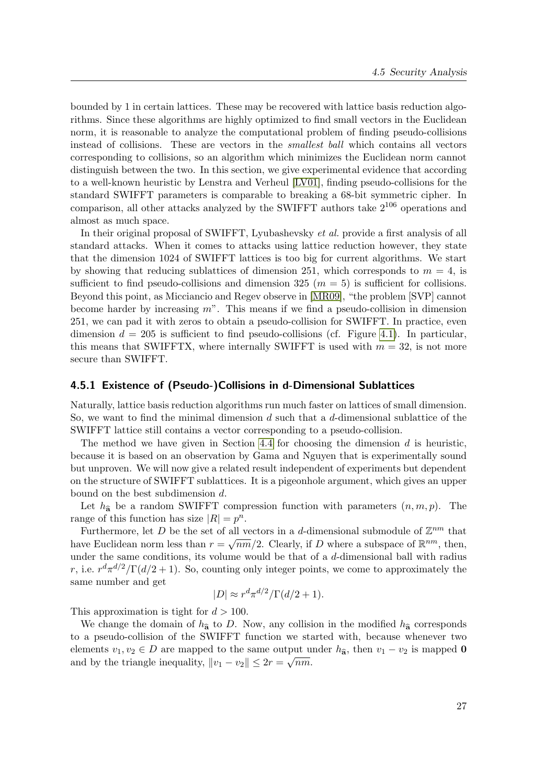bounded by 1 in certain lattices. These may be recovered with lattice basis reduction algorithms. Since these algorithms are highly optimized to find small vectors in the Euclidean norm, it is reasonable to analyze the computational problem of finding pseudo-collisions instead of collisions. These are vectors in the smallest ball which contains all vectors corresponding to collisions, so an algorithm which minimizes the Euclidean norm cannot distinguish between the two. In this section, we give experimental evidence that according to a well-known heuristic by Lenstra and Verheul [\[LV01\]](#page-82-1), finding pseudo-collisions for the standard SWIFFT parameters is comparable to breaking a 68-bit symmetric cipher. In comparison, all other attacks analyzed by the SWIFFT authors take  $2^{106}$  operations and almost as much space.

In their original proposal of SWIFFT, Lyubashevsky et al. provide a first analysis of all standard attacks. When it comes to attacks using lattice reduction however, they state that the dimension 1024 of SWIFFT lattices is too big for current algorithms. We start by showing that reducing sublattices of dimension 251, which corresponds to  $m = 4$ , is sufficient to find pseudo-collisions and dimension 325 ( $m = 5$ ) is sufficient for collisions. Beyond this point, as Micciancio and Regev observe in [\[MR09\]](#page-82-0), "the problem [SVP] cannot become harder by increasing  $m$ ". This means if we find a pseudo-collision in dimension 251, we can pad it with zeros to obtain a pseudo-collision for SWIFFT. In practice, even dimension  $d = 205$  is sufficient to find pseudo-collisions (cf. Figure [4.1\)](#page-38-0). In particular, this means that SWIFFTX, where internally SWIFFT is used with  $m = 32$ , is not more secure than SWIFFT.

### 4.5.1 Existence of (Pseudo-)Collisions in d-Dimensional Sublattices

Naturally, lattice basis reduction algorithms run much faster on lattices of small dimension. So, we want to find the minimal dimension  $d$  such that a  $d$ -dimensional sublattice of the SWIFFT lattice still contains a vector corresponding to a pseudo-collision.

The method we have given in Section [4.4](#page-37-0) for choosing the dimension  $d$  is heuristic, because it is based on an observation by Gama and Nguyen that is experimentally sound but unproven. We will now give a related result independent of experiments but dependent on the structure of SWIFFT sublattices. It is a pigeonhole argument, which gives an upper bound on the best subdimension d.

Let  $h_{\hat{\mathbf{a}}}$  be a random SWIFFT compression function with parameters  $(n, m, p)$ . The range of this function has size  $|R| = p^n$ .

Furthermore, let D be the set of all vectors in a d-dimensional submodule of  $\mathbb{Z}^{nm}$  that have Euclidean norm less than  $r = \sqrt{nm}/2$ . Clearly, if D where a subspace of  $\mathbb{R}^{nm}$ , then, under the same conditions, its volume would be that of a d-dimensional ball with radius r, i.e.  $r^d \pi^{d/2} / \Gamma(d/2 + 1)$ . So, counting only integer points, we come to approximately the same number and get

$$
|D| \approx r^d \pi^{d/2} / \Gamma(d/2 + 1).
$$

This approximation is tight for  $d > 100$ .

We change the domain of  $h_{\hat{\mathbf{a}}}$  to D. Now, any collision in the modified  $h_{\hat{\mathbf{a}}}$  corresponds to a pseudo-collision of the SWIFFT function we started with, because whenever two elements  $v_1, v_2 \in D$  are mapped to the same output under  $h_{\mathbf{\hat{a}}}$ , then  $v_1 - v_2$  is mapped 0 and by the triangle inequality,  $||v_1 - v_2|| \leq 2r = \sqrt{nm}$ .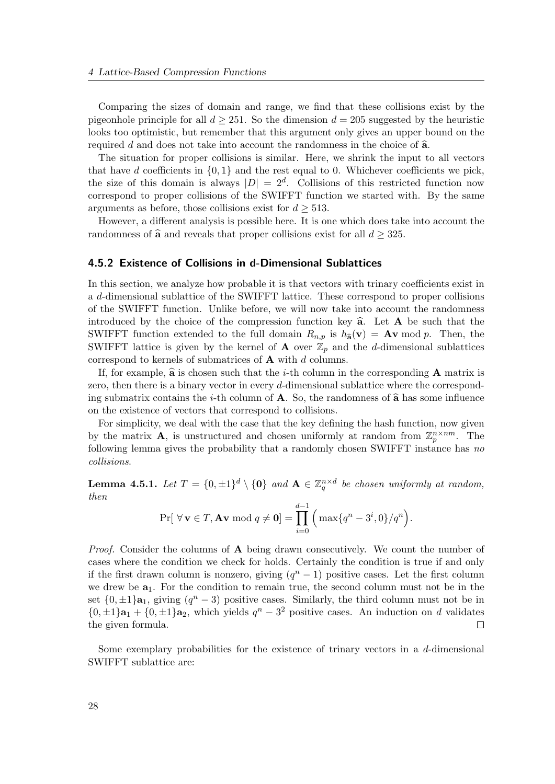Comparing the sizes of domain and range, we find that these collisions exist by the pigeonhole principle for all  $d > 251$ . So the dimension  $d = 205$  suggested by the heuristic looks too optimistic, but remember that this argument only gives an upper bound on the required d and does not take into account the randomness in the choice of  $\hat{a}$ .

The situation for proper collisions is similar. Here, we shrink the input to all vectors that have d coefficients in  $\{0, 1\}$  and the rest equal to 0. Whichever coefficients we pick, the size of this domain is always  $|D| = 2^d$ . Collisions of this restricted function now correspond to proper collisions of the SWIFFT function we started with. By the same arguments as before, those collisions exist for  $d \geq 513$ .

However, a different analysis is possible here. It is one which does take into account the randomness of  $\hat{\mathbf{a}}$  and reveals that proper collisions exist for all  $d \geq 325$ .

### 4.5.2 Existence of Collisions in d-Dimensional Sublattices

In this section, we analyze how probable it is that vectors with trinary coefficients exist in a d-dimensional sublattice of the SWIFFT lattice. These correspond to proper collisions of the SWIFFT function. Unlike before, we will now take into account the randomness introduced by the choice of the compression function key  $\hat{a}$ . Let  $A$  be such that the SWIFFT function extended to the full domain  $R_{n,p}$  is  $h_{\hat{\mathbf{a}}}(\mathbf{v}) = \mathbf{A}\mathbf{v} \bmod p$ . Then, the SWIFFT lattice is given by the kernel of **A** over  $\mathbb{Z}_p$  and the d-dimensional sublattices correspond to kernels of submatrices of  $A$  with d columns.

If, for example,  $\hat{\mathbf{a}}$  is chosen such that the *i*-th column in the corresponding **A** matrix is zero, then there is a binary vector in every d-dimensional sublattice where the corresponding submatrix contains the *i*-th column of **A**. So, the randomness of  $\hat{\mathbf{a}}$  has some influence on the existence of vectors that correspond to collisions.

For simplicity, we deal with the case that the key defining the hash function, now given by the matrix **A**, is unstructured and chosen uniformly at random from  $\mathbb{Z}_p^{n \times nm}$ . The following lemma gives the probability that a randomly chosen SWIFFT instance has no collisions.

**Lemma 4.5.1.** Let  $T = \{0, \pm 1\}^d \setminus \{0\}$  and  $A \in \mathbb{Z}_q^{n \times d}$  be chosen uniformly at random, then

$$
\Pr[\forall \mathbf{v} \in T, \mathbf{A}\mathbf{v} \bmod q \neq \mathbf{0}] = \prod_{i=0}^{d-1} \left( \max\{q^n - 3^i, 0\}/q^n \right).
$$

*Proof.* Consider the columns of  $\bf{A}$  being drawn consecutively. We count the number of cases where the condition we check for holds. Certainly the condition is true if and only if the first drawn column is nonzero, giving  $(q^{n}-1)$  positive cases. Let the first column we drew be  $a_1$ . For the condition to remain true, the second column must not be in the set  $\{0, \pm 1\}$ **a**<sub>1</sub>, giving  $(q^n - 3)$  positive cases. Similarly, the third column must not be in  $\{0, \pm 1\}$ **a**<sub>1</sub> +  $\{0, \pm 1\}$ **a**<sub>2</sub>, which yields  $q^n - 3^2$  positive cases. An induction on d validates the given formula.  $\Box$ 

Some exemplary probabilities for the existence of trinary vectors in a d-dimensional SWIFFT sublattice are: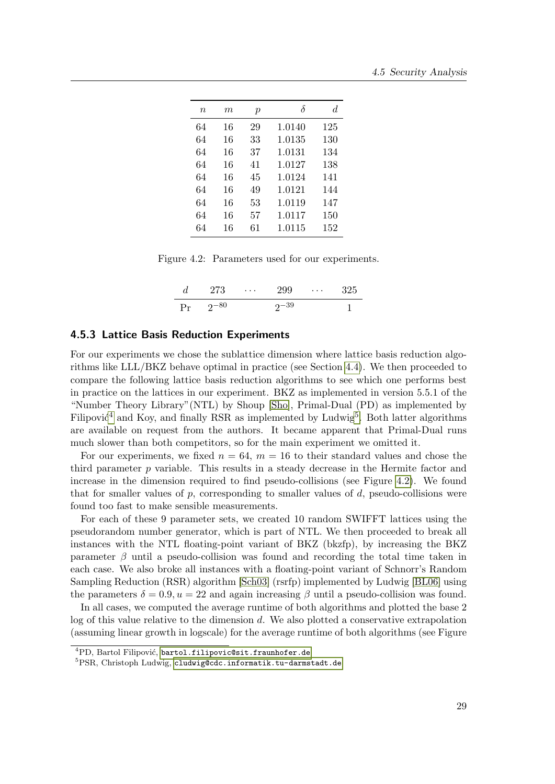| $\, n$ | $\,m$ | $\boldsymbol{p}$ |        | d.  |
|--------|-------|------------------|--------|-----|
| 64     | 16    | 29               | 1.0140 | 125 |
| 64     | 16    | 33               | 1.0135 | 130 |
| 64     | 16    | 37               | 1.0131 | 134 |
| 64     | 16    | 41               | 1.0127 | 138 |
| 64     | 16    | 45               | 1.0124 | 141 |
| 64     | 16    | 49               | 1.0121 | 144 |
| 64     | 16    | 53               | 1.0119 | 147 |
| 64     | 16    | 57               | 1.0117 | 150 |
| 64     | 16    | 61               | 1.0115 | 152 |

Figure 4.2: Parameters used for our experiments.

<span id="page-42-3"></span>

|    | 273       | $\cdots$ | 299       | $\cdots$ | -325 |
|----|-----------|----------|-----------|----------|------|
| Pr | $2^{-80}$ |          | $2^{-39}$ |          |      |

### <span id="page-42-0"></span>4.5.3 Lattice Basis Reduction Experiments

For our experiments we chose the sublattice dimension where lattice basis reduction algorithms like LLL/BKZ behave optimal in practice (see Section [4.4\)](#page-37-0). We then proceeded to compare the following lattice basis reduction algorithms to see which one performs best in practice on the lattices in our experiment. BKZ as implemented in version 5.5.1 of the "Number Theory Library"(NTL) by Shoup [\[Sho\]](#page-84-0), Primal-Dual (PD) as implemented by Filipović<sup>[4](#page-42-1)</sup> and Koy, and finally RSR as implemented by Ludwig<sup>[5](#page-42-2)</sup>. Both latter algorithms are available on request from the authors. It became apparent that Primal-Dual runs much slower than both competitors, so for the main experiment we omitted it.

For our experiments, we fixed  $n = 64$ ,  $m = 16$  to their standard values and chose the third parameter  $p$  variable. This results in a steady decrease in the Hermite factor and increase in the dimension required to find pseudo-collisions (see Figure [4.2\)](#page-42-3). We found that for smaller values of  $p$ , corresponding to smaller values of  $d$ , pseudo-collisions were found too fast to make sensible measurements.

For each of these 9 parameter sets, we created 10 random SWIFFT lattices using the pseudorandom number generator, which is part of NTL. We then proceeded to break all instances with the NTL floating-point variant of BKZ (bkzfp), by increasing the BKZ parameter  $\beta$  until a pseudo-collision was found and recording the total time taken in each case. We also broke all instances with a floating-point variant of Schnorr's Random Sampling Reduction (RSR) algorithm [\[Sch03\]](#page-84-1) (rsrfp) implemented by Ludwig [\[BL06\]](#page-79-1) using the parameters  $\delta = 0.9, u = 22$  and again increasing  $\beta$  until a pseudo-collision was found.

In all cases, we computed the average runtime of both algorithms and plotted the base 2 log of this value relative to the dimension d. We also plotted a conservative extrapolation (assuming linear growth in logscale) for the average runtime of both algorithms (see Figure

<span id="page-42-1"></span><sup>&</sup>lt;sup>4</sup>PD, Bartol Filipović, <bartol.filipovic@sit.fraunhofer.de>

<span id="page-42-2"></span><sup>5</sup>PSR, Christoph Ludwig, <cludwig@cdc.informatik.tu-darmstadt.de>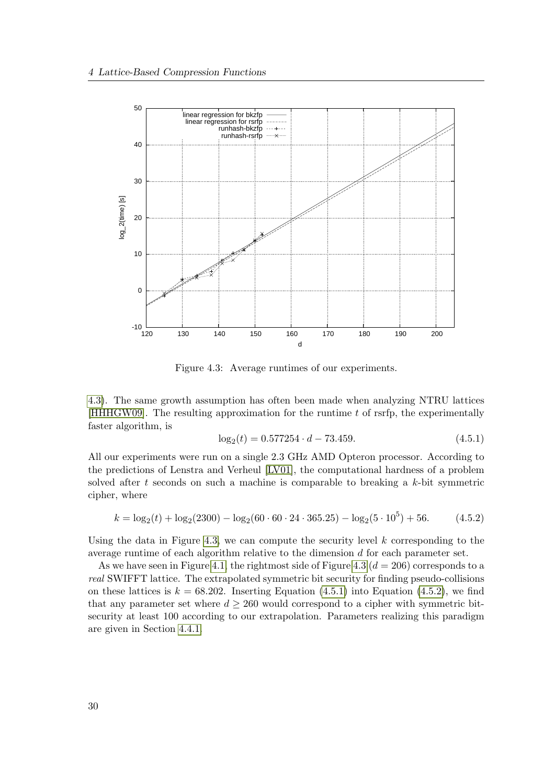

<span id="page-43-0"></span>Figure 4.3: Average runtimes of our experiments.

[4.3\)](#page-43-0). The same growth assumption has often been made when analyzing NTRU lattices [\[HHHGW09\]](#page-80-1). The resulting approximation for the runtime  $t$  of rsrfp, the experimentally faster algorithm, is

<span id="page-43-1"></span>
$$
\log_2(t) = 0.577254 \cdot d - 73.459. \tag{4.5.1}
$$

All our experiments were run on a single 2.3 GHz AMD Opteron processor. According to the predictions of Lenstra and Verheul [\[LV01\]](#page-82-1), the computational hardness of a problem solved after t seconds on such a machine is comparable to breaking a  $k$ -bit symmetric cipher, where

<span id="page-43-2"></span>
$$
k = \log_2(t) + \log_2(2300) - \log_2(60 \cdot 60 \cdot 24 \cdot 365.25) - \log_2(5 \cdot 10^5) + 56. \tag{4.5.2}
$$

Using the data in Figure [4.3,](#page-43-0) we can compute the security level  $k$  corresponding to the average runtime of each algorithm relative to the dimension d for each parameter set.

As we have seen in Figure [4.1,](#page-38-0) the rightmost side of Figure [4.3](#page-43-0) ( $d = 206$ ) corresponds to a real SWIFFT lattice. The extrapolated symmetric bit security for finding pseudo-collisions on these lattices is  $k = 68.202$ . Inserting Equation [\(4.5.1\)](#page-43-1) into Equation [\(4.5.2\)](#page-43-2), we find that any parameter set where  $d \geq 260$  would correspond to a cipher with symmetric bitsecurity at least 100 according to our extrapolation. Parameters realizing this paradigm are given in Section [4.4.1.](#page-38-2)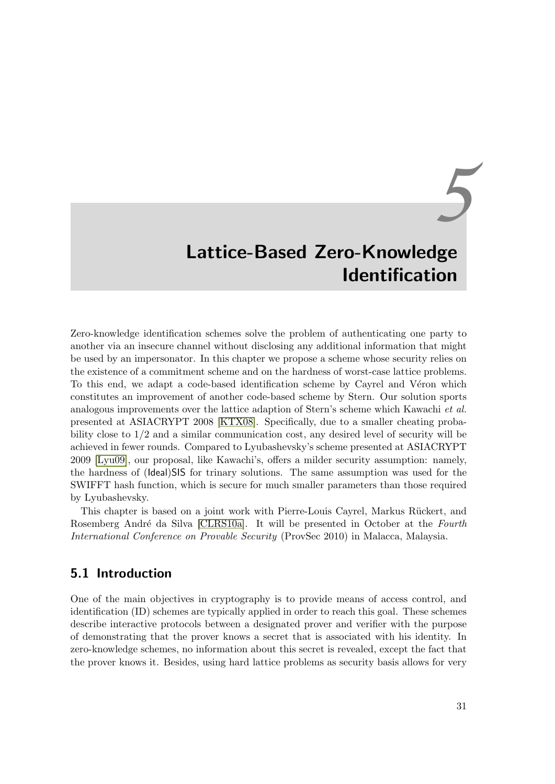# *5* Lattice-Based Zero-Knowledge Identification

Zero-knowledge identification schemes solve the problem of authenticating one party to another via an insecure channel without disclosing any additional information that might be used by an impersonator. In this chapter we propose a scheme whose security relies on the existence of a commitment scheme and on the hardness of worst-case lattice problems. To this end, we adapt a code-based identification scheme by Cayrel and Véron which constitutes an improvement of another code-based scheme by Stern. Our solution sports analogous improvements over the lattice adaption of Stern's scheme which Kawachi et al. presented at ASIACRYPT 2008 [\[KTX08\]](#page-81-2). Specifically, due to a smaller cheating probability close to 1/2 and a similar communication cost, any desired level of security will be achieved in fewer rounds. Compared to Lyubashevsky's scheme presented at ASIACRYPT 2009 [\[Lyu09\]](#page-82-2), our proposal, like Kawachi's, offers a milder security assumption: namely, the hardness of (Ideal)SIS for trinary solutions. The same assumption was used for the SWIFFT hash function, which is secure for much smaller parameters than those required by Lyubashevsky.

This chapter is based on a joint work with Pierre-Louis Cayrel, Markus Rückert, and Rosemberg André da Silva [\[CLRS10a\]](#page-4-1). It will be presented in October at the Fourth International Conference on Provable Security (ProvSec 2010) in Malacca, Malaysia.

# 5.1 Introduction

One of the main objectives in cryptography is to provide means of access control, and identification (ID) schemes are typically applied in order to reach this goal. These schemes describe interactive protocols between a designated prover and verifier with the purpose of demonstrating that the prover knows a secret that is associated with his identity. In zero-knowledge schemes, no information about this secret is revealed, except the fact that the prover knows it. Besides, using hard lattice problems as security basis allows for very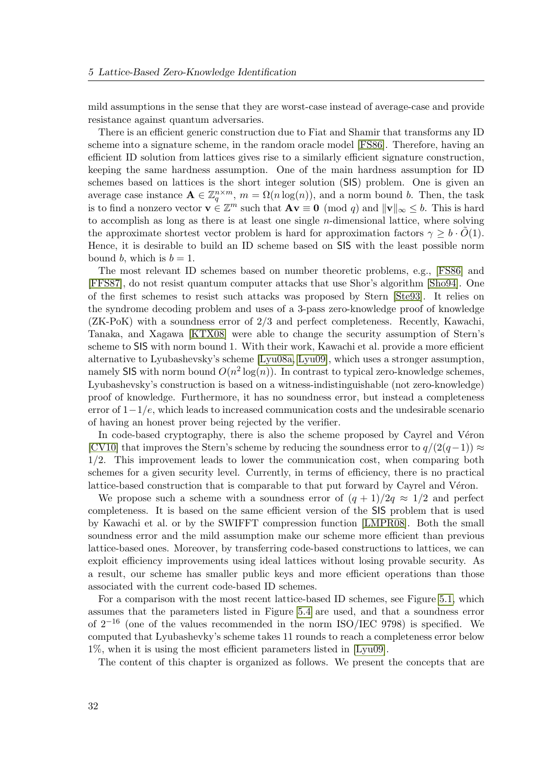mild assumptions in the sense that they are worst-case instead of average-case and provide resistance against quantum adversaries.

There is an efficient generic construction due to Fiat and Shamir that transforms any ID scheme into a signature scheme, in the random oracle model [\[FS86\]](#page-80-2). Therefore, having an efficient ID solution from lattices gives rise to a similarly efficient signature construction, keeping the same hardness assumption. One of the main hardness assumption for ID schemes based on lattices is the short integer solution (SIS) problem. One is given an average case instance  $\mathbf{A} \in \mathbb{Z}_q^{n \times m}$ ,  $m = \Omega(n \log(n))$ , and a norm bound b. Then, the task is to find a nonzero vector  $\mathbf{v} \in \mathbb{Z}^m$  such that  $\mathbf{A}\mathbf{v} \equiv \mathbf{0} \pmod{q}$  and  $\|\mathbf{v}\|_{\infty} \leq b$ . This is hard to accomplish as long as there is at least one single  $n$ -dimensional lattice, where solving the approximate shortest vector problem is hard for approximation factors  $\gamma \geq b \cdot O(1)$ . Hence, it is desirable to build an ID scheme based on SIS with the least possible norm bound b, which is  $b = 1$ .

The most relevant ID schemes based on number theoretic problems, e.g., [\[FS86\]](#page-80-2) and [\[FFS87\]](#page-80-3), do not resist quantum computer attacks that use Shor's algorithm [\[Sho94\]](#page-84-2). One of the first schemes to resist such attacks was proposed by Stern [\[Ste93\]](#page-84-3). It relies on the syndrome decoding problem and uses of a 3-pass zero-knowledge proof of knowledge (ZK-PoK) with a soundness error of 2/3 and perfect completeness. Recently, Kawachi, Tanaka, and Xagawa [\[KTX08\]](#page-81-2) were able to change the security assumption of Stern's scheme to SIS with norm bound 1. With their work, Kawachi et al. provide a more efficient alternative to Lyubashevsky's scheme [\[Lyu08a,](#page-82-3) [Lyu09\]](#page-82-2), which uses a stronger assumption, namely SIS with norm bound  $O(n^2 \log(n))$ . In contrast to typical zero-knowledge schemes, Lyubashevsky's construction is based on a witness-indistinguishable (not zero-knowledge) proof of knowledge. Furthermore, it has no soundness error, but instead a completeness error of  $1-\frac{1}{e}$ , which leads to increased communication costs and the undesirable scenario of having an honest prover being rejected by the verifier.

In code-based cryptography, there is also the scheme proposed by Cayrel and Véron [\[CV10\]](#page-79-2) that improves the Stern's scheme by reducing the soundness error to  $q/(2(q-1)) \approx$ 1/2. This improvement leads to lower the communication cost, when comparing both schemes for a given security level. Currently, in terms of efficiency, there is no practical lattice-based construction that is comparable to that put forward by Cayrel and Véron.

We propose such a scheme with a soundness error of  $(q + 1)/2q \approx 1/2$  and perfect completeness. It is based on the same efficient version of the SIS problem that is used by Kawachi et al. or by the SWIFFT compression function [\[LMPR08\]](#page-81-3). Both the small soundness error and the mild assumption make our scheme more efficient than previous lattice-based ones. Moreover, by transferring code-based constructions to lattices, we can exploit efficiency improvements using ideal lattices without losing provable security. As a result, our scheme has smaller public keys and more efficient operations than those associated with the current code-based ID schemes.

For a comparison with the most recent lattice-based ID schemes, see Figure [5.1,](#page-46-0) which assumes that the parameters listed in Figure [5.4](#page-56-0) are used, and that a soundness error of  $2^{-16}$  (one of the values recommended in the norm ISO/IEC 9798) is specified. We computed that Lyubashevky's scheme takes 11 rounds to reach a completeness error below 1%, when it is using the most efficient parameters listed in [\[Lyu09\]](#page-82-2).

The content of this chapter is organized as follows. We present the concepts that are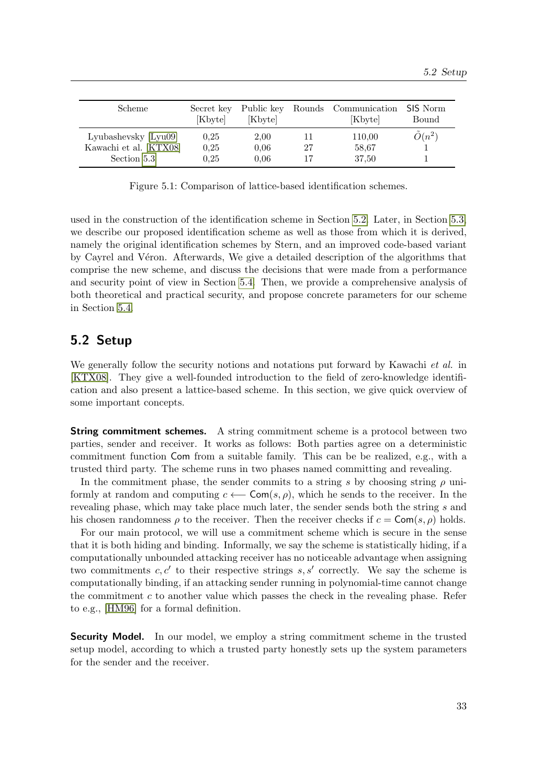| Scheme                 | Secret key<br>[Kbyte] | [Kbyte] |    | Public key Rounds Communication SIS Norm<br>Kbytel | Bound            |
|------------------------|-----------------------|---------|----|----------------------------------------------------|------------------|
| Lyubashevsky [Lyu09]   | 0.25                  | 2,00    |    | 110,00                                             | $\tilde{O}(n^2)$ |
| Kawachi et al. [KTX08] | 0.25                  | 0.06    | 27 | 58.67                                              |                  |
| Section 5.3            | 0.25                  | 0.06    | 17 | 37,50                                              |                  |

<span id="page-46-0"></span>Figure 5.1: Comparison of lattice-based identification schemes.

used in the construction of the identification scheme in Section [5.2.](#page-46-1) Later, in Section [5.3,](#page-47-0) we describe our proposed identification scheme as well as those from which it is derived, namely the original identification schemes by Stern, and an improved code-based variant by Cayrel and Véron. Afterwards, We give a detailed description of the algorithms that comprise the new scheme, and discuss the decisions that were made from a performance and security point of view in Section [5.4.](#page-52-0) Then, we provide a comprehensive analysis of both theoretical and practical security, and propose concrete parameters for our scheme in Section [5.4.](#page-52-0)

# <span id="page-46-1"></span>5.2 Setup

We generally follow the security notions and notations put forward by Kawachi *et al.* in [\[KTX08\]](#page-81-2). They give a well-founded introduction to the field of zero-knowledge identification and also present a lattice-based scheme. In this section, we give quick overview of some important concepts.

**String commitment schemes.** A string commitment scheme is a protocol between two parties, sender and receiver. It works as follows: Both parties agree on a deterministic commitment function Com from a suitable family. This can be be realized, e.g., with a trusted third party. The scheme runs in two phases named committing and revealing.

In the commitment phase, the sender commits to a string s by choosing string  $\rho$  uniformly at random and computing  $c \leftarrow \text{Com}(s, \rho)$ , which he sends to the receiver. In the revealing phase, which may take place much later, the sender sends both the string s and his chosen randomness  $\rho$  to the receiver. Then the receiver checks if  $c = \textsf{Com}(s, \rho)$  holds.

For our main protocol, we will use a commitment scheme which is secure in the sense that it is both hiding and binding. Informally, we say the scheme is statistically hiding, if a computationally unbounded attacking receiver has no noticeable advantage when assigning two commitments  $c, c'$  to their respective strings  $s, s'$  correctly. We say the scheme is computationally binding, if an attacking sender running in polynomial-time cannot change the commitment  $c$  to another value which passes the check in the revealing phase. Refer to e.g., [\[HM96\]](#page-81-4) for a formal definition.

**Security Model.** In our model, we employ a string commitment scheme in the trusted setup model, according to which a trusted party honestly sets up the system parameters for the sender and the receiver.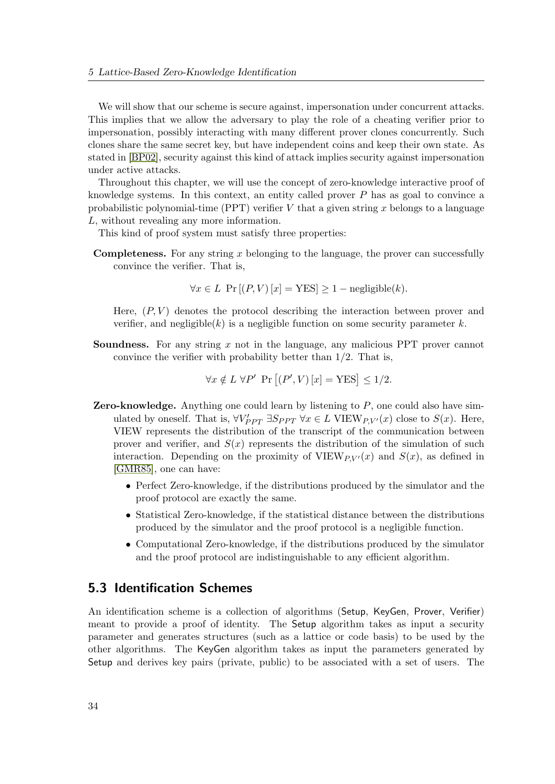We will show that our scheme is secure against, impersonation under concurrent attacks. This implies that we allow the adversary to play the role of a cheating verifier prior to impersonation, possibly interacting with many different prover clones concurrently. Such clones share the same secret key, but have independent coins and keep their own state. As stated in [\[BP02\]](#page-79-3), security against this kind of attack implies security against impersonation under active attacks.

Throughout this chapter, we will use the concept of zero-knowledge interactive proof of knowledge systems. In this context, an entity called prover  $P$  has as goal to convince a probabilistic polynomial-time (PPT) verifier  $V$  that a given string  $x$  belongs to a language L, without revealing any more information.

This kind of proof system must satisfy three properties:

**Completeness.** For any string x belonging to the language, the prover can successfully convince the verifier. That is,

 $\forall x \in L$  Pr  $[(P, V) [x] = \text{YES}] \ge 1 - \text{negligible}(k).$ 

Here,  $(P, V)$  denotes the protocol describing the interaction between prover and verifier, and negligible(k) is a negligible function on some security parameter k.

Soundness. For any string x not in the language, any malicious PPT prover cannot convince the verifier with probability better than  $1/2$ . That is,

$$
\forall x \notin L \,\,\forall P' \,\,\text{Pr}\left[ (P', V) \left[ x \right] = \text{YES} \right] \le 1/2.
$$

- **Zero-knowledge.** Anything one could learn by listening to  $P$ , one could also have simulated by oneself. That is,  $\forall V'_{PPT} \exists S_{PPT} \ \forall x \in L \text{ VIEW}_{P,V'}(x)$  close to  $S(x)$ . Here, VIEW represents the distribution of the transcript of the communication between prover and verifier, and  $S(x)$  represents the distribution of the simulation of such interaction. Depending on the proximity of VIEW<sub>P,V'</sub>(x) and  $S(x)$ , as defined in [\[GMR85\]](#page-80-4), one can have:
	- Perfect Zero-knowledge, if the distributions produced by the simulator and the proof protocol are exactly the same.
	- Statistical Zero-knowledge, if the statistical distance between the distributions produced by the simulator and the proof protocol is a negligible function.
	- Computational Zero-knowledge, if the distributions produced by the simulator and the proof protocol are indistinguishable to any efficient algorithm.

# <span id="page-47-0"></span>5.3 Identification Schemes

An identification scheme is a collection of algorithms (Setup, KeyGen, Prover, Verifier) meant to provide a proof of identity. The Setup algorithm takes as input a security parameter and generates structures (such as a lattice or code basis) to be used by the other algorithms. The KeyGen algorithm takes as input the parameters generated by Setup and derives key pairs (private, public) to be associated with a set of users. The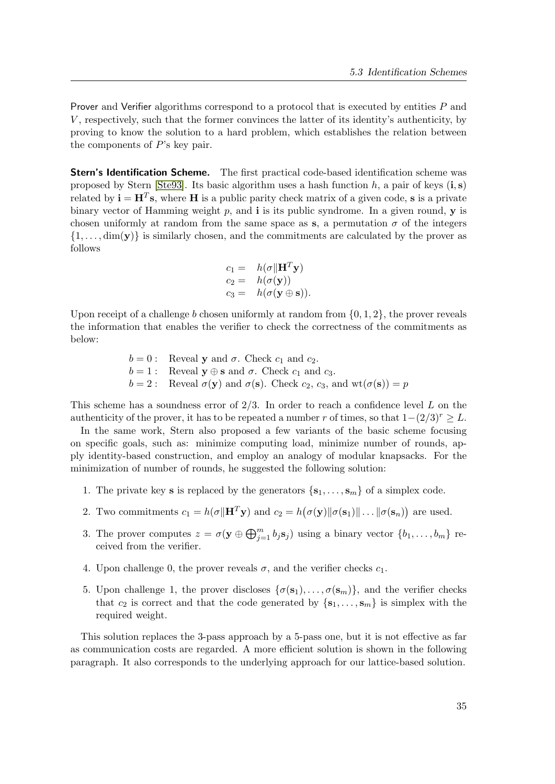Prover and Verifier algorithms correspond to a protocol that is executed by entities P and V , respectively, such that the former convinces the latter of its identity's authenticity, by proving to know the solution to a hard problem, which establishes the relation between the components of  $P$ 's key pair.

**Stern's Identification Scheme.** The first practical code-based identification scheme was proposed by Stern [\[Ste93\]](#page-84-3). Its basic algorithm uses a hash function h, a pair of keys  $(i, s)$ related by  $\mathbf{i} = \mathbf{H}^T \mathbf{s}$ , where **H** is a public parity check matrix of a given code, **s** is a private binary vector of Hamming weight p, and i is its public syndrome. In a given round,  $\bf{y}$  is chosen uniformly at random from the same space as s, a permutation  $\sigma$  of the integers  $\{1, \ldots, \dim(y)\}\$ is similarly chosen, and the commitments are calculated by the prover as follows

$$
c_1 = h(\sigma || \mathbf{H}^T \mathbf{y})
$$
  
\n
$$
c_2 = h(\sigma(\mathbf{y}))
$$
  
\n
$$
c_3 = h(\sigma(\mathbf{y} \oplus \mathbf{s})).
$$

Upon receipt of a challenge b chosen uniformly at random from  $\{0, 1, 2\}$ , the prover reveals the information that enables the verifier to check the correctness of the commitments as below:

> $b = 0$ : Reveal y and  $\sigma$ . Check  $c_1$  and  $c_2$ .  $b = 1:$  Reveal  $y \oplus s$  and  $\sigma$ . Check  $c_1$  and  $c_3$ .  $b = 2$ : Reveal  $\sigma(\mathbf{y})$  and  $\sigma(\mathbf{s})$ . Check  $c_2$ ,  $c_3$ , and  $\text{wt}(\sigma(\mathbf{s})) = p$

This scheme has a soundness error of  $2/3$ . In order to reach a confidence level L on the authenticity of the prover, it has to be repeated a number r of times, so that  $1-(2/3)^r \geq L$ .

In the same work, Stern also proposed a few variants of the basic scheme focusing on specific goals, such as: minimize computing load, minimize number of rounds, apply identity-based construction, and employ an analogy of modular knapsacks. For the minimization of number of rounds, he suggested the following solution:

- 1. The private key **s** is replaced by the generators  $\{s_1, \ldots, s_m\}$  of a simplex code.
- 2. Two commitments  $c_1 = h(\sigma || \mathbf{H}^T \mathbf{y})$  and  $c_2 = h(\sigma(\mathbf{y}) || \sigma(\mathbf{s}_1) || \dots || \sigma(\mathbf{s}_n))$  are used.
- 3. The prover computes  $z = \sigma(\mathbf{y} \oplus \bigoplus_{j=1}^{m} b_j s_j)$  using a binary vector  $\{b_1, \ldots, b_m\}$  received from the verifier.
- 4. Upon challenge 0, the prover reveals  $\sigma$ , and the verifier checks  $c_1$ .
- 5. Upon challenge 1, the prover discloses  $\{\sigma(s_1), \ldots, \sigma(s_m)\}\)$ , and the verifier checks that  $c_2$  is correct and that the code generated by  $\{s_1, \ldots, s_m\}$  is simplex with the required weight.

This solution replaces the 3-pass approach by a 5-pass one, but it is not effective as far as communication costs are regarded. A more efficient solution is shown in the following paragraph. It also corresponds to the underlying approach for our lattice-based solution.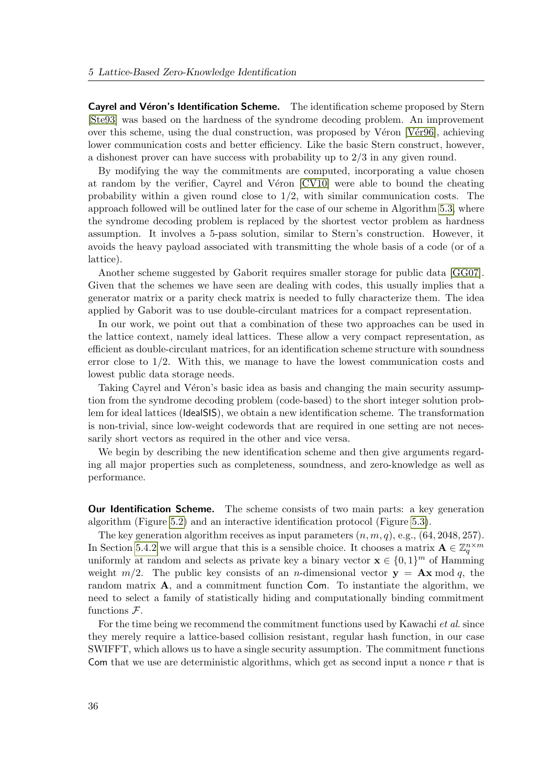Cayrel and Véron's Identification Scheme. The identification scheme proposed by Stern [\[Ste93\]](#page-84-3) was based on the hardness of the syndrome decoding problem. An improvement over this scheme, using the dual construction, was proposed by Véron [Vér96], achieving lower communication costs and better efficiency. Like the basic Stern construct, however, a dishonest prover can have success with probability up to 2/3 in any given round.

By modifying the way the commitments are computed, incorporating a value chosen at random by the verifier, Cayrel and Véron [\[CV10\]](#page-79-2) were able to bound the cheating probability within a given round close to  $1/2$ , with similar communication costs. The approach followed will be outlined later for the case of our scheme in Algorithm [5.3,](#page-50-0) where the syndrome decoding problem is replaced by the shortest vector problem as hardness assumption. It involves a 5-pass solution, similar to Stern's construction. However, it avoids the heavy payload associated with transmitting the whole basis of a code (or of a lattice).

Another scheme suggested by Gaborit requires smaller storage for public data [\[GG07\]](#page-80-5). Given that the schemes we have seen are dealing with codes, this usually implies that a generator matrix or a parity check matrix is needed to fully characterize them. The idea applied by Gaborit was to use double-circulant matrices for a compact representation.

In our work, we point out that a combination of these two approaches can be used in the lattice context, namely ideal lattices. These allow a very compact representation, as efficient as double-circulant matrices, for an identification scheme structure with soundness error close to 1/2. With this, we manage to have the lowest communication costs and lowest public data storage needs.

Taking Cayrel and Véron's basic idea as basis and changing the main security assumption from the syndrome decoding problem (code-based) to the short integer solution problem for ideal lattices (IdealSIS), we obtain a new identification scheme. The transformation is non-trivial, since low-weight codewords that are required in one setting are not necessarily short vectors as required in the other and vice versa.

We begin by describing the new identification scheme and then give arguments regarding all major properties such as completeness, soundness, and zero-knowledge as well as performance.

**Our Identification Scheme.** The scheme consists of two main parts: a key generation algorithm (Figure [5.2\)](#page-50-1) and an interactive identification protocol (Figure [5.3\)](#page-50-0).

The key generation algorithm receives as input parameters  $(n, m, q)$ , e.g.,  $(64, 2048, 257)$ . In Section [5.4.2](#page-55-0) we will argue that this is a sensible choice. It chooses a matrix  $\mathbf{A} \in \mathbb{Z}_q^{n \times m}$ uniformly at random and selects as private key a binary vector  $\mathbf{x} \in \{0,1\}^m$  of Hamming weight  $m/2$ . The public key consists of an *n*-dimensional vector  $y = Ax \mod q$ , the random matrix A, and a commitment function Com. To instantiate the algorithm, we need to select a family of statistically hiding and computationally binding commitment functions  $\mathcal{F}.$ 

For the time being we recommend the commitment functions used by Kawachi et al. since they merely require a lattice-based collision resistant, regular hash function, in our case SWIFFT, which allows us to have a single security assumption. The commitment functions Com that we use are deterministic algorithms, which get as second input a nonce  $r$  that is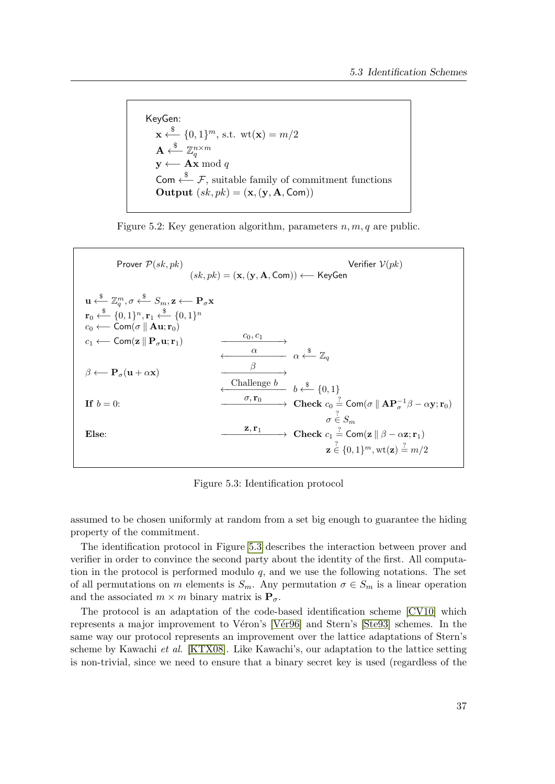KeyGen:  $\mathbf{x} \leftarrow \{0, 1\}^m$ , s.t.  $\text{wt}(\mathbf{x}) = m/2$  $\mathbf{A} \stackrel{\$}{\longleftarrow} \mathbb{Z}_q^{n \times m}$  $\mathbf{y} \longleftarrow \mathbf{A}\mathbf{x} \bmod q$ Com  $\stackrel{\$}{\leftarrow}$  F, suitable family of commitment functions Output  $(sk, pk) = (\mathbf{x}, (\mathbf{y}, \mathbf{A}, \mathsf{Com}))$ 

<span id="page-50-1"></span>

| Prover $P(sk, pk)$                                                                                                                                                                                                                                                                                                                                                                                                            | Verifier $V(pk)$<br>$(sk, pk) = (\mathbf{x}, (\mathbf{y}, \mathbf{A}, \mathsf{Com})) \longleftarrow$ KeyGen                                                                                                                                                                                            |
|-------------------------------------------------------------------------------------------------------------------------------------------------------------------------------------------------------------------------------------------------------------------------------------------------------------------------------------------------------------------------------------------------------------------------------|--------------------------------------------------------------------------------------------------------------------------------------------------------------------------------------------------------------------------------------------------------------------------------------------------------|
| $\mathbf{u} \stackrel{\$}{\longleftarrow} \mathbb{Z}_a^m, \sigma \stackrel{\$}{\longleftarrow} S_m, \mathbf{z} \longleftarrow \mathbf{P}_{\sigma} \mathbf{x}$<br>$\mathbf{r}_0 \xleftarrow{\$} \{0,1\}^n, \mathbf{r}_1 \xleftarrow{\$} \{0,1\}^n$<br>$c_0 \longleftarrow$ Com( $\sigma \parallel$ <b>Au</b> ; $\mathbf{r}_0$ )<br>$c_1 \longleftarrow$ Com(z $\parallel$ P <sub><math>\sigma</math></sub> u; r <sub>1</sub> ) | $c_0, c_1$                                                                                                                                                                                                                                                                                             |
| $\beta \longleftarrow P_{\sigma}(\mathbf{u} + \alpha \mathbf{x})$<br>If $b=0$ :                                                                                                                                                                                                                                                                                                                                               | $\frac{\alpha}{\alpha}$ $\alpha \stackrel{\$}{\longleftarrow} \mathbb{Z}_a$<br>β<br>Challenge $b$ $b \xleftarrow{\$} \{0,1\}$<br>$\sigma, \mathbf{r}_0$ $\longrightarrow$ Check $c_0 \stackrel{?}{=} \textsf{Com}(\sigma \ \mathbf{A}\mathbf{P}_{\sigma}^{-1}\beta - \alpha \mathbf{y}; \mathbf{r}_0)$ |
| Else:                                                                                                                                                                                                                                                                                                                                                                                                                         | $\sigma \in S_m$<br>$\mathbf{z}, \mathbf{r}_1$<br>$\rightarrow$ Check $c_1 \stackrel{?}{=}$ Com(z    $\beta - \alpha z; \mathbf{r}_1$ )<br>$\mathbf{z} \in \{0,1\}^m$ , wt $(\mathbf{z}) \stackrel{?}{=} m/2$                                                                                          |

<span id="page-50-0"></span>Figure 5.3: Identification protocol

assumed to be chosen uniformly at random from a set big enough to guarantee the hiding property of the commitment.

The identification protocol in Figure [5.3](#page-50-0) describes the interaction between prover and verifier in order to convince the second party about the identity of the first. All computation in the protocol is performed modulo  $q$ , and we use the following notations. The set of all permutations on m elements is  $S_m$ . Any permutation  $\sigma \in S_m$  is a linear operation and the associated  $m \times m$  binary matrix is  $P_{\sigma}$ .

The protocol is an adaptation of the code-based identification scheme [\[CV10\]](#page-79-2) which represents a major improvement to Véron's [Vér96] and Stern's [\[Ste93\]](#page-84-3) schemes. In the same way our protocol represents an improvement over the lattice adaptations of Stern's scheme by Kawachi et al. [\[KTX08\]](#page-81-2). Like Kawachi's, our adaptation to the lattice setting is non-trivial, since we need to ensure that a binary secret key is used (regardless of the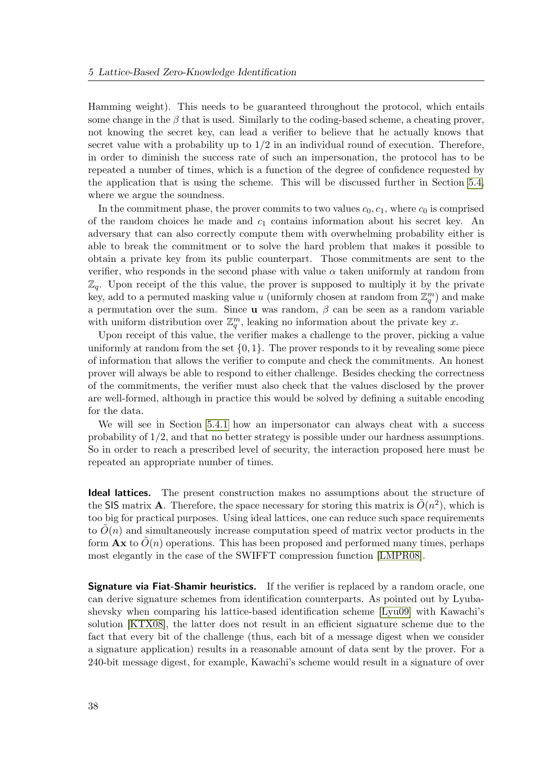Hamming weight). This needs to be guaranteed throughout the protocol, which entails some change in the  $\beta$  that is used. Similarly to the coding-based scheme, a cheating prover, not knowing the secret key, can lead a verifier to believe that he actually knows that secret value with a probability up to  $1/2$  in an individual round of execution. Therefore, in order to diminish the success rate of such an impersonation, the protocol has to be repeated a number of times, which is a function of the degree of confidence requested by the application that is using the scheme. This will be discussed further in Section [5.4,](#page-52-0) where we argue the soundness.

In the commitment phase, the prover commits to two values  $c_0, c_1$ , where  $c_0$  is comprised of the random choices he made and  $c_1$  contains information about his secret key. An adversary that can also correctly compute them with overwhelming probability either is able to break the commitment or to solve the hard problem that makes it possible to obtain a private key from its public counterpart. Those commitments are sent to the verifier, who responds in the second phase with value  $\alpha$  taken uniformly at random from  $\mathbb{Z}_q$ . Upon receipt of the this value, the prover is supposed to multiply it by the private key, add to a permuted masking value u (uniformly chosen at random from  $\mathbb{Z}_q^m$ ) and make a permutation over the sum. Since **u** was random,  $\beta$  can be seen as a random variable with uniform distribution over  $\mathbb{Z}_q^m$ , leaking no information about the private key x.

Upon receipt of this value, the verifier makes a challenge to the prover, picking a value uniformly at random from the set  $\{0, 1\}$ . The prover responds to it by revealing some piece of information that allows the verifier to compute and check the commitments. An honest prover will always be able to respond to either challenge. Besides checking the correctness of the commitments, the verifier must also check that the values disclosed by the prover are well-formed, although in practice this would be solved by defining a suitable encoding for the data.

We will see in Section [5.4.1](#page-55-1) how an impersonator can always cheat with a success probability of 1/2, and that no better strategy is possible under our hardness assumptions. So in order to reach a prescribed level of security, the interaction proposed here must be repeated an appropriate number of times.

Ideal lattices. The present construction makes no assumptions about the structure of the SIS matrix **A**. Therefore, the space necessary for storing this matrix is  $\tilde{O}(n^2)$ , which is too big for practical purposes. Using ideal lattices, one can reduce such space requirements to  $O(n)$  and simultaneously increase computation speed of matrix vector products in the form  $\mathbf{A} \mathbf{x}$  to  $O(n)$  operations. This has been proposed and performed many times, perhaps most elegantly in the case of the SWIFFT compression function [\[LMPR08\]](#page-81-3).

**Signature via Fiat-Shamir heuristics.** If the verifier is replaced by a random oracle, one can derive signature schemes from identification counterparts. As pointed out by Lyubashevsky when comparing his lattice-based identification scheme [\[Lyu09\]](#page-82-2) with Kawachi's solution [\[KTX08\]](#page-81-2), the latter does not result in an efficient signature scheme due to the fact that every bit of the challenge (thus, each bit of a message digest when we consider a signature application) results in a reasonable amount of data sent by the prover. For a 240-bit message digest, for example, Kawachi's scheme would result in a signature of over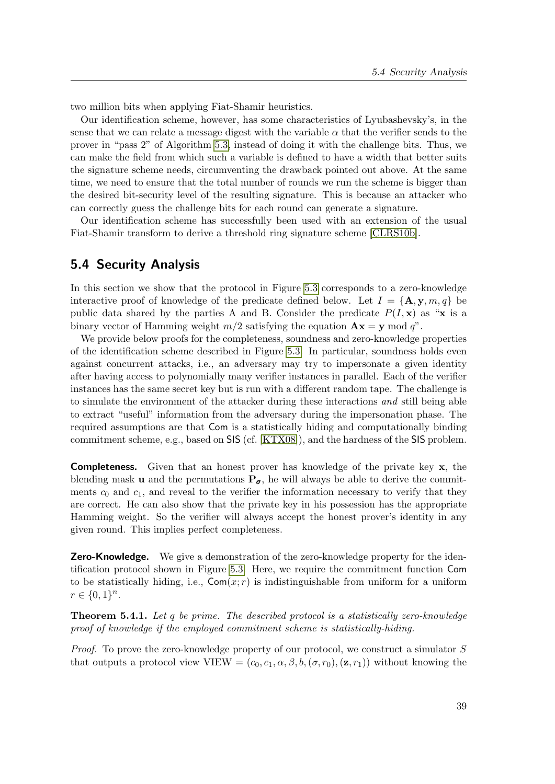two million bits when applying Fiat-Shamir heuristics.

Our identification scheme, however, has some characteristics of Lyubashevsky's, in the sense that we can relate a message digest with the variable  $\alpha$  that the verifier sends to the prover in "pass 2" of Algorithm [5.3,](#page-50-0) instead of doing it with the challenge bits. Thus, we can make the field from which such a variable is defined to have a width that better suits the signature scheme needs, circumventing the drawback pointed out above. At the same time, we need to ensure that the total number of rounds we run the scheme is bigger than the desired bit-security level of the resulting signature. This is because an attacker who can correctly guess the challenge bits for each round can generate a signature.

Our identification scheme has successfully been used with an extension of the usual Fiat-Shamir transform to derive a threshold ring signature scheme [\[CLRS10b\]](#page-4-2).

# <span id="page-52-0"></span>5.4 Security Analysis

In this section we show that the protocol in Figure [5.3](#page-50-0) corresponds to a zero-knowledge interactive proof of knowledge of the predicate defined below. Let  $I = {\mathbf{A}, \mathbf{y}, m, q}$  be public data shared by the parties A and B. Consider the predicate  $P(I, x)$  as "x is a binary vector of Hamming weight  $m/2$  satisfying the equation  $\mathbf{A}\mathbf{x} = \mathbf{y} \mod q$ ".

We provide below proofs for the completeness, soundness and zero-knowledge properties of the identification scheme described in Figure [5.3.](#page-50-0) In particular, soundness holds even against concurrent attacks, i.e., an adversary may try to impersonate a given identity after having access to polynomially many verifier instances in parallel. Each of the verifier instances has the same secret key but is run with a different random tape. The challenge is to simulate the environment of the attacker during these interactions and still being able to extract "useful" information from the adversary during the impersonation phase. The required assumptions are that Com is a statistically hiding and computationally binding commitment scheme, e.g., based on SIS (cf. [\[KTX08\]](#page-81-2)), and the hardness of the SIS problem.

Completeness. Given that an honest prover has knowledge of the private key x, the blending mask **u** and the permutations  $P_{\sigma}$ , he will always be able to derive the commitments  $c_0$  and  $c_1$ , and reveal to the verifier the information necessary to verify that they are correct. He can also show that the private key in his possession has the appropriate Hamming weight. So the verifier will always accept the honest prover's identity in any given round. This implies perfect completeness.

**Zero-Knowledge.** We give a demonstration of the zero-knowledge property for the identification protocol shown in Figure [5.3.](#page-50-0) Here, we require the commitment function Com to be statistically hiding, i.e.,  $\text{Com}(x; r)$  is indistinguishable from uniform for a uniform  $r \in \{0,1\}^n$ .

**Theorem 5.4.1.** Let q be prime. The described protocol is a statistically zero-knowledge proof of knowledge if the employed commitment scheme is statistically-hiding.

Proof. To prove the zero-knowledge property of our protocol, we construct a simulator S that outputs a protocol view VIEW =  $(c_0, c_1, \alpha, \beta, b, (\sigma, r_0), (\mathbf{z}, r_1))$  without knowing the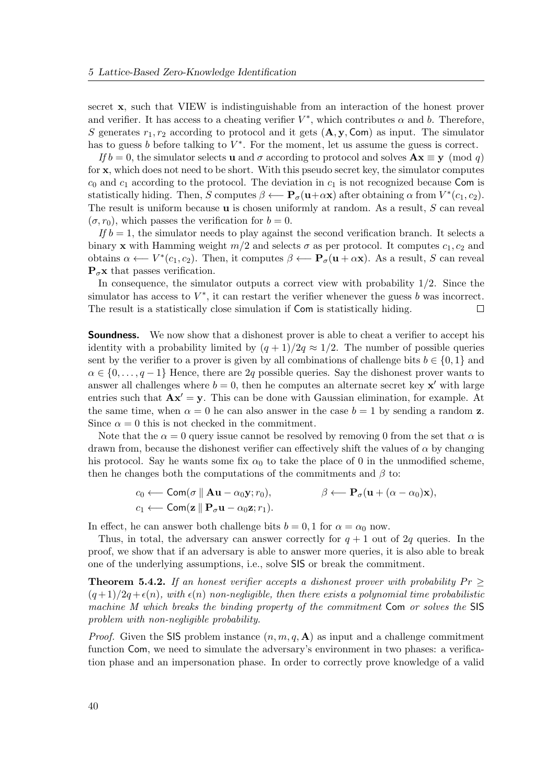secret x, such that VIEW is indistinguishable from an interaction of the honest prover and verifier. It has access to a cheating verifier  $V^*$ , which contributes  $\alpha$  and  $b$ . Therefore, S generates  $r_1, r_2$  according to protocol and it gets  $(\mathbf{A}, \mathbf{y}, \mathbf{Com})$  as input. The simulator has to guess  $b$  before talking to  $V^*$ . For the moment, let us assume the guess is correct.

If  $b = 0$ , the simulator selects **u** and  $\sigma$  according to protocol and solves  $\mathbf{A}\mathbf{x} \equiv \mathbf{y} \pmod{q}$ for x, which does not need to be short. With this pseudo secret key, the simulator computes  $c_0$  and  $c_1$  according to the protocol. The deviation in  $c_1$  is not recognized because Com is statistically hiding. Then, S computes  $\beta \leftarrow \mathbf{P}_{\sigma}(\mathbf{u}+\alpha \mathbf{x})$  after obtaining  $\alpha$  from  $V^*(c_1, c_2)$ . The result is uniform because  $\bf{u}$  is chosen uniformly at random. As a result, S can reveal  $(\sigma, r_0)$ , which passes the verification for  $b = 0$ .

If  $b = 1$ , the simulator needs to play against the second verification branch. It selects a binary x with Hamming weight  $m/2$  and selects  $\sigma$  as per protocol. It computes  $c_1, c_2$  and obtains  $\alpha \leftarrow V^*(c_1, c_2)$ . Then, it computes  $\beta \leftarrow \mathbf{P}_{\sigma}(\mathbf{u} + \alpha \mathbf{x})$ . As a result, S can reveal  $P_{\sigma}$ x that passes verification.

In consequence, the simulator outputs a correct view with probability  $1/2$ . Since the simulator has access to  $V^*$ , it can restart the verifier whenever the guess b was incorrect. The result is a statistically close simulation if Com is statistically hiding.  $\Box$ 

**Soundness.** We now show that a dishonest prover is able to cheat a verifier to accept his identity with a probability limited by  $(q + 1)/2q \approx 1/2$ . The number of possible queries sent by the verifier to a prover is given by all combinations of challenge bits  $b \in \{0,1\}$  and  $\alpha \in \{0, \ldots, q-1\}$  Hence, there are 2q possible queries. Say the dishonest prover wants to answer all challenges where  $b = 0$ , then he computes an alternate secret key  $x'$  with large entries such that  $\mathbf{A} \mathbf{x}' = \mathbf{y}$ . This can be done with Gaussian elimination, for example. At the same time, when  $\alpha = 0$  he can also answer in the case  $b = 1$  by sending a random z. Since  $\alpha = 0$  this is not checked in the commitment.

Note that the  $\alpha = 0$  query issue cannot be resolved by removing 0 from the set that  $\alpha$  is drawn from, because the dishonest verifier can effectively shift the values of  $\alpha$  by changing his protocol. Say he wants some fix  $\alpha_0$  to take the place of 0 in the unmodified scheme, then he changes both the computations of the commitments and  $\beta$  to:

$$
c_0 \longleftarrow \text{Com}(\sigma \parallel \mathbf{A} \mathbf{u} - \alpha_0 \mathbf{y}; r_0), \qquad \beta \longleftarrow \mathbf{P}_{\sigma}(\mathbf{u} + (\alpha - \alpha_0) \mathbf{x}),
$$
  

$$
c_1 \longleftarrow \text{Com}(\mathbf{z} \parallel \mathbf{P}_{\sigma} \mathbf{u} - \alpha_0 \mathbf{z}; r_1).
$$

In effect, he can answer both challenge bits  $b = 0, 1$  for  $\alpha = \alpha_0$  now.

Thus, in total, the adversary can answer correctly for  $q + 1$  out of 2q queries. In the proof, we show that if an adversary is able to answer more queries, it is also able to break one of the underlying assumptions, i.e., solve SIS or break the commitment.

**Theorem 5.4.2.** If an honest verifier accepts a dishonest prover with probability  $Pr$  $(q+1)/2q+\epsilon(n)$ , with  $\epsilon(n)$  non-negligible, then there exists a polynomial time probabilistic machine M which breaks the binding property of the commitment Com or solves the SIS problem with non-negligible probability.

*Proof.* Given the SIS problem instance  $(n, m, q, \mathbf{A})$  as input and a challenge commitment function Com, we need to simulate the adversary's environment in two phases: a verification phase and an impersonation phase. In order to correctly prove knowledge of a valid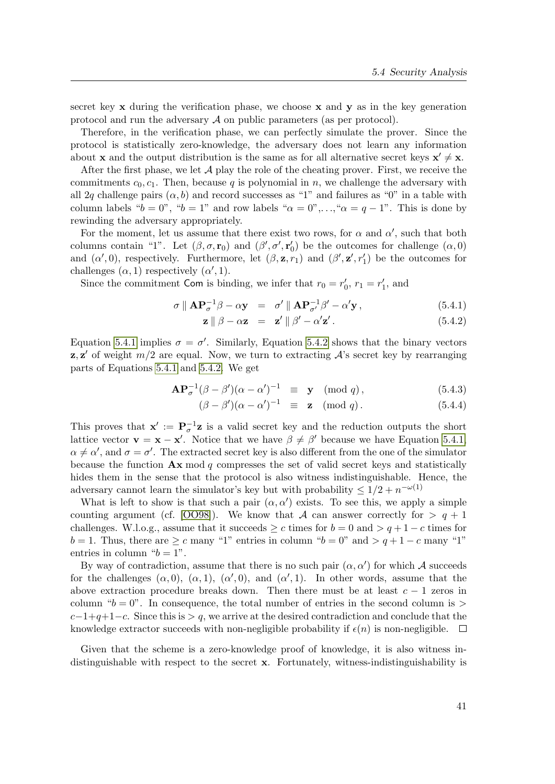secret key  $x$  during the verification phase, we choose  $x$  and  $y$  as in the key generation protocol and run the adversary  $\mathcal A$  on public parameters (as per protocol).

Therefore, in the verification phase, we can perfectly simulate the prover. Since the protocol is statistically zero-knowledge, the adversary does not learn any information about **x** and the output distribution is the same as for all alternative secret keys  $x' \neq x$ .

After the first phase, we let  $A$  play the role of the cheating prover. First, we receive the commitments  $c_0, c_1$ . Then, because q is polynomial in n, we challenge the adversary with all 2q challenge pairs  $(\alpha, b)$  and record successes as "1" and failures as "0" in a table with column labels " $b = 0$ ", " $b = 1$ " and row labels " $\alpha = 0$ ",...," $\alpha = q - 1$ ". This is done by rewinding the adversary appropriately.

For the moment, let us assume that there exist two rows, for  $\alpha$  and  $\alpha'$ , such that both columns contain "1". Let  $(\beta, \sigma, \mathbf{r}_0)$  and  $(\beta', \sigma', \mathbf{r}'_0)$  be the outcomes for challenge  $(\alpha, 0)$ and  $(\alpha', 0)$ , respectively. Furthermore, let  $(\beta, \mathbf{z}, r_1)$  and  $(\beta', \mathbf{z}', r_1')$  be the outcomes for challenges  $(\alpha, 1)$  respectively  $(\alpha', 1)$ .

Since the commitment Com is binding, we infer that  $r_0 = r'_0$ ,  $r_1 = r'_1$ , and

<span id="page-54-0"></span>
$$
\sigma \parallel \mathbf{A} \mathbf{P}_{\sigma}^{-1} \beta - \alpha \mathbf{y} = \sigma' \parallel \mathbf{A} \mathbf{P}_{\sigma'}^{-1} \beta' - \alpha' \mathbf{y}, \qquad (5.4.1)
$$

$$
\mathbf{z} \parallel \beta - \alpha \mathbf{z} = \mathbf{z}' \parallel \beta' - \alpha' \mathbf{z}'. \tag{5.4.2}
$$

Equation [5.4.1](#page-54-0) implies  $\sigma = \sigma'$ . Similarly, Equation [5.4.2](#page-54-0) shows that the binary vectors  $z, z'$  of weight  $m/2$  are equal. Now, we turn to extracting  $A$ 's secret key by rearranging parts of Equations [5.4.1](#page-54-0) and [5.4.2.](#page-54-0) We get

$$
\mathbf{A}\mathbf{P}_{\sigma}^{-1}(\beta - \beta')(\alpha - \alpha')^{-1} \equiv \mathbf{y} \pmod{q},\tag{5.4.3}
$$

$$
(\beta - \beta')(\alpha - \alpha')^{-1} \equiv \mathbf{z} \pmod{q}. \tag{5.4.4}
$$

This proves that  $\mathbf{x}' := \mathbf{P}_{\sigma}^{-1}\mathbf{z}$  is a valid secret key and the reduction outputs the short lattice vector  $\mathbf{v} = \mathbf{x} - \mathbf{x}'$ . Notice that we have  $\beta \neq \beta'$  because we have Equation [5.4.1,](#page-54-0)  $\alpha \neq \alpha'$ , and  $\sigma = \sigma'$ . The extracted secret key is also different from the one of the simulator because the function  $\mathbf{A} \mathbf{x}$  mod q compresses the set of valid secret keys and statistically hides them in the sense that the protocol is also witness indistinguishable. Hence, the adversary cannot learn the simulator's key but with probability  $\leq 1/2 + n^{-\omega(1)}$ 

What is left to show is that such a pair  $(\alpha, \alpha')$  exists. To see this, we apply a simple counting argument (cf. [\[OO98\]](#page-83-1)). We know that A can answer correctly for  $> q + 1$ challenges. W.l.o.g., assume that it succeeds  $\geq c$  times for  $b = 0$  and  $> q + 1 - c$  times for  $b = 1$ . Thus, there are  $\geq c$  many "1" entries in column " $b = 0$ " and  $\geq q + 1 - c$  many "1" entries in column " $b = 1$ ".

By way of contradiction, assume that there is no such pair  $(\alpha, \alpha')$  for which A succeeds for the challenges  $(\alpha, 0)$ ,  $(\alpha, 1)$ ,  $(\alpha', 0)$ , and  $(\alpha', 1)$ . In other words, assume that the above extraction procedure breaks down. Then there must be at least  $c - 1$  zeros in column " $b = 0$ ". In consequence, the total number of entries in the second column is >  $c-1+q+1-c$ . Since this is  $> q$ , we arrive at the desired contradiction and conclude that the knowledge extractor succeeds with non-negligible probability if  $\epsilon(n)$  is non-negligible.  $\Box$ 

Given that the scheme is a zero-knowledge proof of knowledge, it is also witness indistinguishable with respect to the secret x. Fortunately, witness-indistinguishability is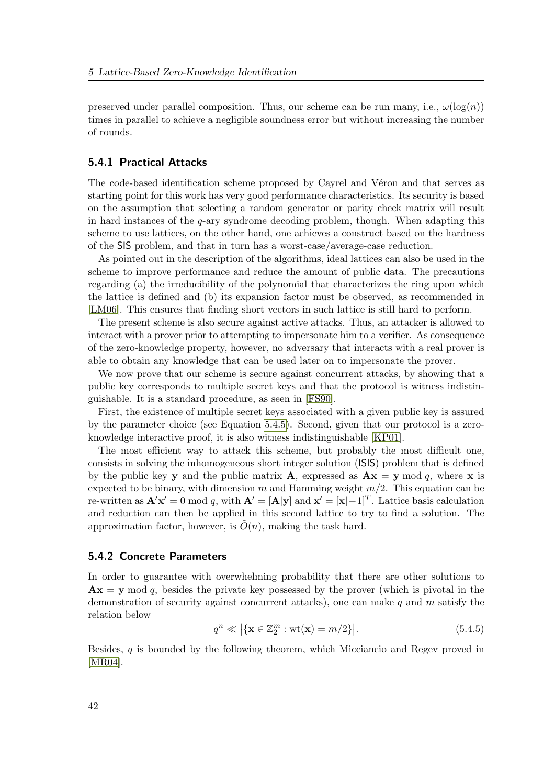preserved under parallel composition. Thus, our scheme can be run many, i.e.,  $\omega(\log(n))$ times in parallel to achieve a negligible soundness error but without increasing the number of rounds.

### <span id="page-55-1"></span>5.4.1 Practical Attacks

The code-based identification scheme proposed by Cayrel and Véron and that serves as starting point for this work has very good performance characteristics. Its security is based on the assumption that selecting a random generator or parity check matrix will result in hard instances of the q-ary syndrome decoding problem, though. When adapting this scheme to use lattices, on the other hand, one achieves a construct based on the hardness of the SIS problem, and that in turn has a worst-case/average-case reduction.

As pointed out in the description of the algorithms, ideal lattices can also be used in the scheme to improve performance and reduce the amount of public data. The precautions regarding (a) the irreducibility of the polynomial that characterizes the ring upon which the lattice is defined and (b) its expansion factor must be observed, as recommended in [\[LM06\]](#page-81-1). This ensures that finding short vectors in such lattice is still hard to perform.

The present scheme is also secure against active attacks. Thus, an attacker is allowed to interact with a prover prior to attempting to impersonate him to a verifier. As consequence of the zero-knowledge property, however, no adversary that interacts with a real prover is able to obtain any knowledge that can be used later on to impersonate the prover.

We now prove that our scheme is secure against concurrent attacks, by showing that a public key corresponds to multiple secret keys and that the protocol is witness indistinguishable. It is a standard procedure, as seen in [\[FS90\]](#page-80-6).

First, the existence of multiple secret keys associated with a given public key is assured by the parameter choice (see Equation [5.4.5\)](#page-55-2). Second, given that our protocol is a zeroknowledge interactive proof, it is also witness indistinguishable [\[KP01\]](#page-81-5).

The most efficient way to attack this scheme, but probably the most difficult one, consists in solving the inhomogeneous short integer solution (ISIS) problem that is defined by the public key y and the public matrix **A**, expressed as  $\mathbf{A} \times \mathbf{x} = \mathbf{y} \mod q$ , where x is expected to be binary, with dimension m and Hamming weight  $m/2$ . This equation can be re-written as  $\mathbf{A}'\mathbf{x}' = 0 \bmod q$ , with  $\mathbf{A}' = [\mathbf{A}|\mathbf{y}]$  and  $\mathbf{x}' = [\mathbf{x}|-1]^T$ . Lattice basis calculation and reduction can then be applied in this second lattice to try to find a solution. The approximation factor, however, is  $\tilde{O}(n)$ , making the task hard.

### <span id="page-55-0"></span>5.4.2 Concrete Parameters

In order to guarantee with overwhelming probability that there are other solutions to  $\mathbf{A}\mathbf{x} = \mathbf{y} \mod q$ , besides the private key possessed by the prover (which is pivotal in the demonstration of security against concurrent attacks), one can make  $q$  and  $m$  satisfy the relation below

<span id="page-55-2"></span>
$$
q^n \ll \left| \{ \mathbf{x} \in \mathbb{Z}_2^m : \text{wt}(\mathbf{x}) = m/2 \} \right|.
$$
 (5.4.5)

<span id="page-55-3"></span>Besides, q is bounded by the following theorem, which Micciancio and Regev proved in [\[MR04\]](#page-82-4).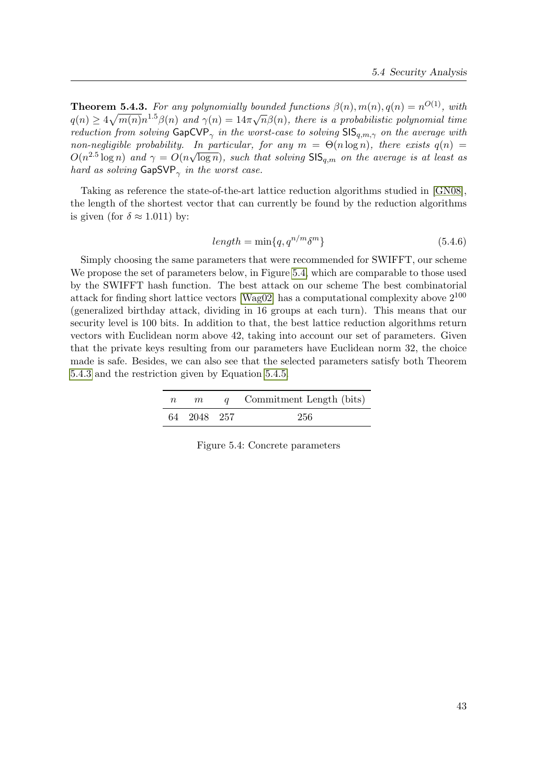**Theorem 5.4.3.** For any polynomially bounded functions  $\beta(n)$ ,  $m(n)$ ,  $q(n) = n^{O(1)}$ , with **Theorem 3.4.3.** For any polynomially bounded functions  $p(n)$ ,  $m(n)$ ,  $q(n) = n \rightarrow \infty$ , with<br> $q(n) \ge 4\sqrt{m(n)}n^{1.5}\beta(n)$  and  $\gamma(n) = 14\pi\sqrt{n}\beta(n)$ , there is a probabilistic polynomial time reduction from solving  $\mathsf{GapCVP}_{\gamma}$  in the worst-case to solving  $\mathsf{SIS}_{q,m,\gamma}$  on the average with non-negligible probability. In particular, for any  $m = \Theta(n \log n)$ , there exists  $q(n) = \Theta(n \log n)$  $O(n^{2.5} \log n)$  and  $\gamma = O(n\sqrt{\log n})$ , such that solving  $\textsf{SIS}_{q,m}$  on the average is at least as hard as solving  $\mathsf{GapSVP}_{\gamma}$  in the worst case.

Taking as reference the state-of-the-art lattice reduction algorithms studied in [\[GN08\]](#page-80-0), the length of the shortest vector that can currently be found by the reduction algorithms is given (for  $\delta \approx 1.011$ ) by:

$$
length = \min\{q, q^{n/m} \delta^m\} \tag{5.4.6}
$$

Simply choosing the same parameters that were recommended for SWIFFT, our scheme We propose the set of parameters below, in Figure [5.4,](#page-56-0) which are comparable to those used by the SWIFFT hash function. The best attack on our scheme The best combinatorial attack for finding short lattice vectors [\[Wag02\]](#page-84-5) has a computational complexity above  $2^{100}$ (generalized birthday attack, dividing in 16 groups at each turn). This means that our security level is 100 bits. In addition to that, the best lattice reduction algorithms return vectors with Euclidean norm above 42, taking into account our set of parameters. Given that the private keys resulting from our parameters have Euclidean norm 32, the choice made is safe. Besides, we can also see that the selected parameters satisfy both Theorem [5.4.3](#page-55-3) and the restriction given by Equation [5.4.5.](#page-55-2)

| $n_{\parallel}$ | m           | q Commitment Length (bits) |
|-----------------|-------------|----------------------------|
|                 | 64 2048 257 | 256                        |

<span id="page-56-0"></span>Figure 5.4: Concrete parameters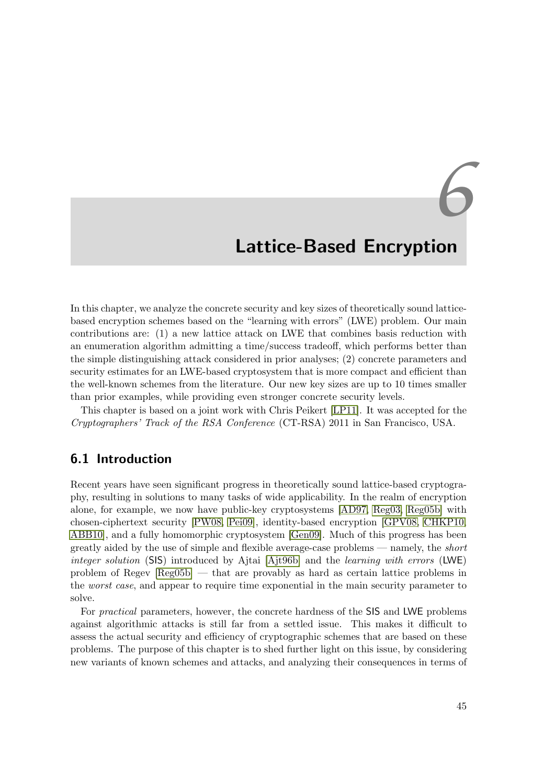# *6* Lattice-Based Encryption

In this chapter, we analyze the concrete security and key sizes of theoretically sound latticebased encryption schemes based on the "learning with errors" (LWE) problem. Our main contributions are: (1) a new lattice attack on LWE that combines basis reduction with an enumeration algorithm admitting a time/success tradeoff, which performs better than the simple distinguishing attack considered in prior analyses; (2) concrete parameters and security estimates for an LWE-based cryptosystem that is more compact and efficient than the well-known schemes from the literature. Our new key sizes are up to 10 times smaller than prior examples, while providing even stronger concrete security levels.

This chapter is based on a joint work with Chris Peikert [\[LP11\]](#page-5-0). It was accepted for the Cryptographers' Track of the RSA Conference (CT-RSA) 2011 in San Francisco, USA.

# 6.1 Introduction

Recent years have seen significant progress in theoretically sound lattice-based cryptography, resulting in solutions to many tasks of wide applicability. In the realm of encryption alone, for example, we now have public-key cryptosystems [\[AD97,](#page-78-0) [Reg03,](#page-83-2) [Reg05b\]](#page-83-3) with chosen-ciphertext security [\[PW08,](#page-83-4) [Pei09\]](#page-83-5), identity-based encryption [\[GPV08,](#page-80-7) [CHKP10,](#page-79-4) [ABB10\]](#page-78-1), and a fully homomorphic cryptosystem [\[Gen09\]](#page-80-8). Much of this progress has been greatly aided by the use of simple and flexible average-case problems — namely, the short integer solution (SIS) introduced by Ajtai [\[Ajt96b\]](#page-78-2) and the learning with errors (LWE) problem of Regev [\[Reg05b\]](#page-83-3) — that are provably as hard as certain lattice problems in the *worst case*, and appear to require time exponential in the main security parameter to solve.

For practical parameters, however, the concrete hardness of the SIS and LWE problems against algorithmic attacks is still far from a settled issue. This makes it difficult to assess the actual security and efficiency of cryptographic schemes that are based on these problems. The purpose of this chapter is to shed further light on this issue, by considering new variants of known schemes and attacks, and analyzing their consequences in terms of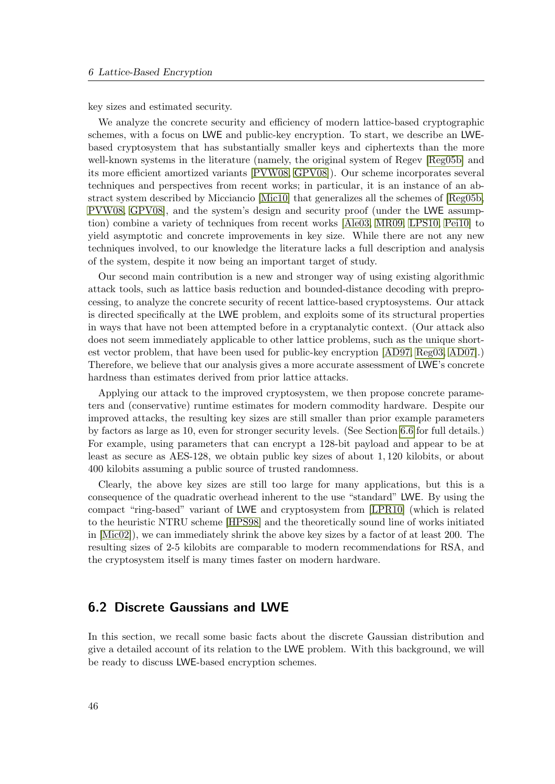key sizes and estimated security.

We analyze the concrete security and efficiency of modern lattice-based cryptographic schemes, with a focus on LWE and public-key encryption. To start, we describe an LWEbased cryptosystem that has substantially smaller keys and ciphertexts than the more well-known systems in the literature (namely, the original system of Regev [\[Reg05b\]](#page-83-3) and its more efficient amortized variants [\[PVW08,](#page-83-6) [GPV08\]](#page-80-7)). Our scheme incorporates several techniques and perspectives from recent works; in particular, it is an instance of an abstract system described by Micciancio [\[Mic10\]](#page-82-5) that generalizes all the schemes of [\[Reg05b,](#page-83-3) [PVW08,](#page-83-6) [GPV08\]](#page-80-7), and the system's design and security proof (under the LWE assumption) combine a variety of techniques from recent works [\[Ale03,](#page-78-3) [MR09,](#page-82-0) [LPS10,](#page-81-6) [Pei10\]](#page-83-7) to yield asymptotic and concrete improvements in key size. While there are not any new techniques involved, to our knowledge the literature lacks a full description and analysis of the system, despite it now being an important target of study.

Our second main contribution is a new and stronger way of using existing algorithmic attack tools, such as lattice basis reduction and bounded-distance decoding with preprocessing, to analyze the concrete security of recent lattice-based cryptosystems. Our attack is directed specifically at the LWE problem, and exploits some of its structural properties in ways that have not been attempted before in a cryptanalytic context. (Our attack also does not seem immediately applicable to other lattice problems, such as the unique shortest vector problem, that have been used for public-key encryption [\[AD97,](#page-78-0) [Reg03,](#page-83-2) [AD07\]](#page-78-4).) Therefore, we believe that our analysis gives a more accurate assessment of LWE's concrete hardness than estimates derived from prior lattice attacks.

Applying our attack to the improved cryptosystem, we then propose concrete parameters and (conservative) runtime estimates for modern commodity hardware. Despite our improved attacks, the resulting key sizes are still smaller than prior example parameters by factors as large as 10, even for stronger security levels. (See Section [6.6](#page-73-0) for full details.) For example, using parameters that can encrypt a 128-bit payload and appear to be at least as secure as AES-128, we obtain public key sizes of about 1, 120 kilobits, or about 400 kilobits assuming a public source of trusted randomness.

Clearly, the above key sizes are still too large for many applications, but this is a consequence of the quadratic overhead inherent to the use "standard" LWE. By using the compact "ring-based" variant of LWE and cryptosystem from [\[LPR10\]](#page-81-7) (which is related to the heuristic NTRU scheme [\[HPS98\]](#page-81-8) and the theoretically sound line of works initiated in [\[Mic02\]](#page-82-6)), we can immediately shrink the above key sizes by a factor of at least 200. The resulting sizes of 2-5 kilobits are comparable to modern recommendations for RSA, and the cryptosystem itself is many times faster on modern hardware.

# 6.2 Discrete Gaussians and LWE

In this section, we recall some basic facts about the discrete Gaussian distribution and give a detailed account of its relation to the LWE problem. With this background, we will be ready to discuss LWE-based encryption schemes.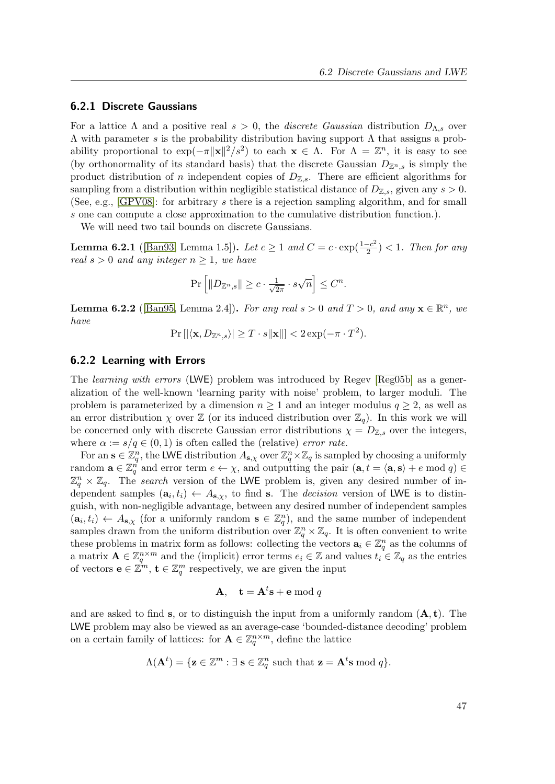### 6.2.1 Discrete Gaussians

For a lattice  $\Lambda$  and a positive real  $s > 0$ , the *discrete Gaussian* distribution  $D_{\Lambda,s}$  over Λ with parameter s is the probability distribution having support Λ that assigns a probability proportional to  $\exp(-\pi ||\mathbf{x}||^2 / s^2)$  to each  $\mathbf{x} \in \Lambda$ . For  $\Lambda = \mathbb{Z}^n$ , it is easy to see (by orthonormality of its standard basis) that the discrete Gaussian  $D_{\mathbb{Z}^n,s}$  is simply the product distribution of n independent copies of  $D_{\mathbb{Z},s}$ . There are efficient algorithms for sampling from a distribution within negligible statistical distance of  $D_{\mathbb{Z},s}$ , given any  $s > 0$ . (See, e.g., [\[GPV08\]](#page-80-7): for arbitrary s there is a rejection sampling algorithm, and for small s one can compute a close approximation to the cumulative distribution function.).

<span id="page-60-1"></span>We will need two tail bounds on discrete Gaussians.

**Lemma 6.2.1** ([\[Ban93,](#page-79-5) Lemma 1.5]). Let  $c \ge 1$  and  $C = c \cdot \exp(\frac{1-c^2}{2})$  $\frac{-c^2}{2}$ ) < 1. Then for any real  $s > 0$  and any integer  $n \geq 1$ , we have

$$
\Pr\left[\|D_{\mathbb{Z}^n,s}\| \ge c \cdot \frac{1}{\sqrt{2\pi}} \cdot s\sqrt{n}\right] \le C^n.
$$

<span id="page-60-2"></span>**Lemma 6.2.2** ([\[Ban95,](#page-79-6) Lemma 2.4]). For any real  $s > 0$  and  $T > 0$ , and any  $\mathbf{x} \in \mathbb{R}^n$ , we have

$$
\Pr\left[\left|\langle \mathbf{x}, D_{\mathbb{Z}^n, s}\rangle\right| \ge T \cdot s \|\mathbf{x}\|\right] < 2\exp(-\pi \cdot T^2).
$$

### <span id="page-60-0"></span>6.2.2 Learning with Errors

The *learning with errors* (LWE) problem was introduced by Regev [\[Reg05b\]](#page-83-3) as a generalization of the well-known 'learning parity with noise' problem, to larger moduli. The problem is parameterized by a dimension  $n \geq 1$  and an integer modulus  $q \geq 2$ , as well as an error distribution  $\chi$  over  $\mathbb{Z}$  (or its induced distribution over  $\mathbb{Z}_q$ ). In this work we will be concerned only with discrete Gaussian error distributions  $\chi = D_{\mathbb{Z},s}$  over the integers, where  $\alpha := s/q \in (0,1)$  is often called the (relative) error rate.

For an  $\mathbf{s} \in \mathbb{Z}_q^n$ , the LWE distribution  $A_{\mathbf{s},\chi}$  over  $\mathbb{Z}_q^n \times \mathbb{Z}_q$  is sampled by choosing a uniformly random  $\mathbf{a} \in \mathbb{Z}_q^n$  and error term  $e \leftarrow \chi$ , and outputting the pair  $(\mathbf{a}, t = \langle \mathbf{a}, \mathbf{s} \rangle + e \mod q) \in$  $\mathbb{Z}_q^n \times \mathbb{Z}_q$ . The search version of the LWE problem is, given any desired number of independent samples  $(\mathbf{a}_i, t_i) \leftarrow A_{\mathbf{s}, \chi}$ , to find s. The *decision* version of LWE is to distinguish, with non-negligible advantage, between any desired number of independent samples  $(a_i, t_i) \leftarrow A_{s,\chi}$  (for a uniformly random  $s \in \mathbb{Z}_q^n$ ), and the same number of independent samples drawn from the uniform distribution over  $\mathbb{Z}_q^n\times\mathbb{Z}_q$ . It is often convenient to write these problems in matrix form as follows: collecting the vectors  $a_i \in \mathbb{Z}_q^n$  as the columns of a matrix  $\mathbf{A} \in \mathbb{Z}_q^{n \times m}$  and the (implicit) error terms  $e_i \in \mathbb{Z}$  and values  $t_i \in \mathbb{Z}_q$  as the entries of vectors  $\mathbf{e} \in \mathbb{Z}^m$ ,  $\mathbf{t} \in \mathbb{Z}_q^m$  respectively, we are given the input

$$
A, \quad t = A^t s + e \bmod q
$$

and are asked to find s, or to distinguish the input from a uniformly random  $(A, t)$ . The LWE problem may also be viewed as an average-case 'bounded-distance decoding' problem on a certain family of lattices: for  $\mathbf{A} \in \mathbb{Z}_q^{n \times m}$ , define the lattice

$$
\Lambda(\mathbf{A}^t) = \{ \mathbf{z} \in \mathbb{Z}^m : \exists \ \mathbf{s} \in \mathbb{Z}_q^n \ \text{such that} \ \mathbf{z} = \mathbf{A}^t \mathbf{s} \ \text{mod} \ q \}.
$$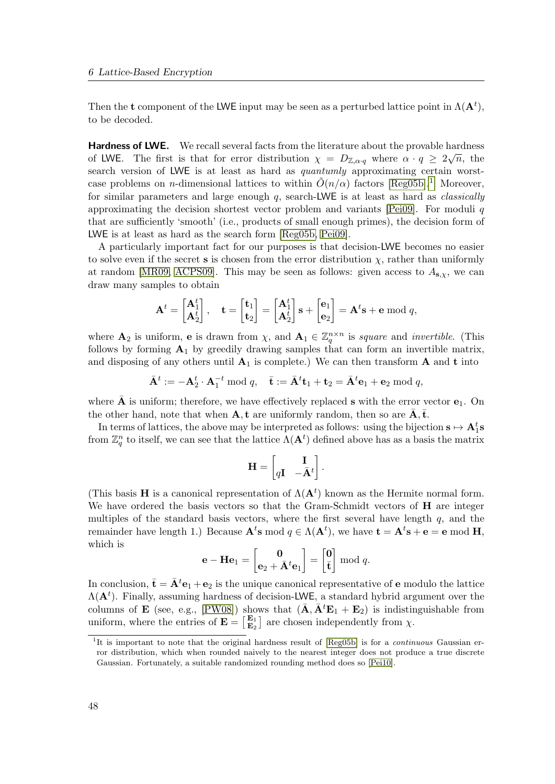Then the t component of the LWE input may be seen as a perturbed lattice point in  $\Lambda(\mathbf{A}^t)$ , to be decoded.

Hardness of LWE. We recall several facts from the literature about the provable hardness of LWE. The first is that for error distribution  $\chi = D_{\mathbb{Z},\alpha q}$  where  $\alpha \cdot q \geq 2\sqrt{n}$ , the search version of LWE is at least as hard as quantumly approximating certain worstcase problems on *n*-dimensional lattices to within  $\tilde{O}(n/\alpha)$  factors [\[Reg05b\]](#page-83-3).<sup>[1](#page-61-0)</sup> Moreover, for similar parameters and large enough  $q$ , search-LWE is at least as hard as *classically* approximating the decision shortest vector problem and variants  $[Pei09]$ . For moduli q that are sufficiently 'smooth' (i.e., products of small enough primes), the decision form of LWE is at least as hard as the search form [\[Reg05b,](#page-83-3) [Pei09\]](#page-83-5).

A particularly important fact for our purposes is that decision-LWE becomes no easier to solve even if the secret s is chosen from the error distribution  $\chi$ , rather than uniformly at random [\[MR09,](#page-82-0) [ACPS09\]](#page-78-5). This may be seen as follows: given access to  $A_{s,\chi}$ , we can draw many samples to obtain

$$
\mathbf{A}^t = \begin{bmatrix} \mathbf{A}_1^t \\ \mathbf{A}_2^t \end{bmatrix}, \quad \mathbf{t} = \begin{bmatrix} \mathbf{t}_1 \\ \mathbf{t}_2 \end{bmatrix} = \begin{bmatrix} \mathbf{A}_1^t \\ \mathbf{A}_2^t \end{bmatrix} \mathbf{s} + \begin{bmatrix} \mathbf{e}_1 \\ \mathbf{e}_2 \end{bmatrix} = \mathbf{A}^t \mathbf{s} + \mathbf{e} \bmod q,
$$

where  $\mathbf{A}_2$  is uniform, **e** is drawn from  $\chi$ , and  $\mathbf{A}_1 \in \mathbb{Z}_q^{n \times n}$  is square and invertible. (This follows by forming  $A_1$  by greedily drawing samples that can form an invertible matrix, and disposing of any others until  $A_1$  is complete.) We can then transform A and t into

$$
\bar{\mathbf{A}}^t := -\mathbf{A}_2^t \cdot \mathbf{A}_1^{-t} \bmod q, \quad \bar{\mathbf{t}} := \bar{\mathbf{A}}^t \mathbf{t}_1 + \mathbf{t}_2 = \bar{\mathbf{A}}^t \mathbf{e}_1 + \mathbf{e}_2 \bmod q,
$$

where  $\bar{\mathbf{A}}$  is uniform; therefore, we have effectively replaced s with the error vector  $\mathbf{e}_1$ . On the other hand, note that when  $\mathbf{A}, \mathbf{t}$  are uniformly random, then so are  $\bar{\mathbf{A}}, \bar{\mathbf{t}}$ .

In terms of lattices, the above may be interpreted as follows: using the bijection  $s \mapsto A_1^t s$ from  $\mathbb{Z}_q^n$  to itself, we can see that the lattice  $\Lambda(\mathbf{A}^t)$  defined above has as a basis the matrix

$$
\mathbf{H} = \begin{bmatrix} \mathbf{I} \\ q\mathbf{I} & -\bar{\mathbf{A}}^t \end{bmatrix}.
$$

(This basis **H** is a canonical representation of  $\Lambda(\mathbf{A}^t)$  known as the Hermite normal form. We have ordered the basis vectors so that the Gram-Schmidt vectors of **H** are integer multiples of the standard basis vectors, where the first several have length  $q$ , and the remainder have length 1.) Because  $\mathbf{A}^t$ s mod  $q \in \Lambda(\mathbf{A}^t)$ , we have  $\mathbf{t} = \mathbf{A}^t$ s +  $\mathbf{e} = \mathbf{e} \bmod \mathbf{H}$ , which is

$$
\mathbf{e} - \mathbf{H} \mathbf{e}_1 = \begin{bmatrix} \mathbf{0} \\ \mathbf{e}_2 + \bar{\mathbf{A}}^t \mathbf{e}_1 \end{bmatrix} = \begin{bmatrix} \mathbf{0} \\ \bar{\mathbf{t}} \end{bmatrix} \bmod q.
$$

In conclusion,  $\bar{\mathbf{t}} = \bar{\mathbf{A}}^t \mathbf{e}_1 + \mathbf{e}_2$  is the unique canonical representative of **e** modulo the lattice  $\Lambda(\mathbf{A}^t)$ . Finally, assuming hardness of decision-LWE, a standard hybrid argument over the columns of **E** (see, e.g., [\[PW08\]](#page-83-4)) shows that  $(\bar{\mathbf{A}}, \bar{\mathbf{A}}^t \mathbf{E}_1 + \mathbf{E}_2)$  is indistinguishable from uniform, where the entries of  $\mathbf{E} = \begin{bmatrix} \mathbf{E}_1 \\ \mathbf{E}_2 \end{bmatrix}$  $\mathbf{E}_1$  are chosen independently from  $\chi$ .

<span id="page-61-0"></span><sup>&</sup>lt;sup>1</sup>It is important to note that the original hardness result of [\[Reg05b\]](#page-83-3) is for a *continuous* Gaussian error distribution, which when rounded naively to the nearest integer does not produce a true discrete Gaussian. Fortunately, a suitable randomized rounding method does so [\[Pei10\]](#page-83-7).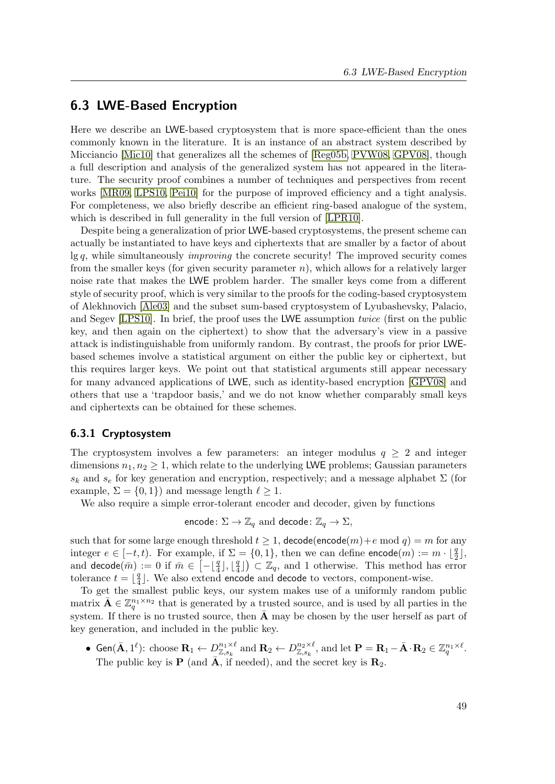# <span id="page-62-1"></span>6.3 LWE-Based Encryption

Here we describe an LWE-based cryptosystem that is more space-efficient than the ones commonly known in the literature. It is an instance of an abstract system described by Micciancio [\[Mic10\]](#page-82-5) that generalizes all the schemes of [\[Reg05b,](#page-83-3) [PVW08,](#page-83-6) [GPV08\]](#page-80-7), though a full description and analysis of the generalized system has not appeared in the literature. The security proof combines a number of techniques and perspectives from recent works [\[MR09,](#page-82-0) [LPS10,](#page-81-6) [Pei10\]](#page-83-7) for the purpose of improved efficiency and a tight analysis. For completeness, we also briefly describe an efficient ring-based analogue of the system, which is described in full generality in the full version of [\[LPR10\]](#page-81-7).

Despite being a generalization of prior LWE-based cryptosystems, the present scheme can actually be instantiated to have keys and ciphertexts that are smaller by a factor of about  $\lg q$ , while simultaneously *improving* the concrete security! The improved security comes from the smaller keys (for given security parameter  $n$ ), which allows for a relatively larger noise rate that makes the LWE problem harder. The smaller keys come from a different style of security proof, which is very similar to the proofs for the coding-based cryptosystem of Alekhnovich [\[Ale03\]](#page-78-3) and the subset sum-based cryptosystem of Lyubashevsky, Palacio, and Segev [\[LPS10\]](#page-81-6). In brief, the proof uses the LWE assumption *twice* (first on the public key, and then again on the ciphertext) to show that the adversary's view in a passive attack is indistinguishable from uniformly random. By contrast, the proofs for prior LWEbased schemes involve a statistical argument on either the public key or ciphertext, but this requires larger keys. We point out that statistical arguments still appear necessary for many advanced applications of LWE, such as identity-based encryption [\[GPV08\]](#page-80-7) and others that use a 'trapdoor basis,' and we do not know whether comparably small keys and ciphertexts can be obtained for these schemes.

### <span id="page-62-0"></span>6.3.1 Cryptosystem

The cryptosystem involves a few parameters: an integer modulus  $q \geq 2$  and integer dimensions  $n_1, n_2 \geq 1$ , which relate to the underlying LWE problems; Gaussian parameters  $s_k$  and  $s_e$  for key generation and encryption, respectively; and a message alphabet  $\Sigma$  (for example,  $\Sigma = \{0, 1\}$  and message length  $\ell \geq 1$ .

We also require a simple error-tolerant encoder and decoder, given by functions

encode:  $\Sigma \to \mathbb{Z}_q$  and decode:  $\mathbb{Z}_q \to \Sigma$ ,

such that for some large enough threshold  $t \geq 1$ , decode(encode(m)+e mod q) = m for any integer  $e \in [-t, t)$ . For example, if  $\Sigma = \{0, 1\}$ , then we can define  $\mathsf{encode}(m) := m \cdot \lfloor \frac{q}{2} \rfloor$ , and decode $(\bar m):=0$  if  $\bar m\in\left[-\lfloor\frac{q}{4}\rfloor,\lfloor\frac{q}{4}\right]$  $\left(\frac{q}{4}\right)$   $\subset \mathbb{Z}_q$ , and 1 otherwise. This method has error tolerance  $t = \frac{q}{4}$  $\frac{q}{4}$ ]. We also extend encode and decode to vectors, component-wise.

To get the smallest public keys, our system makes use of a uniformly random public matrix  $\bar{\mathbf{A}} \in \mathbb{Z}_q^{n_1 \times n_2}$  that is generated by a trusted source, and is used by all parties in the system. If there is no trusted source, then  $\overline{A}$  may be chosen by the user herself as part of key generation, and included in the public key.

• Gen $(\bar{\mathbf{A}},1^{\ell})$ : choose  $\mathbf{R}_{1} \leftarrow D_{\mathbb{Z},s_{k}}^{n_{1}\times \ell}$  and  $\mathbf{R}_{2} \leftarrow D_{\mathbb{Z},s_{k}}^{n_{2}\times \ell}$ , and let  $\mathbf{P} = \mathbf{R}_{1} - \bar{\mathbf{A}} \cdot \mathbf{R}_{2} \in \mathbb{Z}_{q}^{n_{1}\times \ell}$ . The public key is **P** (and  $\overline{A}$ , if needed), and the secret key is  $\mathbf{R}_2$ .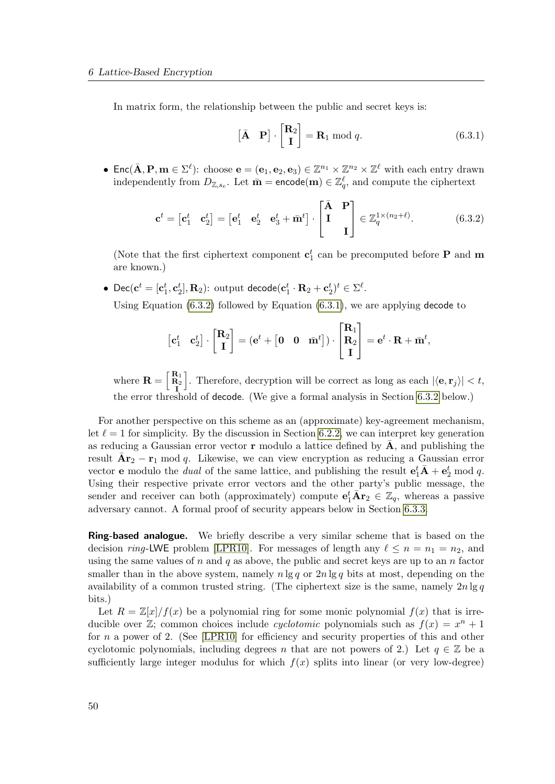In matrix form, the relationship between the public and secret keys is:

<span id="page-63-1"></span>
$$
\begin{bmatrix} \bar{\mathbf{A}} & \mathbf{P} \end{bmatrix} \cdot \begin{bmatrix} \mathbf{R}_2 \\ \mathbf{I} \end{bmatrix} = \mathbf{R}_1 \bmod q. \tag{6.3.1}
$$

• Enc( $\bar{\mathbf{A}}, \mathbf{P}, \mathbf{m} \in \Sigma^{\ell}$ ): choose  $\mathbf{e} = (\mathbf{e}_1, \mathbf{e}_2, \mathbf{e}_3) \in \mathbb{Z}^{n_1} \times \mathbb{Z}^{n_2} \times \mathbb{Z}^{\ell}$  with each entry drawn independently from  $D_{\mathbb{Z},s_e}$ . Let  $\bar{\mathbf{m}} = \text{encode}(\mathbf{m}) \in \mathbb{Z}_q^{\ell}$ , and compute the ciphertext

<span id="page-63-0"></span>
$$
\mathbf{c}^t = \begin{bmatrix} \mathbf{c}_1^t & \mathbf{c}_2^t \end{bmatrix} = \begin{bmatrix} \mathbf{e}_1^t & \mathbf{e}_2^t & \mathbf{e}_3^t + \bar{\mathbf{m}}^t \end{bmatrix} \cdot \begin{bmatrix} \bar{\mathbf{A}} & \mathbf{P} \\ \mathbf{I} & \mathbf{I} \end{bmatrix} \in \mathbb{Z}_q^{1 \times (n_2 + \ell)}. \tag{6.3.2}
$$

(Note that the first ciphertext component  $\mathbf{c}_1^t$  can be precomputed before **P** and **m** are known.)

• Dec $(\mathbf{c}^t=[\mathbf{c}^t_1, \mathbf{c}^t_2], \mathbf{R}_2)$ : output decode $(\mathbf{c}^t_1 \cdot \mathbf{R}_2 + \mathbf{c}^t_2)^t \in \Sigma^{\ell}$ . Using Equation  $(6.3.2)$  followed by Equation  $(6.3.1)$ , we are applying decode to

$$
\begin{bmatrix} \mathbf{c}_1^t & \mathbf{c}_2^t \end{bmatrix} \cdot \begin{bmatrix} \mathbf{R}_2 \\ \mathbf{I} \end{bmatrix} = (\mathbf{e}^t + \begin{bmatrix} \mathbf{0} & \mathbf{0} & \bar{\mathbf{m}}^t \end{bmatrix}) \cdot \begin{bmatrix} \mathbf{R}_1 \\ \mathbf{R}_2 \\ \mathbf{I} \end{bmatrix} = \mathbf{e}^t \cdot \mathbf{R} + \bar{\mathbf{m}}^t,
$$

where  $\mathbf{R} = \begin{bmatrix} \mathbf{R}_1 \ \mathbf{R}_2 \ \mathbf{I} \end{bmatrix}$ . Therefore, decryption will be correct as long as each  $|\langle \mathbf{e}, \mathbf{r}_j \rangle| < t$ , the error threshold of decode. (We give a formal analysis in Section [6.3.2](#page-64-0) below.)

For another perspective on this scheme as an (approximate) key-agreement mechanism, let  $\ell = 1$  for simplicity. By the discussion in Section [6.2.2,](#page-60-0) we can interpret key generation as reducing a Gaussian error vector  $\bf{r}$  modulo a lattice defined by  $\bf{A}$ , and publishing the result  $\bar{A}r_2 - r_1$  mod q. Likewise, we can view encryption as reducing a Gaussian error vector **e** modulo the *dual* of the same lattice, and publishing the result  $\mathbf{e}_1^t \overline{A} + \mathbf{e}_2^t \text{ mod } q$ . Using their respective private error vectors and the other party's public message, the sender and receiver can both (approximately) compute  $e_1^t \bar{A} r_2 \in \mathbb{Z}_q$ , whereas a passive adversary cannot. A formal proof of security appears below in Section [6.3.3.](#page-65-0)

Ring-based analogue. We briefly describe a very similar scheme that is based on the decision ring-LWE problem [\[LPR10\]](#page-81-7). For messages of length any  $\ell \leq n = n_1 = n_2$ , and using the same values of  $n$  and  $q$  as above, the public and secret keys are up to an  $n$  factor smaller than in the above system, namely  $n \lg q$  or  $2n \lg q$  bits at most, depending on the availability of a common trusted string. (The ciphertext size is the same, namely  $2n \lg q$ bits.)

Let  $R = \mathbb{Z}[x]/f(x)$  be a polynomial ring for some monic polynomial  $f(x)$  that is irreducible over  $\mathbb{Z}$ ; common choices include *cyclotomic* polynomials such as  $f(x) = x^n + 1$ for n a power of 2. (See [\[LPR10\]](#page-81-7) for efficiency and security properties of this and other cyclotomic polynomials, including degrees n that are not powers of 2.) Let  $q \in \mathbb{Z}$  be a sufficiently large integer modulus for which  $f(x)$  splits into linear (or very low-degree)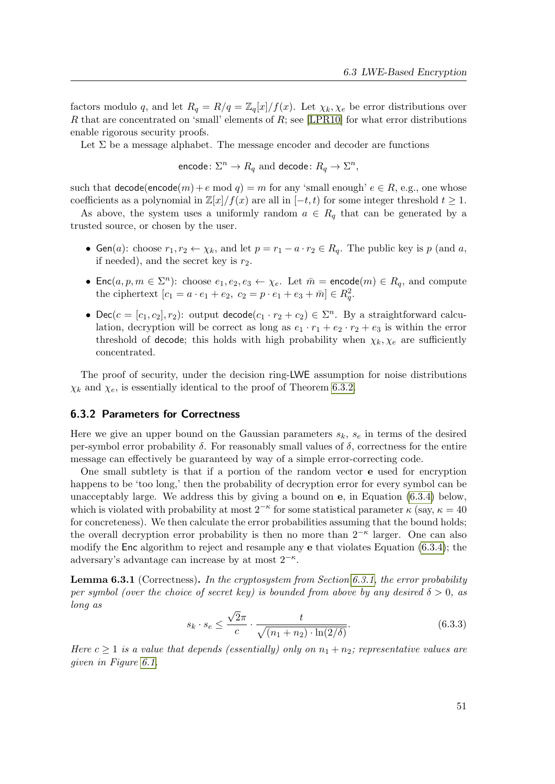factors modulo q, and let  $R_q = R/q = \mathbb{Z}_q[x]/f(x)$ . Let  $\chi_k, \chi_{\ell}$  be error distributions over R that are concentrated on 'small' elements of  $R$ ; see [\[LPR10\]](#page-81-7) for what error distributions enable rigorous security proofs.

Let  $\Sigma$  be a message alphabet. The message encoder and decoder are functions

encode:  $\Sigma^n \to R_q$  and decode:  $R_q \to \Sigma^n,$ 

such that  $\text{decode}(\text{encode}(m) + e \mod q) = m$  for any 'small enough'  $e \in R$ , e.g., one whose coefficients as a polynomial in  $\mathbb{Z}[x]/f(x)$  are all in  $[-t, t)$  for some integer threshold  $t \geq 1$ .

As above, the system uses a uniformly random  $a \in R_q$  that can be generated by a trusted source, or chosen by the user.

- Gen(a): choose  $r_1, r_2 \leftarrow \chi_k$ , and let  $p = r_1 a \cdot r_2 \in R_q$ . The public key is p (and a, if needed), and the secret key is  $r_2$ .
- Enc $(a, p, m \in \Sigma^n)$ : choose  $e_1, e_2, e_3 \leftarrow \chi_e$ . Let  $\overline{m}$  = encode $(m) \in R_q$ , and compute the ciphertext  $[c_1 = a \cdot e_1 + e_2, c_2 = p \cdot e_1 + e_3 + \bar{m}] \in R_q^2$ .
- Dec( $c = [c_1, c_2], r_2$ ): output decode( $c_1 \cdot r_2 + c_2$ )  $\in \Sigma^n$ . By a straightforward calculation, decryption will be correct as long as  $e_1 \cdot r_1 + e_2 \cdot r_2 + e_3$  is within the error threshold of decode; this holds with high probability when  $\chi_k, \chi_e$  are sufficiently concentrated.

The proof of security, under the decision ring-LWE assumption for noise distributions  $\chi_k$  and  $\chi_e$ , is essentially identical to the proof of Theorem [6.3.2.](#page-65-1)

### <span id="page-64-0"></span>6.3.2 Parameters for Correctness

Here we give an upper bound on the Gaussian parameters  $s_k$ ,  $s_e$  in terms of the desired per-symbol error probability  $\delta$ . For reasonably small values of  $\delta$ , correctness for the entire message can effectively be guaranteed by way of a simple error-correcting code.

One small subtlety is that if a portion of the random vector e used for encryption happens to be 'too long,' then the probability of decryption error for every symbol can be unacceptably large. We address this by giving a bound on  $e$ , in Equation  $(6.3.4)$  below, which is violated with probability at most  $2^{-\kappa}$  for some statistical parameter  $\kappa$  (say,  $\kappa = 40$ ) for concreteness). We then calculate the error probabilities assuming that the bound holds; the overall decryption error probability is then no more than  $2^{-\kappa}$  larger. One can also modify the Enc algorithm to reject and resample any e that violates Equation [\(6.3.4\)](#page-65-2); the adversary's advantage can increase by at most  $2^{-\kappa}$ .

<span id="page-64-1"></span>**Lemma 6.3.1** (Correctness). In the cryptosystem from Section [6.3.1,](#page-62-0) the error probability per symbol (over the choice of secret key) is bounded from above by any desired  $\delta > 0$ , as long as √

$$
s_k \cdot s_e \le \frac{\sqrt{2\pi}}{c} \cdot \frac{t}{\sqrt{(n_1 + n_2) \cdot \ln(2/\delta)}}.\tag{6.3.3}
$$

Here  $c \geq 1$  is a value that depends (essentially) only on  $n_1 + n_2$ ; representative values are given in Figure [6.1.](#page-65-3)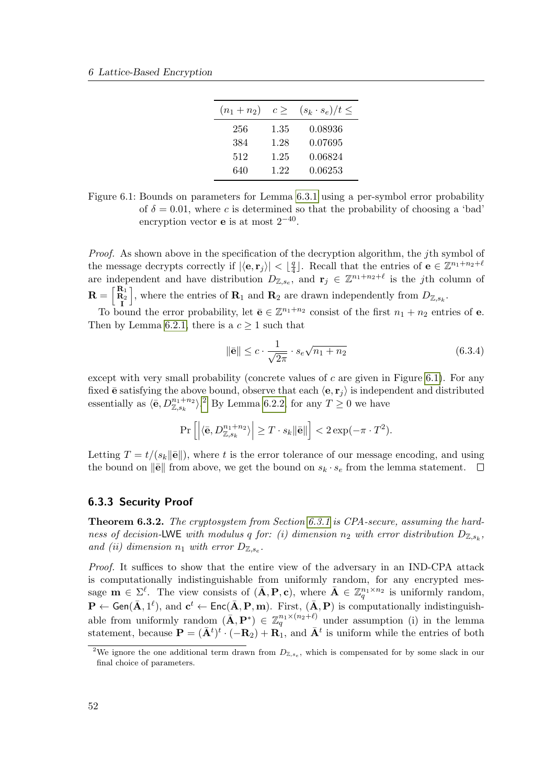| $(n_1+n_2)$ | $c \geq$ | $(s_k \cdot s_e)/t \leq$ |
|-------------|----------|--------------------------|
| 256         | 1.35     | 0.08936                  |
| 384         | 1.28     | 0.07695                  |
| 512         | 1.25     | 0.06824                  |
| 640         | 1.22     | 0.06253                  |

<span id="page-65-3"></span>Figure 6.1: Bounds on parameters for Lemma [6.3.1](#page-64-1) using a per-symbol error probability of  $\delta = 0.01$ , where c is determined so that the probability of choosing a 'bad' encryption vector **e** is at most  $2^{-40}$ .

Proof. As shown above in the specification of the decryption algorithm, the *j*th symbol of the message decrypts correctly if  $|\langle \mathbf{e}, \mathbf{r}_j \rangle| < \lfloor \frac{q}{4} \rfloor$  $\frac{q}{4}$ . Recall that the entries of  $\mathbf{e} \in \mathbb{Z}^{n_1+n_2+\ell}$ are independent and have distribution  $D_{\mathbb{Z},s_e}$ , and  $\mathbf{r}_j \in \mathbb{Z}^{n_1+n_2+\ell}$  is the jth column of  $\mathbf{R} = \left[ \begin{smallmatrix} \mathbf{R}_1 \ \mathbf{R}_2 \ \mathbf{I} \end{smallmatrix} \right]$ , where the entries of  $\mathbf{R}_1$  and  $\mathbf{R}_2$  are drawn independently from  $D_{\mathbb{Z},s_k}$ .

To bound the error probability, let  $\bar{\mathbf{e}} \in \mathbb{Z}^{n_1+n_2}$  consist of the first  $n_1 + n_2$  entries of **e**. Then by Lemma [6.2.1,](#page-60-1) there is a  $c \geq 1$  such that

<span id="page-65-2"></span>
$$
\|\bar{\mathbf{e}}\| \leq c \cdot \frac{1}{\sqrt{2\pi}} \cdot s_e \sqrt{n_1 + n_2} \tag{6.3.4}
$$

except with very small probability (concrete values of c are given in Figure [6.1\)](#page-65-3). For any fixed  $\bar{\mathbf{e}}$  satisfying the above bound, observe that each  $\langle \mathbf{e}, \mathbf{r}_i \rangle$  is independent and distributed essentially as  $\langle \bar{e}, D_{\mathbb{Z},s_k}^{n_1+n_2} \rangle$  $\langle \bar{e}, D_{\mathbb{Z},s_k}^{n_1+n_2} \rangle$  $\langle \bar{e}, D_{\mathbb{Z},s_k}^{n_1+n_2} \rangle$ .<sup>2</sup> By Lemma [6.2.2,](#page-60-2) for any  $T \geq 0$  we have

$$
\Pr\left[\left|\langle\bar{\mathbf{e}}, D_{\mathbb{Z},s_k}^{n_1+n_2}\rangle\right| \geq T \cdot s_k \|\bar{\mathbf{e}}\|\right] < 2\exp(-\pi \cdot T^2).
$$

Letting  $T = t/(s_k ||\mathbf{\bar{e}}||)$ , where t is the error tolerance of our message encoding, and using the bound on  $\|\mathbf{\bar{e}}\|$  from above, we get the bound on  $s_k \cdot s_e$  from the lemma statement.  $\Box$ 

### <span id="page-65-0"></span>6.3.3 Security Proof

<span id="page-65-1"></span>Theorem 6.3.2. The cryptosystem from Section [6.3.1](#page-62-0) is CPA-secure, assuming the hardness of decision-LWE with modulus q for: (i) dimension  $n_2$  with error distribution  $D_{\mathbb{Z},s_k}$ , and (ii) dimension  $n_1$  with error  $D_{\mathbb{Z},s_e}$ .

Proof. It suffices to show that the entire view of the adversary in an IND-CPA attack is computationally indistinguishable from uniformly random, for any encrypted message  $\mathbf{m} \in \Sigma^{\ell}$ . The view consists of  $(\bar{\mathbf{A}}, \mathbf{P}, \mathbf{c})$ , where  $\bar{\mathbf{A}} \in \mathbb{Z}_q^{n_1 \times n_2}$  is uniformly random,  $\mathbf{P} \leftarrow \mathsf{Gen}(\bar{\mathbf{A}}, 1^{\ell})$ , and  $\mathbf{c}^t \leftarrow \mathsf{Enc}(\bar{\mathbf{A}}, \mathbf{P}, \mathbf{m})$ . First,  $(\bar{\mathbf{A}}, \mathbf{P})$  is computationally indistinguishable from uniformly random  $(\bar{\mathbf{A}}, \mathbf{P}^*) \in \mathbb{Z}_q^{n_1 \times (n_2 + \ell)}$  under assumption (i) in the lemma statement, because  $\mathbf{P} = (\bar{\mathbf{A}}^t)^t \cdot (-\mathbf{R}_2) + \mathbf{R}_1$ , and  $\bar{\mathbf{A}}^t$  is uniform while the entries of both

<span id="page-65-4"></span><sup>&</sup>lt;sup>2</sup>We ignore the one additional term drawn from  $D_{\mathbb{Z},s_e}$ , which is compensated for by some slack in our final choice of parameters.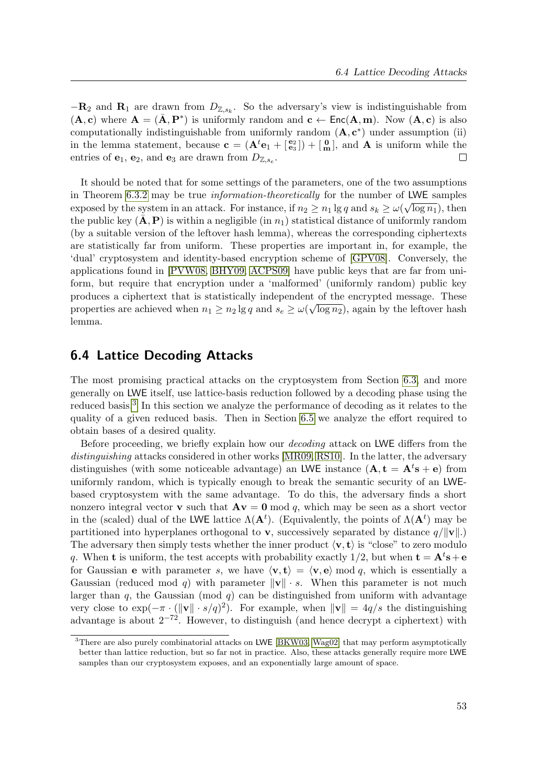$-{\bf R}_2$  and  ${\bf R}_1$  are drawn from  $D_{\mathbb{Z},s_k}$ . So the adversary's view is indistinguishable from  $(A, c)$  where  $A = (\bar{A}, P^*)$  is uniformly random and  $c \leftarrow Enc(A, m)$ . Now  $(A, c)$  is also computationally indistinguishable from uniformly random  $(A, c^*)$  under assumption (ii) in the lemma statement, because  $\mathbf{c} = (\mathbf{A}^t \mathbf{e}_1 + \begin{bmatrix} \mathbf{e}_2 \\ \mathbf{e}_3 \end{bmatrix}) + \begin{bmatrix} 0 \\ m \end{bmatrix}$ , and  $\mathbf{A}$  is uniform while the entries of  $e_1, e_2$ , and  $e_3$  are drawn from  $D_{\mathbb{Z}, s_e}$ .  $\Box$ 

It should be noted that for some settings of the parameters, one of the two assumptions in Theorem [6.3.2](#page-65-1) may be true *information-theoretically* for the number of LWE samples exposed by the system in an attack. For instance, if  $n_2 \geq n_1 \lg q$  and  $s_k \geq \omega(\sqrt{\log n_1})$ , then the public key  $(\bar{\mathbf{A}}, \mathbf{P})$  is within a negligible (in  $n_1$ ) statistical distance of uniformly random (by a suitable version of the leftover hash lemma), whereas the corresponding ciphertexts are statistically far from uniform. These properties are important in, for example, the 'dual' cryptosystem and identity-based encryption scheme of [\[GPV08\]](#page-80-7). Conversely, the applications found in [\[PVW08,](#page-83-6) [BHY09,](#page-79-7) [ACPS09\]](#page-78-5) have public keys that are far from uniform, but require that encryption under a 'malformed' (uniformly random) public key produces a ciphertext that is statistically independent of the encrypted message. These properties are achieved when  $n_1 \geq n_2 \lg q$  and  $s_e \geq \omega(\sqrt{\log n_2})$ , again by the leftover hash lemma.

# <span id="page-66-1"></span>6.4 Lattice Decoding Attacks

The most promising practical attacks on the cryptosystem from Section [6.3,](#page-62-1) and more generally on LWE itself, use lattice-basis reduction followed by a decoding phase using the reduced basis.<sup>[3](#page-66-0)</sup> In this section we analyze the performance of decoding as it relates to the quality of a given reduced basis. Then in Section [6.5](#page-69-0) we analyze the effort required to obtain bases of a desired quality.

Before proceeding, we briefly explain how our *decoding* attack on LWE differs from the distinguishing attacks considered in other works [\[MR09,](#page-82-0) [RS10\]](#page-84-6). In the latter, the adversary distinguishes (with some noticeable advantage) an LWE instance  $(A, t = A<sup>t</sup>s + e)$  from uniformly random, which is typically enough to break the semantic security of an LWEbased cryptosystem with the same advantage. To do this, the adversary finds a short nonzero integral vector **v** such that  $A\mathbf{v} = \mathbf{0}$  mod q, which may be seen as a short vector in the (scaled) dual of the LWE lattice  $\Lambda(\mathbf{A}^t)$ . (Equivalently, the points of  $\Lambda(\mathbf{A}^t)$  may be partitioned into hyperplanes orthogonal to **v**, successively separated by distance  $q/||\mathbf{v}||$ .) The adversary then simply tests whether the inner product  $\langle v, t \rangle$  is "close" to zero modulo q. When **t** is uniform, the test accepts with probability exactly 1/2, but when  $\mathbf{t} = \mathbf{A}^t \mathbf{s} + \mathbf{e}$ for Gaussian **e** with parameter s, we have  $\langle \mathbf{v}, \mathbf{t} \rangle = \langle \mathbf{v}, \mathbf{e} \rangle$  mod q, which is essentially a Gaussian (reduced mod q) with parameter  $\|\mathbf{v}\| \cdot s$ . When this parameter is not much larger than  $q$ , the Gaussian (mod  $q$ ) can be distinguished from uniform with advantage very close to  $\exp(-\pi \cdot (\|\mathbf{v}\| \cdot s/q)^2)$ . For example, when  $\|\mathbf{v}\| = 4q/s$  the distinguishing advantage is about  $2^{-72}$ . However, to distinguish (and hence decrypt a ciphertext) with

<span id="page-66-0"></span><sup>&</sup>lt;sup>3</sup>There are also purely combinatorial attacks on LWE [\[BKW03,](#page-79-8) [Wag02\]](#page-84-5) that may perform asymptotically better than lattice reduction, but so far not in practice. Also, these attacks generally require more LWE samples than our cryptosystem exposes, and an exponentially large amount of space.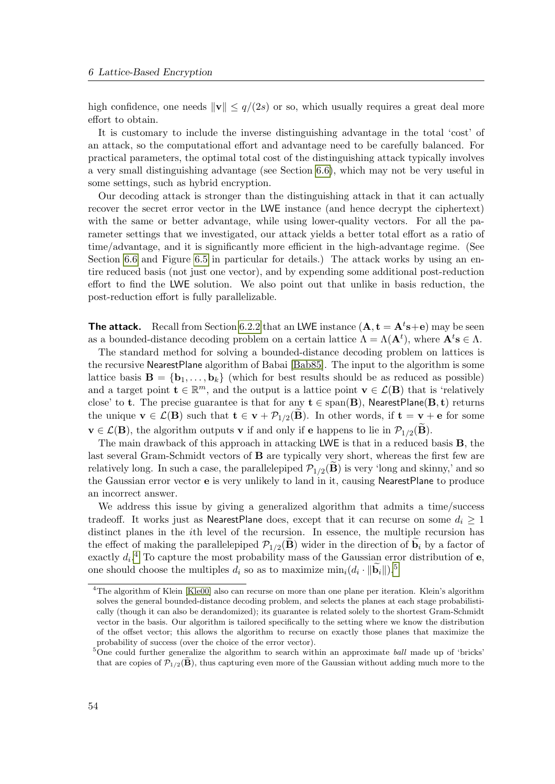high confidence, one needs  $\|\mathbf{v}\| \leq q/(2s)$  or so, which usually requires a great deal more effort to obtain.

It is customary to include the inverse distinguishing advantage in the total 'cost' of an attack, so the computational effort and advantage need to be carefully balanced. For practical parameters, the optimal total cost of the distinguishing attack typically involves a very small distinguishing advantage (see Section [6.6\)](#page-73-0), which may not be very useful in some settings, such as hybrid encryption.

Our decoding attack is stronger than the distinguishing attack in that it can actually recover the secret error vector in the LWE instance (and hence decrypt the ciphertext) with the same or better advantage, while using lower-quality vectors. For all the parameter settings that we investigated, our attack yields a better total effort as a ratio of time/advantage, and it is significantly more efficient in the high-advantage regime. (See Section [6.6](#page-73-0) and Figure [6.5](#page-74-0) in particular for details.) The attack works by using an entire reduced basis (not just one vector), and by expending some additional post-reduction effort to find the LWE solution. We also point out that unlike in basis reduction, the post-reduction effort is fully parallelizable.

**The attack.** Recall from Section [6.2.2](#page-60-0) that an LWE instance  $(A, t = A^t s + e)$  may be seen as a bounded-distance decoding problem on a certain lattice  $\Lambda = \Lambda(\mathbf{A}^t)$ , where  $\mathbf{A}^t \mathbf{s} \in \Lambda$ .

The standard method for solving a bounded-distance decoding problem on lattices is the recursive NearestPlane algorithm of Babai [\[Bab85\]](#page-79-9). The input to the algorithm is some lattice basis  $\mathbf{B} = \{\mathbf{b}_1, \ldots, \mathbf{b}_k\}$  (which for best results should be as reduced as possible) and a target point  $\mathbf{t} \in \mathbb{R}^m$ , and the output is a lattice point  $\mathbf{v} \in \mathcal{L}(\mathbf{B})$  that is 'relatively close' to t. The precise guarantee is that for any  $t \in \text{span}(B)$ , NearestPlane( $B, t$ ) returns the unique  $\mathbf{v} \in \mathcal{L}(\mathbf{B})$  such that  $\mathbf{t} \in \mathbf{v} + \mathcal{P}_{1/2}(\mathbf{B})$ . In other words, if  $\mathbf{t} = \mathbf{v} + \mathbf{e}$  for some  $\mathbf{v} \in \mathcal{L}(\mathbf{B})$ , the algorithm outputs **v** if and only if **e** happens to lie in  $\mathcal{P}_{1/2}(\mathbf{B})$ .

The main drawback of this approach in attacking LWE is that in a reduced basis B, the last several Gram-Schmidt vectors of B are typically very short, whereas the first few are relatively long. In such a case, the parallelepiped  $\mathcal{P}_{1/2}(\mathbf{B})$  is very 'long and skinny,' and so the Gaussian error vector e is very unlikely to land in it, causing NearestPlane to produce an incorrect answer.

We address this issue by giving a generalized algorithm that admits a time/success tradeoff. It works just as NearestPlane does, except that it can recurse on some  $d_i \geq 1$ distinct planes in the ith level of the recursion. In essence, the multiple recursion has the effect of making the parallelepiped  $\mathcal{P}_{1/2}(\mathbf{B})$  wider in the direction of  $\mathbf{b}_i$  by a factor of exactly  $d_i$ .<sup>[4](#page-67-0)</sup> To capture the most probability mass of the Gaussian error distribution of e, one should choose the multiples  $d_i$  so as to maximize  $\min_i (d_i \cdot ||\widetilde{\mathbf{b}}_i||)^{5}$  $\min_i (d_i \cdot ||\widetilde{\mathbf{b}}_i||)^{5}$  $\min_i (d_i \cdot ||\widetilde{\mathbf{b}}_i||)^{5}$ .

<span id="page-67-0"></span><sup>4</sup>The algorithm of Klein [\[Kle00\]](#page-81-9) also can recurse on more than one plane per iteration. Klein's algorithm solves the general bounded-distance decoding problem, and selects the planes at each stage probabilistically (though it can also be derandomized); its guarantee is related solely to the shortest Gram-Schmidt vector in the basis. Our algorithm is tailored specifically to the setting where we know the distribution of the offset vector; this allows the algorithm to recurse on exactly those planes that maximize the probability of success (over the choice of the error vector).

<span id="page-67-1"></span><sup>&</sup>lt;sup>5</sup>One could further generalize the algorithm to search within an approximate *ball* made up of 'bricks' that are copies of  $\mathcal{P}_{1/2}(\mathbf{B})$ , thus capturing even more of the Gaussian without adding much more to the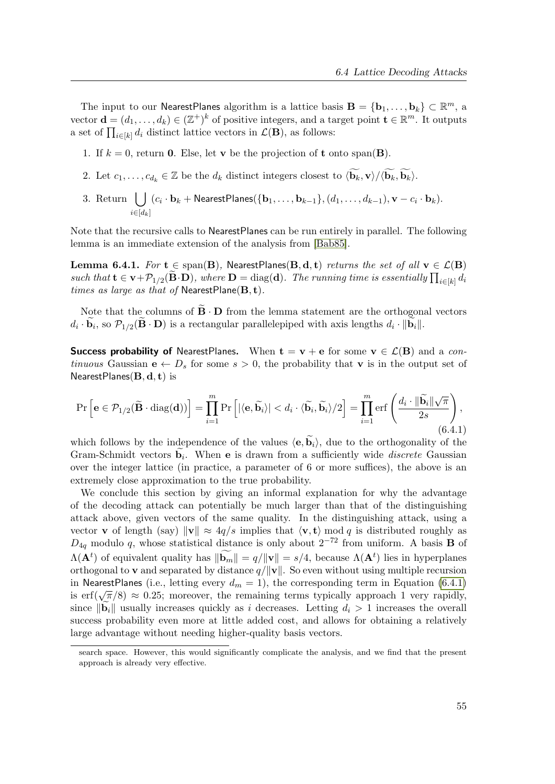The input to our NearestPlanes algorithm is a lattice basis  $\mathbf{B} = \{\mathbf{b}_1, \dots, \mathbf{b}_k\} \subset \mathbb{R}^m$ , a vector  $\mathbf{d} = (d_1, \ldots, d_k) \in (\mathbb{Z}^+)^k$  of positive integers, and a target point  $\mathbf{t} \in \mathbb{R}^m$ . It outputs a set of  $\prod_{i\in[k]}d_i$  distinct lattice vectors in  $\mathcal{L}(\mathbf{B})$ , as follows:

- 1. If  $k = 0$ , return 0. Else, let v be the projection of t onto span(**B**).
- 2. Let  $c_1, \ldots, c_{d_k} \in \mathbb{Z}$  be the  $d_k$  distinct integers closest to  $\langle \widetilde{\mathbf{b}_k}, \mathbf{v} \rangle / \langle \widetilde{\mathbf{b}_k}, \widetilde{\mathbf{b}_k} \rangle$ .
- 3. Return  $\bigcup (c_i \cdot \mathbf{b}_k + \mathsf{NearestPlanes}(\{\mathbf{b}_1,\ldots,\mathbf{b}_{k-1}\},(d_1,\ldots,d_{k-1}),\mathbf{v}-c_i \cdot \mathbf{b}_k).$  $i \in [d_k]$

Note that the recursive calls to NearestPlanes can be run entirely in parallel. The following lemma is an immediate extension of the analysis from [\[Bab85\]](#page-79-9).

Lemma 6.4.1. For  $t \in span(B)$ , NearestPlanes(B, d, t) returns the set of all  $v \in \mathcal{L}(B)$ such that  $\mathbf{t} \in \mathbf{v} + \mathcal{P}_{1/2}(\mathbf{B} \cdot \mathbf{D})$ , where  $\mathbf{D} = \text{diag}(\mathbf{d})$ . The running time is essentially  $\prod_{i \in [k]} d_i$ times as large as that of NearestPlane $(\mathbf{B}, \mathbf{t})$ .

Note that the columns of  $\mathbf{B} \cdot \mathbf{D}$  from the lemma statement are the orthogonal vectors  $d_i \cdot \mathbf{b}_i$ , so  $\mathcal{P}_{1/2}(\mathbf{B} \cdot \mathbf{D})$  is a rectangular parallelepiped with axis lengths  $d_i \cdot ||\mathbf{b}_i||$ .

**Success probability of** NearestPlanes. When  $\mathbf{t} = \mathbf{v} + \mathbf{e}$  for some  $\mathbf{v} \in \mathcal{L}(\mathbf{B})$  and a continuous Gaussian  $e \leftarrow D_s$  for some  $s > 0$ , the probability that v is in the output set of NearestPlanes $(\mathbf{B}, \mathbf{d}, \mathbf{t})$  is

<span id="page-68-0"></span>
$$
\Pr\left[\mathbf{e} \in \mathcal{P}_{1/2}(\widetilde{\mathbf{B}} \cdot \text{diag}(\mathbf{d}))\right] = \prod_{i=1}^{m} \Pr\left[|\langle \mathbf{e}, \widetilde{\mathbf{b}}_i \rangle| < d_i \cdot \langle \widetilde{\mathbf{b}}_i, \widetilde{\mathbf{b}}_i \rangle / 2\right] = \prod_{i=1}^{m} \text{erf}\left(\frac{d_i \cdot \|\widetilde{\mathbf{b}}_i\| \sqrt{\pi}}{2s}\right),\tag{6.4.1}
$$

which follows by the independence of the values  $\langle \mathbf{e}, \mathbf{b}_i \rangle$ , due to the orthogonality of the Gram-Schmidt vectors  $\mathbf{b}_i$ . When **e** is drawn from a sufficiently wide *discrete* Gaussian over the integer lattice (in practice, a parameter of 6 or more suffices), the above is an extremely close approximation to the true probability.

We conclude this section by giving an informal explanation for why the advantage of the decoding attack can potentially be much larger than that of the distinguishing attack above, given vectors of the same quality. In the distinguishing attack, using a vector **v** of length (say)  $\|\mathbf{v}\| \approx 4q/s$  implies that  $\langle \mathbf{v}, \mathbf{t} \rangle$  mod q is distributed roughly as  $D_{4q}$  modulo q, whose statistical distance is only about  $2^{-72}$  from uniform. A basis **B** of  $\Lambda(\mathbf{A}^t)$  of equivalent quality has  $\|\mathbf{b}_m\| = q/\|\mathbf{v}\| = s/4$ , because  $\Lambda(\mathbf{A}^t)$  lies in hyperplanes orthogonal to **v** and separated by distance  $q/\|\mathbf{v}\|$ . So even without using multiple recursion in NearestPlanes (i.e., letting every  $d_m = 1$ ), the corresponding term in Equation [\(6.4.1\)](#page-68-0) in Nearesti failes (i.e., letting every  $u_m = 1$ ), the corresponding term in Equation (0.4.1)<br>is erf( $\sqrt{\pi}/8$ )  $\approx$  0.25; moreover, the remaining terms typically approach 1 very rapidly, since  $\|\mathbf{b}_i\|$  usually increases quickly as i decreases. Letting  $d_i > 1$  increases the overall success probability even more at little added cost, and allows for obtaining a relatively large advantage without needing higher-quality basis vectors.

search space. However, this would significantly complicate the analysis, and we find that the present approach is already very effective.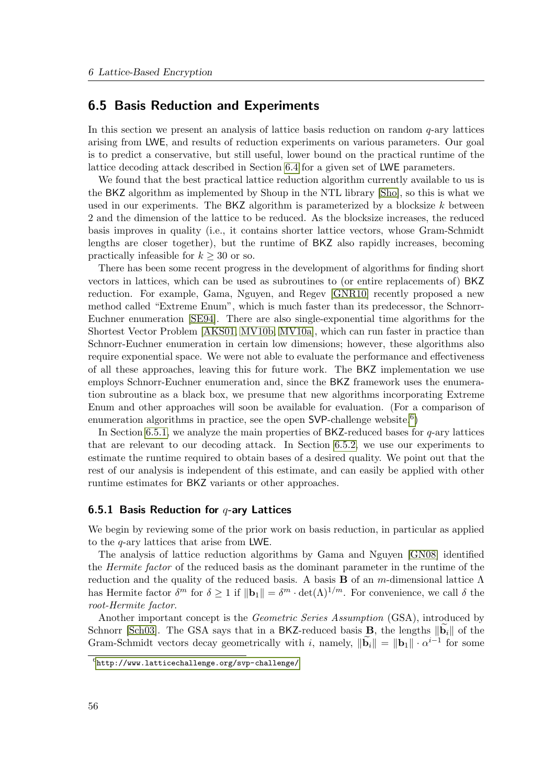# <span id="page-69-0"></span>6.5 Basis Reduction and Experiments

In this section we present an analysis of lattice basis reduction on random  $q$ -ary lattices arising from LWE, and results of reduction experiments on various parameters. Our goal is to predict a conservative, but still useful, lower bound on the practical runtime of the lattice decoding attack described in Section [6.4](#page-66-1) for a given set of LWE parameters.

We found that the best practical lattice reduction algorithm currently available to us is the BKZ algorithm as implemented by Shoup in the NTL library [\[Sho\]](#page-84-0), so this is what we used in our experiments. The BKZ algorithm is parameterized by a blocksize  $k$  between 2 and the dimension of the lattice to be reduced. As the blocksize increases, the reduced basis improves in quality (i.e., it contains shorter lattice vectors, whose Gram-Schmidt lengths are closer together), but the runtime of BKZ also rapidly increases, becoming practically infeasible for  $k \geq 30$  or so.

There has been some recent progress in the development of algorithms for finding short vectors in lattices, which can be used as subroutines to (or entire replacements of) BKZ reduction. For example, Gama, Nguyen, and Regev [\[GNR10\]](#page-80-9) recently proposed a new method called "Extreme Enum", which is much faster than its predecessor, the Schnorr-Euchner enumeration [\[SE94\]](#page-84-7). There are also single-exponential time algorithms for the Shortest Vector Problem [\[AKS01,](#page-78-6) [MV10b,](#page-82-7) [MV10a\]](#page-82-8), which can run faster in practice than Schnorr-Euchner enumeration in certain low dimensions; however, these algorithms also require exponential space. We were not able to evaluate the performance and effectiveness of all these approaches, leaving this for future work. The BKZ implementation we use employs Schnorr-Euchner enumeration and, since the BKZ framework uses the enumeration subroutine as a black box, we presume that new algorithms incorporating Extreme Enum and other approaches will soon be available for evaluation. (For a comparison of enumeration algorithms in practice, see the open  $\textsf{SVP}\text{-}$ challenge website.<sup>[6](#page-69-1)</sup>)

In Section [6.5.1,](#page-69-2) we analyze the main properties of  $BKZ$ -reduced bases for  $q$ -ary lattices that are relevant to our decoding attack. In Section [6.5.2,](#page-71-0) we use our experiments to estimate the runtime required to obtain bases of a desired quality. We point out that the rest of our analysis is independent of this estimate, and can easily be applied with other runtime estimates for BKZ variants or other approaches.

### <span id="page-69-2"></span>6.5.1 Basis Reduction for  $q$ -ary Lattices

We begin by reviewing some of the prior work on basis reduction, in particular as applied to the q-ary lattices that arise from LWE.

The analysis of lattice reduction algorithms by Gama and Nguyen [\[GN08\]](#page-80-0) identified the Hermite factor of the reduced basis as the dominant parameter in the runtime of the reduction and the quality of the reduced basis. A basis **B** of an m-dimensional lattice  $\Lambda$ has Hermite factor  $\delta^m$  for  $\delta \geq 1$  if  $\|\mathbf{b}_1\| = \delta^m \cdot \det(\Lambda)^{1/m}$ . For convenience, we call  $\delta$  the root-Hermite factor.

Another important concept is the Geometric Series Assumption (GSA), introduced by Schnorr [\[Sch03\]](#page-84-1). The GSA says that in a BKZ-reduced basis **B**, the lengths  $\|\mathbf{b}_i\|$  of the Gram-Schmidt vectors decay geometrically with i, namely,  $\|\widetilde{\mathbf{b}}_i\| = \|\mathbf{b}_1\| \cdot \alpha^{i-1}$  for some

<span id="page-69-1"></span> $^6$ <http://www.latticechallenge.org/svp-challenge/>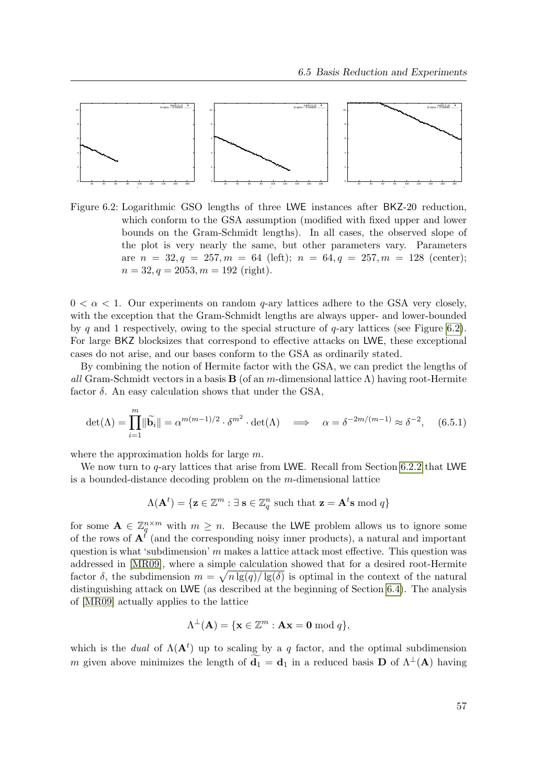

<span id="page-70-0"></span>Figure 6.2: Logarithmic GSO lengths of three LWE instances after BKZ-20 reduction, which conform to the GSA assumption (modified with fixed upper and lower bounds on the Gram-Schmidt lengths). In all cases, the observed slope of the plot is very nearly the same, but other parameters vary. Parameters are  $n = 32, q = 257, m = 64$  (left);  $n = 64, q = 257, m = 128$  (center);  $n = 32, q = 2053, m = 192$  (right).

 $0 < \alpha < 1$ . Our experiments on random q-ary lattices adhere to the GSA very closely, with the exception that the Gram-Schmidt lengths are always upper- and lower-bounded by q and 1 respectively, owing to the special structure of  $q$ -ary lattices (see Figure [6.2\)](#page-70-0). For large BKZ blocksizes that correspond to effective attacks on LWE, these exceptional cases do not arise, and our bases conform to the GSA as ordinarily stated.

By combining the notion of Hermite factor with the GSA, we can predict the lengths of all Gram-Schmidt vectors in a basis **B** (of an m-dimensional lattice  $\Lambda$ ) having root-Hermite factor  $\delta$ . An easy calculation shows that under the GSA,

$$
\det(\Lambda) = \prod_{i=1}^{m} \|\widetilde{\mathbf{b}}_i\| = \alpha^{m(m-1)/2} \cdot \delta^{m^2} \cdot \det(\Lambda) \quad \Longrightarrow \quad \alpha = \delta^{-2m/(m-1)} \approx \delta^{-2}, \quad (6.5.1)
$$

where the approximation holds for large m.

We now turn to q-ary lattices that arise from LWE. Recall from Section [6.2.2](#page-60-0) that LWE is a bounded-distance decoding problem on the m-dimensional lattice

$$
\Lambda(\mathbf{A}^t) = \{ \mathbf{z} \in \mathbb{Z}^m : \exists \ \mathbf{s} \in \mathbb{Z}_q^n \ \text{such that} \ \mathbf{z} = \mathbf{A}^t \mathbf{s} \ \text{mod} \ q \}
$$

for some  $A \in \mathbb{Z}_q^{n \times m}$  with  $m \geq n$ . Because the LWE problem allows us to ignore some of the rows of  $A<sup>f</sup>$  (and the corresponding noisy inner products), a natural and important question is what 'subdimension'  $m$  makes a lattice attack most effective. This question was addressed in [\[MR09\]](#page-82-0), where a simple calculation showed that for a desired root-Hermite factor  $\delta$ , the subdimension  $m = \sqrt{n \lg(q)/\lg(\delta)}$  is optimal in the context of the natural distinguishing attack on LWE (as described at the beginning of Section [6.4\)](#page-66-1). The analysis of [\[MR09\]](#page-82-0) actually applies to the lattice

$$
\Lambda^{\perp}(\mathbf{A}) = \{ \mathbf{x} \in \mathbb{Z}^m : \mathbf{A}\mathbf{x} = \mathbf{0} \bmod q \},
$$

which is the *dual* of  $\Lambda(\mathbf{A}^t)$  up to scaling by a q factor, and the optimal subdimension m given above minimizes the length of  $\mathbf{d}_1 = \mathbf{d}_1$  in a reduced basis **D** of  $\Lambda^{\perp}(\mathbf{A})$  having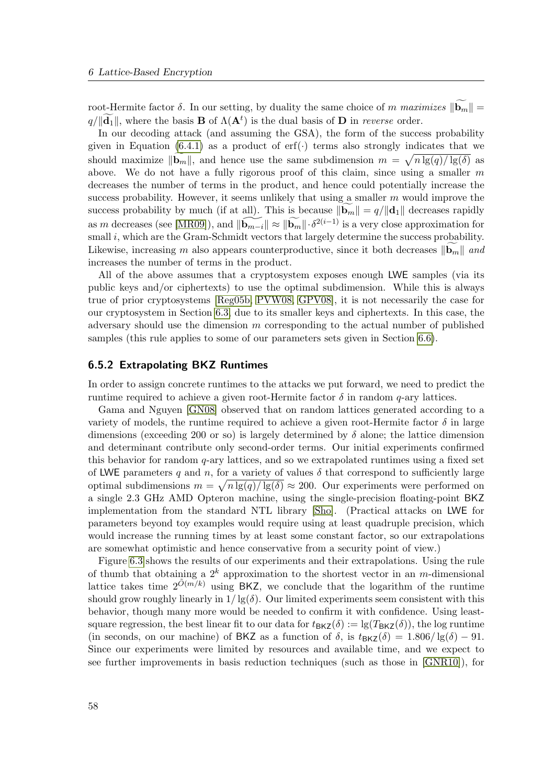root-Hermite factor δ. In our setting, by duality the same choice of m maximizes  $||\mathbf{b}_m|| =$  $q/\Vert \tilde{\mathbf{d}}_1 \Vert$ , where the basis **B** of  $\Lambda(\mathbf{A}^t)$  is the dual basis of **D** in *reverse* order.

In our decoding attack (and assuming the GSA), the form of the success probability given in Equation [\(6.4.1\)](#page-68-0) as a product of  $erf(\cdot)$  terms also strongly indicates that we should maximize  $\|\mathbf{b}_m\|$ , and hence use the same subdimension  $m = \sqrt{n \lg(q)/\lg(\delta)}$  as above. We do not have a fully rigorous proof of this claim, since using a smaller  $m$ decreases the number of terms in the product, and hence could potentially increase the success probability. However, it seems unlikely that using a smaller  $m$  would improve the success probability by much (if at all). This is because  $\|\mathbf{b}_m\| = q/\|\mathbf{d}_1\|$  decreases rapidly as m decreases (see [\[MR09\]](#page-82-0)), and  $\|\widetilde{\mathbf{b}_{m-i}}\| \approx \|\widetilde{\mathbf{b}_{m}}\| \cdot \delta^{2(i-1)}$  is a very close approximation for small i, which are the Gram-Schmidt vectors that largely determine the success probability. Likewise, increasing m also appears counterproductive, since it both decreases  $\|\mathbf{b}_m\|$  and increases the number of terms in the product.

All of the above assumes that a cryptosystem exposes enough LWE samples (via its public keys and/or ciphertexts) to use the optimal subdimension. While this is always true of prior cryptosystems [\[Reg05b,](#page-83-3) [PVW08,](#page-83-6) [GPV08\]](#page-80-7), it is not necessarily the case for our cryptosystem in Section [6.3,](#page-62-1) due to its smaller keys and ciphertexts. In this case, the adversary should use the dimension  $m$  corresponding to the actual number of published samples (this rule applies to some of our parameters sets given in Section [6.6\)](#page-73-0).

### <span id="page-71-0"></span>6.5.2 Extrapolating BKZ Runtimes

In order to assign concrete runtimes to the attacks we put forward, we need to predict the runtime required to achieve a given root-Hermite factor  $\delta$  in random q-ary lattices.

Gama and Nguyen [\[GN08\]](#page-80-0) observed that on random lattices generated according to a variety of models, the runtime required to achieve a given root-Hermite factor  $\delta$  in large dimensions (exceeding 200 or so) is largely determined by  $\delta$  alone; the lattice dimension and determinant contribute only second-order terms. Our initial experiments confirmed this behavior for random  $q$ -ary lattices, and so we extrapolated runtimes using a fixed set of LWE parameters q and n, for a variety of values  $\delta$  that correspond to sufficiently large optimal subdimensions  $m = \sqrt{n \lg(q)/\lg(\delta)} \approx 200$ . Our experiments were performed on a single 2.3 GHz AMD Opteron machine, using the single-precision floating-point BKZ implementation from the standard NTL library [\[Sho\]](#page-84-0). (Practical attacks on LWE for parameters beyond toy examples would require using at least quadruple precision, which would increase the running times by at least some constant factor, so our extrapolations are somewhat optimistic and hence conservative from a security point of view.)

Figure [6.3](#page-72-0) shows the results of our experiments and their extrapolations. Using the rule of thumb that obtaining a  $2^k$  approximation to the shortest vector in an m-dimensional lattice takes time  $2^{\tilde{O}(m/k)}$  using BKZ, we conclude that the logarithm of the runtime should grow roughly linearly in  $1/\lg(\delta)$ . Our limited experiments seem consistent with this behavior, though many more would be needed to confirm it with confidence. Using leastsquare regression, the best linear fit to our data for  $t_{BKZ}(\delta) := \lg(T_{BKZ}(\delta))$ , the log runtime (in seconds, on our machine) of BKZ as a function of  $\delta$ , is  $t_{BKZ}(\delta) = 1.806/\lg(\delta) - 91$ . Since our experiments were limited by resources and available time, and we expect to see further improvements in basis reduction techniques (such as those in [\[GNR10\]](#page-80-9)), for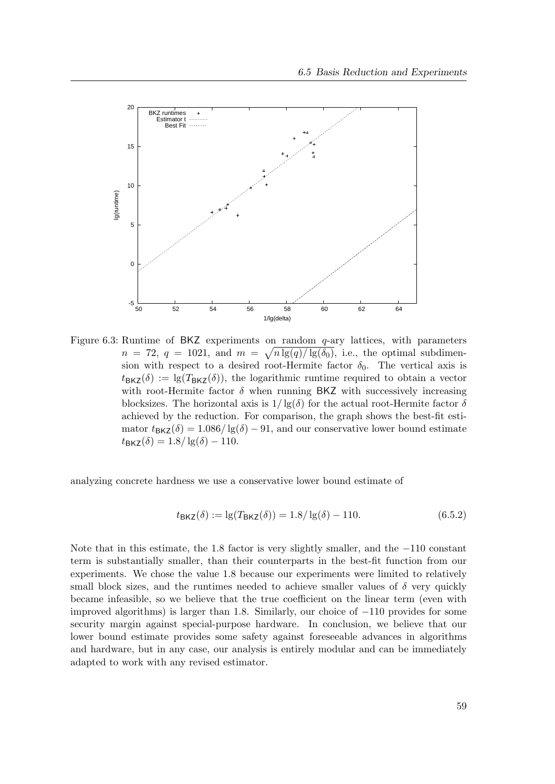

Figure 6.3: Runtime of BKZ experiments on random  $q$ -ary lattices, with parameters  $n = 72, q = 1021, \text{ and } m = \sqrt{n \lg(q)/\lg(\delta_0)}, \text{ i.e., the optimal subdimen$ sion with respect to a desired root-Hermite factor  $\delta_0$ . The vertical axis is  $t_{\text{BKZ}}(\delta) := \lg(T_{\text{BKZ}}(\delta))$ , the logarithmic runtime required to obtain a vector with root-Hermite factor  $\delta$  when running BKZ with successively increasing blocksizes. The horizontal axis is  $1/\lg(\delta)$  for the actual root-Hermite factor  $\delta$ achieved by the reduction. For comparison, the graph shows the best-fit estimator  $t_{\text{BKZ}}(\delta) = 1.086 / \lg(\delta) - 91$ , and our conservative lower bound estimate  $t_{\text{BKZ}}(\delta) = 1.8 / \lg(\delta) - 110.$ 

analyzing concrete hardness we use a conservative lower bound estimate of

<span id="page-72-0"></span>
$$
t_{\text{BKZ}}(\delta) := \lg(T_{\text{BKZ}}(\delta)) = 1.8/\lg(\delta) - 110. \tag{6.5.2}
$$

Note that in this estimate, the 1.8 factor is very slightly smaller, and the −110 constant term is substantially smaller, than their counterparts in the best-fit function from our experiments. We chose the value 1.8 because our experiments were limited to relatively small block sizes, and the runtimes needed to achieve smaller values of  $\delta$  very quickly became infeasible, so we believe that the true coefficient on the linear term (even with improved algorithms) is larger than 1.8. Similarly, our choice of −110 provides for some security margin against special-purpose hardware. In conclusion, we believe that our lower bound estimate provides some safety against foreseeable advances in algorithms and hardware, but in any case, our analysis is entirely modular and can be immediately adapted to work with any revised estimator.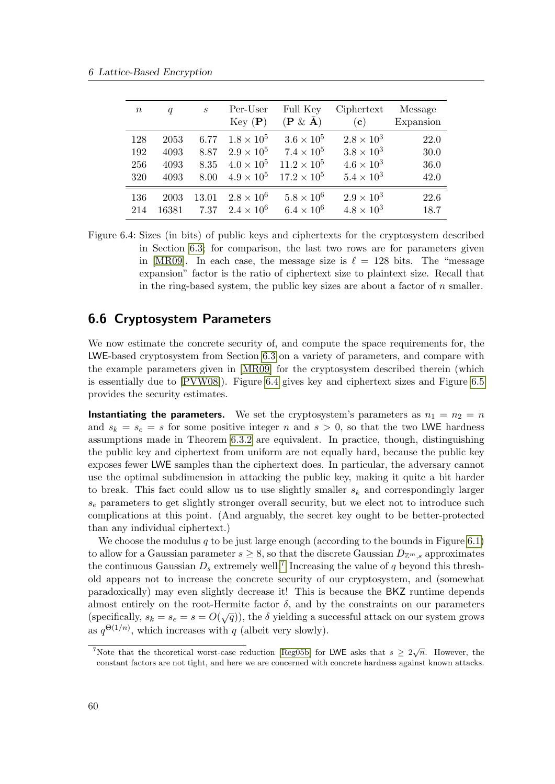<span id="page-73-2"></span>

| $\, n$ | $\boldsymbol{q}$ | $\mathcal{S}_{0}$ | Per-User<br>Key(P)  | Full Key<br>$(\mathbf{P} \& \bar{\mathbf{A}})$ | Ciphertext<br>(c)   | Message<br>Expansion |
|--------|------------------|-------------------|---------------------|------------------------------------------------|---------------------|----------------------|
| 128    | 2053             | 6.77              | $1.8 \times 10^5$   | $3.6 \times 10^5$                              | $2.8 \times 10^3$   | 22.0                 |
| 192    | 4093             | 8.87              | $2.9 \times 10^{5}$ | $7.4 \times 10^{5}$                            | $3.8 \times 10^3$   | 30.0                 |
| 256    | 4093             | 8.35              | $4.0 \times 10^{5}$ | $11.2 \times 10^{5}$                           | $4.6 \times 10^3$   | 36.0                 |
| 320    | 4093             | 8.00              | $4.9 \times 10^{5}$ | $17.2 \times 10^5$                             | $5.4 \times 10^3$   | 42.0                 |
| 136    | 2003             | 13.01             | $2.8 \times 10^6$   | $5.8 \times 10^6$                              | $2.9 \times 10^{3}$ | 22.6                 |
| 214    | 16381            | 7.37              | $2.4 \times 10^{6}$ | $6.4 \times 10^6$                              | $4.8 \times 10^3$   | 18.7                 |

<span id="page-73-0"></span>Figure 6.4: Sizes (in bits) of public keys and ciphertexts for the cryptosystem described in Section [6.3;](#page-62-0) for comparison, the last two rows are for parameters given in [\[MR09\]](#page-82-0). In each case, the message size is  $\ell = 128$  bits. The "message expansion" factor is the ratio of ciphertext size to plaintext size. Recall that in the ring-based system, the public key sizes are about a factor of  $n$  smaller.

## 6.6 Cryptosystem Parameters

We now estimate the concrete security of, and compute the space requirements for, the LWE-based cryptosystem from Section [6.3](#page-62-0) on a variety of parameters, and compare with the example parameters given in [\[MR09\]](#page-82-0) for the cryptosystem described therein (which is essentially due to [\[PVW08\]](#page-83-0)). Figure [6.4](#page-73-0) gives key and ciphertext sizes and Figure [6.5](#page-74-0) provides the security estimates.

**Instantiating the parameters.** We set the cryptosystem's parameters as  $n_1 = n_2 = n$ and  $s_k = s_e = s$  for some positive integer n and  $s > 0$ , so that the two LWE hardness assumptions made in Theorem [6.3.2](#page-65-0) are equivalent. In practice, though, distinguishing the public key and ciphertext from uniform are not equally hard, because the public key exposes fewer LWE samples than the ciphertext does. In particular, the adversary cannot use the optimal subdimension in attacking the public key, making it quite a bit harder to break. This fact could allow us to use slightly smaller  $s_k$  and correspondingly larger  $s_e$  parameters to get slightly stronger overall security, but we elect not to introduce such complications at this point. (And arguably, the secret key ought to be better-protected than any individual ciphertext.)

We choose the modulus q to be just large enough (according to the bounds in Figure [6.1\)](#page-65-1) to allow for a Gaussian parameter  $s \geq 8$ , so that the discrete Gaussian  $D_{\mathbb{Z}^m,s}$  approximates the continuous Gaussian  $D_s$  extremely well.<sup>[7](#page-73-1)</sup> Increasing the value of q beyond this threshold appears not to increase the concrete security of our cryptosystem, and (somewhat paradoxically) may even slightly decrease it! This is because the BKZ runtime depends almost entirely on the root-Hermite factor  $\delta$ , and by the constraints on our parameters (specifically,  $s_k = s_e = s = O(\sqrt{q})$ ), the  $\delta$  yielding a successful attack on our system grows as  $q^{\Theta(1/n)}$ , which increases with q (albeit very slowly).

<span id="page-73-1"></span><sup>&</sup>lt;sup>7</sup>Note that the theoretical worst-case reduction [\[Reg05b\]](#page-83-1) for LWE asks that  $s \geq 2\sqrt{n}$ . However, the constant factors are not tight, and here we are concerned with concrete hardness against known attacks.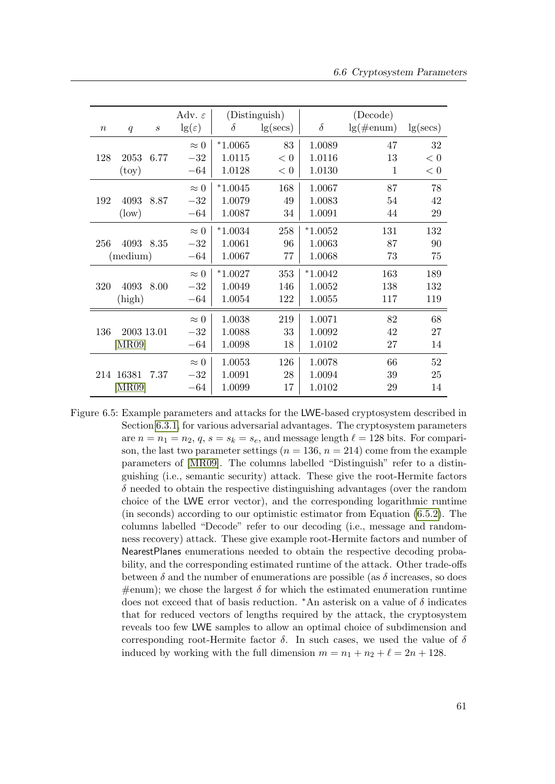<span id="page-74-1"></span>

|                  |                   |                  | Adv. $\varepsilon$ |           | (Distinguish) |           | (Decode)     |          |
|------------------|-------------------|------------------|--------------------|-----------|---------------|-----------|--------------|----------|
| $\boldsymbol{n}$ | q                 | $\boldsymbol{S}$ | $\lg(\varepsilon)$ | $\delta$  | lg(secs)      | $\delta$  | $lg(\#enum)$ | lg(secs) |
|                  |                   |                  | $\approx 0$        | $*1.0065$ | 83            | 1.0089    | 47           | 32       |
| 128              | 2053              | 6.77             | $-32$              | 1.0115    | < 0           | 1.0116    | 13           | < 0      |
|                  | $({\rm toy})$     |                  | $-64$              | 1.0128    | < 0           | 1.0130    | 1            | < 0      |
|                  |                   |                  | $\approx 0$        | $*1.0045$ | 168           | 1.0067    | 87           | 78       |
| 192              | 4093              | 8.87             | $-32$              | 1.0079    | 49            | 1.0083    | 54           | 42       |
|                  | $(\text{low})$    |                  | $-64$              | 1.0087    | 34            | 1.0091    | 44           | 29       |
|                  |                   |                  | $\approx 0$        | $*1.0034$ | 258           | $*1.0052$ | 131          | 132      |
| 256              | 4093              | 8.35             | $-32$              | 1.0061    | 96            | 1.0063    | 87           | 90       |
|                  | (medium)          |                  | $-64$              | 1.0067    | 77            | 1.0068    | 73           | 75       |
|                  |                   |                  | $\approx 0$        | $*1.0027$ | 353           | $*1.0042$ | 163          | 189      |
| 320              | 4093              | 8.00             | $-32$              | 1.0049    | 146           | 1.0052    | 138          | 132      |
|                  | (high)            |                  | $-64$              | 1.0054    | 122           | 1.0055    | 117          | 119      |
|                  |                   |                  | $\approx 0$        | 1.0038    | 219           | 1.0071    | 82           | 68       |
| 136              | 2003 13.01        |                  | $-32$              | 1.0088    | 33            | 1.0092    | 42           | 27       |
|                  | [MR09]            |                  | $-64$              | 1.0098    | 18            | 1.0102    | 27           | 14       |
|                  |                   |                  | $\approx 0$        | 1.0053    | 126           | 1.0078    | 66           | 52       |
|                  | 214 16381         | 7.37             | $-32$              | 1.0091    | 28            | 1.0094    | 39           | 25       |
|                  | $[\mathrm{MR}09]$ |                  | $-64$              | 1.0099    | 17            | 1.0102    | 29           | 14       |

<span id="page-74-0"></span>Figure 6.5: Example parameters and attacks for the LWE-based cryptosystem described in Section [6.3.1,](#page-62-1) for various adversarial advantages. The cryptosystem parameters are  $n = n_1 = n_2, q, s = s_k = s_e$ , and message length  $\ell = 128$  bits. For comparison, the last two parameter settings  $(n = 136, n = 214)$  come from the example parameters of [\[MR09\]](#page-82-0). The columns labelled "Distinguish" refer to a distinguishing (i.e., semantic security) attack. These give the root-Hermite factors  $\delta$  needed to obtain the respective distinguishing advantages (over the random choice of the LWE error vector), and the corresponding logarithmic runtime (in seconds) according to our optimistic estimator from Equation [\(6.5.2\)](#page-72-0). The columns labelled "Decode" refer to our decoding (i.e., message and randomness recovery) attack. These give example root-Hermite factors and number of NearestPlanes enumerations needed to obtain the respective decoding probability, and the corresponding estimated runtime of the attack. Other trade-offs between  $\delta$  and the number of enumerations are possible (as  $\delta$  increases, so does  $\#$ enum); we chose the largest  $\delta$  for which the estimated enumeration runtime does not exceed that of basis reduction. \*An asterisk on a value of  $\delta$  indicates that for reduced vectors of lengths required by the attack, the cryptosystem reveals too few LWE samples to allow an optimal choice of subdimension and corresponding root-Hermite factor  $\delta$ . In such cases, we used the value of  $\delta$ induced by working with the full dimension  $m = n_1 + n_2 + \ell = 2n + 128$ .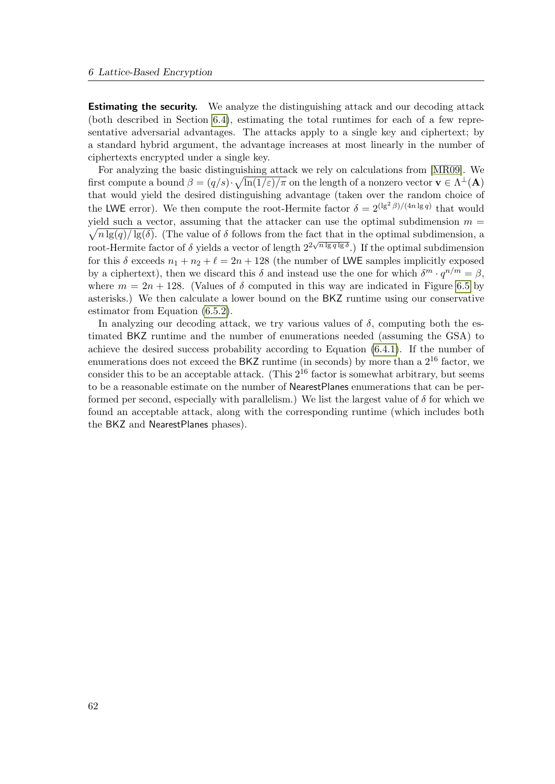<span id="page-75-0"></span>Estimating the security. We analyze the distinguishing attack and our decoding attack (both described in Section [6.4\)](#page-66-0), estimating the total runtimes for each of a few representative adversarial advantages. The attacks apply to a single key and ciphertext; by a standard hybrid argument, the advantage increases at most linearly in the number of ciphertexts encrypted under a single key.

For analyzing the basic distinguishing attack we rely on calculations from [\[MR09\]](#page-82-0). We first compute a bound  $\beta = (q/s) \cdot \sqrt{\ln(1/\varepsilon)/\pi}$  on the length of a nonzero vector  $\mathbf{v} \in \Lambda^{\perp}(\mathbf{A})$ that would yield the desired distinguishing advantage (taken over the random choice of the LWE error). We then compute the root-Hermite factor  $\delta = 2^{(\lg^2 \beta)/(4n \lg q)}$  that would  $\sqrt{n \lg(q)/\lg(\delta)}$ . (The value of  $\delta$  follows from the fact that in the optimal subdimension, a yield such a vector, assuming that the attacker can use the optimal subdimension  $m =$ root-Hermite factor of  $\delta$  yields a vector of length  $2^{2\sqrt{n}\lg q\lg \delta}$ .) If the optimal subdimension for this  $\delta$  exceeds  $n_1 + n_2 + \ell = 2n + 128$  (the number of LWE samples implicitly exposed by a ciphertext), then we discard this  $\delta$  and instead use the one for which  $\delta^m \cdot q^{n/m} = \beta$ , where  $m = 2n + 128$ . (Values of  $\delta$  computed in this way are indicated in Figure [6.5](#page-74-0) by asterisks.) We then calculate a lower bound on the BKZ runtime using our conservative estimator from Equation [\(6.5.2\)](#page-72-0).

In analyzing our decoding attack, we try various values of  $\delta$ , computing both the estimated BKZ runtime and the number of enumerations needed (assuming the GSA) to achieve the desired success probability according to Equation [\(6.4.1\)](#page-68-0). If the number of enumerations does not exceed the BKZ runtime (in seconds) by more than a  $2^{16}$  factor, we consider this to be an acceptable attack. (This  $2^{16}$  factor is somewhat arbitrary, but seems to be a reasonable estimate on the number of NearestPlanes enumerations that can be performed per second, especially with parallelism.) We list the largest value of  $\delta$  for which we found an acceptable attack, along with the corresponding runtime (which includes both the BKZ and NearestPlanes phases).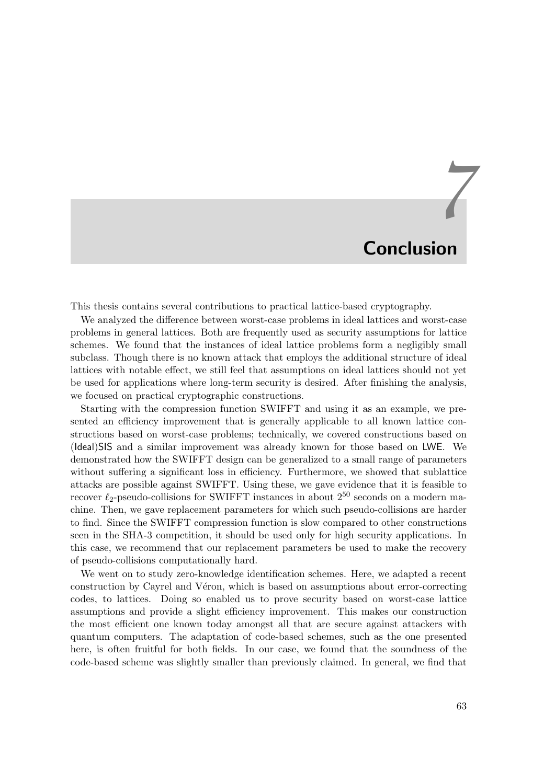## *7* Conclusion

This thesis contains several contributions to practical lattice-based cryptography.

We analyzed the difference between worst-case problems in ideal lattices and worst-case problems in general lattices. Both are frequently used as security assumptions for lattice schemes. We found that the instances of ideal lattice problems form a negligibly small subclass. Though there is no known attack that employs the additional structure of ideal lattices with notable effect, we still feel that assumptions on ideal lattices should not yet be used for applications where long-term security is desired. After finishing the analysis, we focused on practical cryptographic constructions.

Starting with the compression function SWIFFT and using it as an example, we presented an efficiency improvement that is generally applicable to all known lattice constructions based on worst-case problems; technically, we covered constructions based on (Ideal)SIS and a similar improvement was already known for those based on LWE. We demonstrated how the SWIFFT design can be generalized to a small range of parameters without suffering a significant loss in efficiency. Furthermore, we showed that sublattice attacks are possible against SWIFFT. Using these, we gave evidence that it is feasible to recover  $\ell_2$ -pseudo-collisions for SWIFFT instances in about  $2^{50}$  seconds on a modern machine. Then, we gave replacement parameters for which such pseudo-collisions are harder to find. Since the SWIFFT compression function is slow compared to other constructions seen in the SHA-3 competition, it should be used only for high security applications. In this case, we recommend that our replacement parameters be used to make the recovery of pseudo-collisions computationally hard.

We went on to study zero-knowledge identification schemes. Here, we adapted a recent construction by Cayrel and Véron, which is based on assumptions about error-correcting codes, to lattices. Doing so enabled us to prove security based on worst-case lattice assumptions and provide a slight efficiency improvement. This makes our construction the most efficient one known today amongst all that are secure against attackers with quantum computers. The adaptation of code-based schemes, such as the one presented here, is often fruitful for both fields. In our case, we found that the soundness of the code-based scheme was slightly smaller than previously claimed. In general, we find that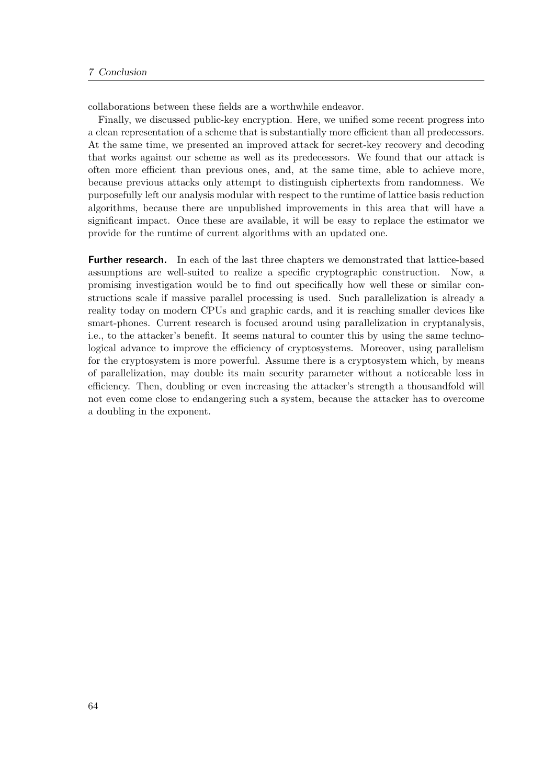collaborations between these fields are a worthwhile endeavor.

Finally, we discussed public-key encryption. Here, we unified some recent progress into a clean representation of a scheme that is substantially more efficient than all predecessors. At the same time, we presented an improved attack for secret-key recovery and decoding that works against our scheme as well as its predecessors. We found that our attack is often more efficient than previous ones, and, at the same time, able to achieve more, because previous attacks only attempt to distinguish ciphertexts from randomness. We purposefully left our analysis modular with respect to the runtime of lattice basis reduction algorithms, because there are unpublished improvements in this area that will have a significant impact. Once these are available, it will be easy to replace the estimator we provide for the runtime of current algorithms with an updated one.

Further research. In each of the last three chapters we demonstrated that lattice-based assumptions are well-suited to realize a specific cryptographic construction. Now, a promising investigation would be to find out specifically how well these or similar constructions scale if massive parallel processing is used. Such parallelization is already a reality today on modern CPUs and graphic cards, and it is reaching smaller devices like smart-phones. Current research is focused around using parallelization in cryptanalysis, i.e., to the attacker's benefit. It seems natural to counter this by using the same technological advance to improve the efficiency of cryptosystems. Moreover, using parallelism for the cryptosystem is more powerful. Assume there is a cryptosystem which, by means of parallelization, may double its main security parameter without a noticeable loss in efficiency. Then, doubling or even increasing the attacker's strength a thousandfold will not even come close to endangering such a system, because the attacker has to overcome a doubling in the exponent.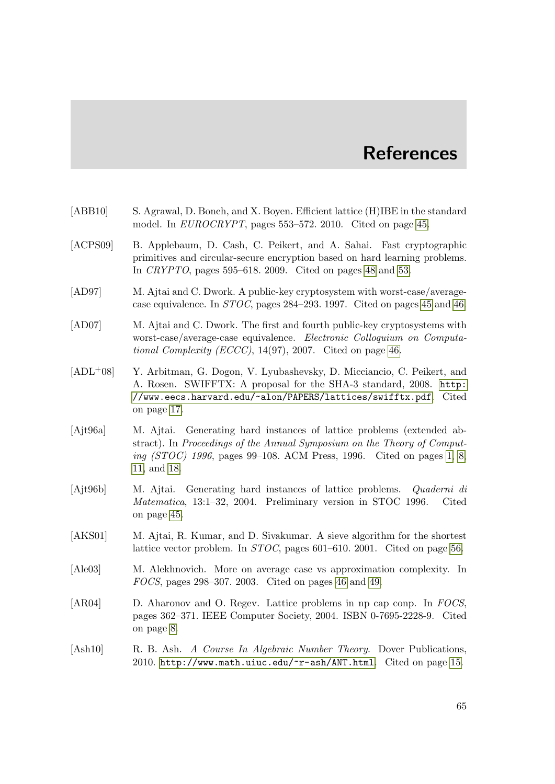## **References**

- [ABB10] S. Agrawal, D. Boneh, and X. Boyen. Efficient lattice (H)IBE in the standard model. In EUROCRYPT, pages 553–572. 2010. Cited on page [45.](#page-58-0)
- [ACPS09] B. Applebaum, D. Cash, C. Peikert, and A. Sahai. Fast cryptographic primitives and circular-secure encryption based on hard learning problems. In CRYPTO, pages 595–618. 2009. Cited on pages [48](#page-61-0) and [53.](#page-66-1)
- [AD97] M. Ajtai and C. Dwork. A public-key cryptosystem with worst-case/averagecase equivalence. In STOC, pages 284–293. 1997. Cited on pages [45](#page-58-0) and [46.](#page-59-0)
- [AD07] M. Ajtai and C. Dwork. The first and fourth public-key cryptosystems with worst-case/average-case equivalence. Electronic Colloquium on Computational Complexity (ECCC),  $14(97)$ , 2007. Cited on page [46.](#page-59-0)
- [ADL+08] Y. Arbitman, G. Dogon, V. Lyubashevsky, D. Micciancio, C. Peikert, and A. Rosen. SWIFFTX: A proposal for the SHA-3 standard, 2008. [http:](http://www.eecs.harvard.edu/~alon/PAPERS/lattices/swifftx.pdf) [//www.eecs.harvard.edu/~alon/PAPERS/lattices/swifftx.pdf](http://www.eecs.harvard.edu/~alon/PAPERS/lattices/swifftx.pdf). Cited on page [17.](#page-30-0)
- [Ajt96a] M. Ajtai. Generating hard instances of lattice problems (extended abstract). In Proceedings of the Annual Symposium on the Theory of Computing  $(TOC)$  1996, pages 99–108. ACM Press, 1996. Cited on pages [1,](#page-14-0) [8,](#page-21-0) [11,](#page-24-0) and [18.](#page-31-0)
- [Ajt96b] M. Ajtai. Generating hard instances of lattice problems. Quaderni di Matematica, 13:1–32, 2004. Preliminary version in STOC 1996. Cited on page [45.](#page-58-0)
- [AKS01] M. Ajtai, R. Kumar, and D. Sivakumar. A sieve algorithm for the shortest lattice vector problem. In STOC, pages 601–610. 2001. Cited on page [56.](#page-69-0)
- [Ale03] M. Alekhnovich. More on average case vs approximation complexity. In FOCS, pages 298–307. 2003. Cited on pages [46](#page-59-0) and [49.](#page-62-2)
- [AR04] D. Aharonov and O. Regev. Lattice problems in np cap conp. In FOCS, pages 362–371. IEEE Computer Society, 2004. ISBN 0-7695-2228-9. Cited on page [8.](#page-21-0)
- [Ash10] R. B. Ash. A Course In Algebraic Number Theory. Dover Publications, 2010. <http://www.math.uiuc.edu/~r-ash/ANT.html>. Cited on page [15.](#page-28-0)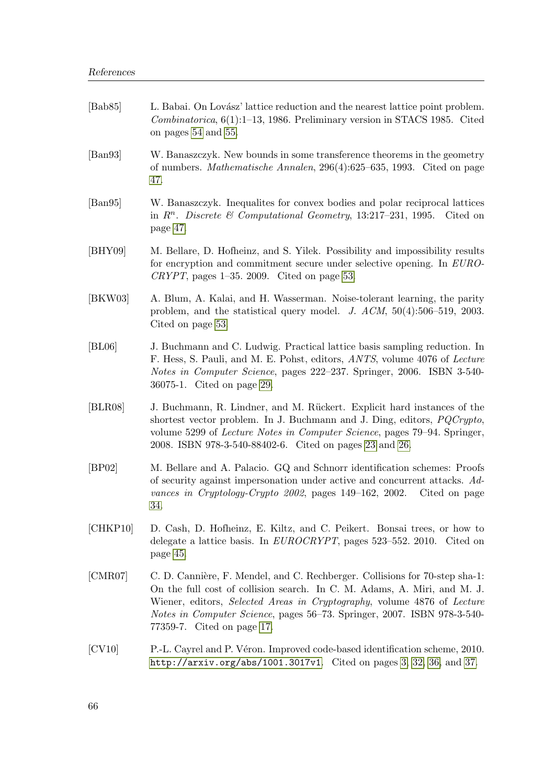| [Bab $85$ ]                 | L. Babai. On Lovász' lattice reduction and the nearest lattice point problem.<br><i>Combinatorica</i> , $6(1):1-13$ , 1986. Preliminary version in STACS 1985. Cited<br>on pages 54 and 55.                                                                                                                                                         |
|-----------------------------|-----------------------------------------------------------------------------------------------------------------------------------------------------------------------------------------------------------------------------------------------------------------------------------------------------------------------------------------------------|
| $\left[\text{Ban}93\right]$ | W. Banaszczyk. New bounds in some transference theorems in the geometry<br>of numbers. <i>Mathematische Annalen</i> , 296(4):625–635, 1993. Cited on page<br>47.                                                                                                                                                                                    |
| $\left[\text{Ban}95\right]$ | W. Banaszczyk. Inequalities for convex bodies and polar reciprocal lattices<br>in $R^n$ . Discrete & Computational Geometry, 13:217-231, 1995. Cited on<br>page 47.                                                                                                                                                                                 |
| [BHY09]                     | M. Bellare, D. Hofheinz, and S. Yilek. Possibility and impossibility results<br>for encryption and commitment secure under selective opening. In EURO-<br>CRYPT, pages $1-35$ . 2009. Cited on page 53.                                                                                                                                             |
| [BKW03]                     | A. Blum, A. Kalai, and H. Wasserman. Noise-tolerant learning, the parity<br>problem, and the statistical query model. J. $ACM$ , $50(4):506-519$ , 2003.<br>Cited on page 53.                                                                                                                                                                       |
| [BL06]                      | J. Buchmann and C. Ludwig. Practical lattice basis sampling reduction. In<br>F. Hess, S. Pauli, and M. E. Pohst, editors, <i>ANTS</i> , volume 4076 of <i>Lecture</i><br><i>Notes in Computer Science</i> , pages 222–237. Springer, 2006. ISBN 3-540-<br>36075-1. Cited on page 29.                                                                |
| BLR08                       | J. Buchmann, R. Lindner, and M. Rückert. Explicit hard instances of the<br>shortest vector problem. In J. Buchmann and J. Ding, editors, <i>PQCrypto</i> ,<br>volume 5299 of <i>Lecture Notes in Computer Science</i> , pages 79–94. Springer,<br>2008. ISBN 978-3-540-88402-6. Cited on pages 23 and 26.                                           |
| [BP02]                      | M. Bellare and A. Palacio. GQ and Schnorr identification schemes: Proofs<br>of security against impersonation under active and concurrent attacks. Ad-<br>vances in Cryptology-Crypto 2002, pages 149–162, 2002. Cited on page<br>34.                                                                                                               |
| [CHKP10]                    | D. Cash, D. Hofheinz, E. Kiltz, and C. Peikert. Bonsai trees, or how to<br>delegate a lattice basis. In $EUROCRYPT$ , pages 523-552. 2010. Cited on<br>page 45.                                                                                                                                                                                     |
| [CMR07]                     | C. D. Cannière, F. Mendel, and C. Rechberger. Collisions for 70-step sha-1:<br>On the full cost of collision search. In C. M. Adams, A. Miri, and M. J.<br>Wiener, editors, Selected Areas in Cryptography, volume 4876 of Lecture<br><i>Notes in Computer Science</i> , pages 56–73. Springer, 2007. ISBN 978-3-540-<br>77359-7. Cited on page 17. |
| [CV10]                      | P.-L. Cayrel and P. Véron. Improved code-based identification scheme, 2010.<br>http://arxiv.org/abs/1001.3017v1. Cited on pages 3, 32, 36, and 37.                                                                                                                                                                                                  |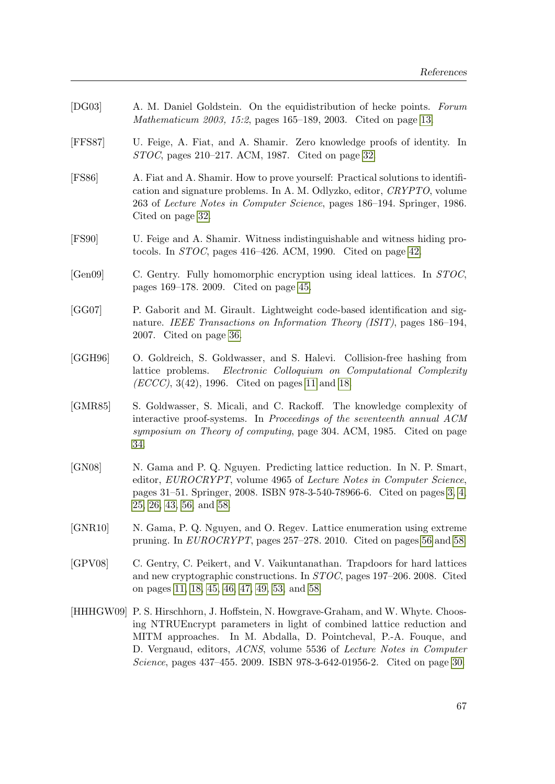- [DG03] A. M. Daniel Goldstein. On the equidistribution of hecke points. Forum Mathematicum 2003, 15:2, pages 165–189, 2003. Cited on page [13.](#page-26-0)
- [FFS87] U. Feige, A. Fiat, and A. Shamir. Zero knowledge proofs of identity. In STOC, pages 210–217. ACM, 1987. Cited on page [32.](#page-45-0)
- [FS86] A. Fiat and A. Shamir. How to prove yourself: Practical solutions to identification and signature problems. In A. M. Odlyzko, editor, CRYPTO, volume 263 of Lecture Notes in Computer Science, pages 186–194. Springer, 1986. Cited on page [32.](#page-45-0)
- [FS90] U. Feige and A. Shamir. Witness indistinguishable and witness hiding protocols. In STOC, pages 416–426. ACM, 1990. Cited on page [42.](#page-55-0)
- [Gen09] C. Gentry. Fully homomorphic encryption using ideal lattices. In STOC, pages 169–178. 2009. Cited on page [45.](#page-58-0)
- [GG07] P. Gaborit and M. Girault. Lightweight code-based identification and signature. IEEE Transactions on Information Theory (ISIT), pages 186–194, 2007. Cited on page [36.](#page-49-0)
- [GGH96] O. Goldreich, S. Goldwasser, and S. Halevi. Collision-free hashing from lattice problems. Electronic Colloquium on Computational Complexity (*ECCC*), 3(42), 1996. Cited on pages [11](#page-24-0) and [18.](#page-31-0)
- [GMR85] S. Goldwasser, S. Micali, and C. Rackoff. The knowledge complexity of interactive proof-systems. In Proceedings of the seventeenth annual ACM symposium on Theory of computing, page 304. ACM, 1985. Cited on page [34.](#page-47-0)
- [GN08] N. Gama and P. Q. Nguyen. Predicting lattice reduction. In N. P. Smart, editor, EUROCRYPT, volume 4965 of Lecture Notes in Computer Science, pages 31–51. Springer, 2008. ISBN 978-3-540-78966-6. Cited on pages [3,](#page-16-0) [4,](#page-17-0) [25,](#page-38-0) [26,](#page-39-0) [43,](#page-56-0) [56,](#page-69-0) and [58.](#page-71-0)
- [GNR10] N. Gama, P. Q. Nguyen, and O. Regev. Lattice enumeration using extreme pruning. In EUROCRYPT, pages 257–278. 2010. Cited on pages [56](#page-69-0) and [58.](#page-71-0)
- [GPV08] C. Gentry, C. Peikert, and V. Vaikuntanathan. Trapdoors for hard lattices and new cryptographic constructions. In STOC, pages 197–206. 2008. Cited on pages [11,](#page-24-0) [18,](#page-31-0) [45,](#page-58-0) [46,](#page-59-0) [47,](#page-60-0) [49,](#page-62-2) [53,](#page-66-1) and [58.](#page-71-0)
- [HHHGW09] P. S. Hirschhorn, J. Hoffstein, N. Howgrave-Graham, and W. Whyte. Choosing NTRUEncrypt parameters in light of combined lattice reduction and MITM approaches. In M. Abdalla, D. Pointcheval, P.-A. Fouque, and D. Vergnaud, editors, ACNS, volume 5536 of Lecture Notes in Computer Science, pages 437–455. 2009. ISBN 978-3-642-01956-2. Cited on page [30.](#page-43-0)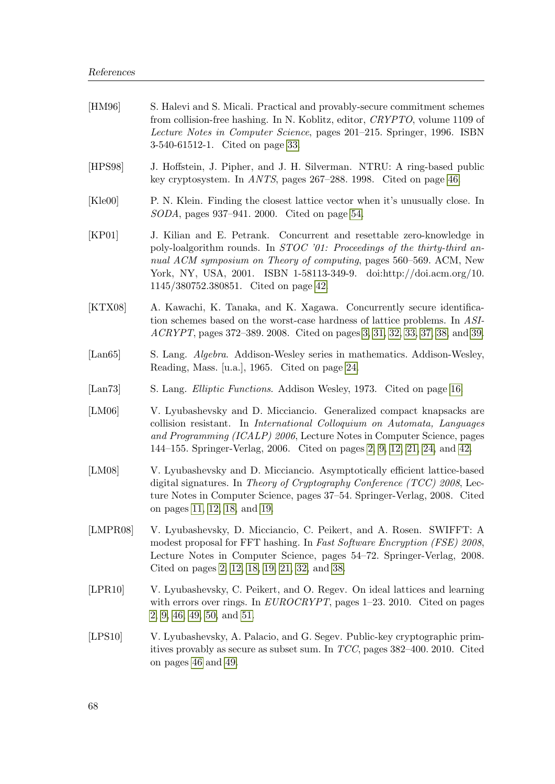| [HM96]                   | S. Halevi and S. Micali. Practical and provably-secure commitment schemes<br>from collision-free hashing. In N. Koblitz, editor, CRYPTO, volume 1109 of<br>Lecture Notes in Computer Science, pages 201-215. Springer, 1996. ISBN<br>3-540-61512-1. Cited on page 33.                                                                           |
|--------------------------|-------------------------------------------------------------------------------------------------------------------------------------------------------------------------------------------------------------------------------------------------------------------------------------------------------------------------------------------------|
| [HPS98]                  | J. Hoffstein, J. Pipher, and J. H. Silverman. NTRU: A ring-based public<br>key cryptosystem. In <i>ANTS</i> , pages 267–288. 1998. Cited on page 46.                                                                                                                                                                                            |
| [Kle00]                  | P. N. Klein. Finding the closest lattice vector when it's unusually close. In<br>$SODA$ , pages 937–941. 2000. Cited on page 54.                                                                                                                                                                                                                |
| [KP01]                   | J. Kilian and E. Petrank. Concurrent and resettable zero-knowledge in<br>poly-loalgorithm rounds. In <i>STOC</i> '01: Proceedings of the thirty-third an-<br>nual ACM symposium on Theory of computing, pages 560–569. ACM, New<br>York, NY, USA, 2001. ISBN 1-58113-349-9. doi:http://doi.acm.org/10.<br>1145/380752.380851. Cited on page 42. |
| $\left[$ KTX08 $\right]$ | A. Kawachi, K. Tanaka, and K. Xagawa. Concurrently secure identifica-<br>tion schemes based on the worst-case hardness of lattice problems. In ASI-<br>ACRYPT, pages 372–389. 2008. Cited on pages 3, 31, 32, 33, 37, 38, and 39.                                                                                                               |
| $\vert$ Lan $65\rvert$   | S. Lang. Algebra. Addison-Wesley series in mathematics. Addison-Wesley,<br>Reading, Mass. [u.a.], 1965. Cited on page 24.                                                                                                                                                                                                                       |
| $\left[$ Lan $73\right]$ | S. Lang. <i>Elliptic Functions</i> . Addison Wesley, 1973. Cited on page 16.                                                                                                                                                                                                                                                                    |
| [LM06]                   | V. Lyubashevsky and D. Micciancio. Generalized compact knapsacks are<br>collision resistant. In <i>International Colloquium on Automata</i> , <i>Languages</i><br>and Programming (ICALP) 2006, Lecture Notes in Computer Science, pages<br>144–155. Springer-Verlag, 2006. Cited on pages 2, 9, 12, 21, 24, and 42.                            |
| [LM08]                   | V. Lyubashevsky and D. Micciancio. Asymptotically efficient lattice-based<br>digital signatures. In Theory of Cryptography Conference $(TCC)$ 2008, Lec-<br>ture Notes in Computer Science, pages 37–54. Springer-Verlag, 2008. Cited<br>on pages 11, 12, 18, and 19.                                                                           |
| [LMPR08]                 | V. Lyubashevsky, D. Micciancio, C. Peikert, and A. Rosen. SWIFFT: A<br>modest proposal for FFT hashing. In Fast Software Encryption (FSE) 2008,<br>Lecture Notes in Computer Science, pages 54–72. Springer-Verlag, 2008.<br>Cited on pages 2, 12, 18, 19, 21, 32, and 38.                                                                      |
| [LPR10]                  | V. Lyubashevsky, C. Peikert, and O. Regev. On ideal lattices and learning<br>with errors over rings. In $EUROCRYPT$ , pages 1-23. 2010. Cited on pages<br>$2, 9, 46, 49, 50, \text{ and } 51.$                                                                                                                                                  |
| [LPS10]                  | V. Lyubashevsky, A. Palacio, and G. Segev. Public-key cryptographic prim-<br>itives provably as secure as subset sum. In $TCC$ , pages 382–400. 2010. Cited<br>on pages 46 and 49.                                                                                                                                                              |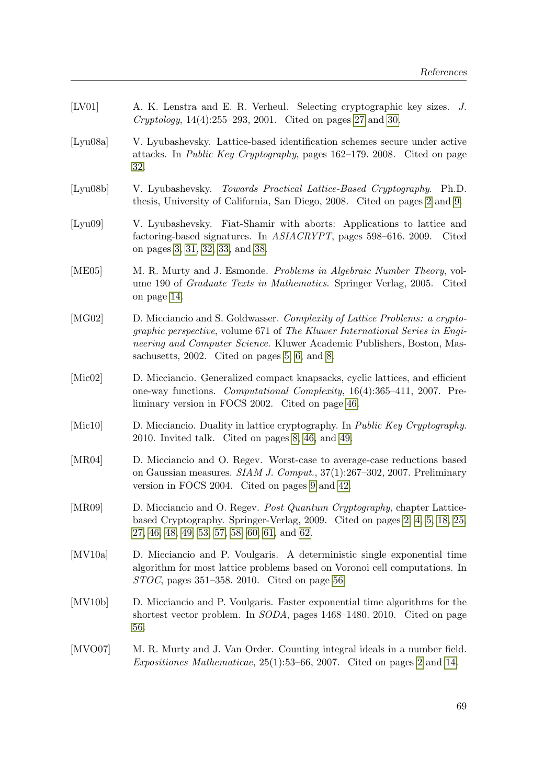<span id="page-82-0"></span>

| [LV01]                        | A. K. Lenstra and E. R. Verheul. Selecting cryptographic key sizes. J.<br><i>Cryptology</i> , $14(4):255-293$ , 2001. Cited on pages 27 and 30.                                                                                                                                                |
|-------------------------------|------------------------------------------------------------------------------------------------------------------------------------------------------------------------------------------------------------------------------------------------------------------------------------------------|
| [Lyu08a]                      | V. Lyubashevsky. Lattice-based identification schemes secure under active<br>attacks. In <i>Public Key Cryptography</i> , pages 162–179. 2008. Cited on page<br>32.                                                                                                                            |
| [Lyu08b]                      | V. Lyubashevsky. Towards Practical Lattice-Based Cryptography. Ph.D.<br>thesis, University of California, San Diego, 2008. Cited on pages 2 and 9.                                                                                                                                             |
| [Lyu09]                       | V. Lyubashevsky. Fiat-Shamir with aborts: Applications to lattice and<br>factoring-based signatures. In ASIACRYPT, pages 598-616. 2009. Cited<br>on pages 3, 31, 32, 33, and 38.                                                                                                               |
| [ME05]                        | M. R. Murty and J. Esmonde. Problems in Algebraic Number Theory, vol-<br>ume 190 of <i>Graduate Texts in Mathematics</i> . Springer Verlag, 2005. Cited<br>on page 14.                                                                                                                         |
| [MG02]                        | D. Micciancio and S. Goldwasser. Complexity of Lattice Problems: a crypto-<br><i>graphic perspective, volume 671 of The Kluwer International Series in Engi-</i><br>neering and Computer Science. Kluwer Academic Publishers, Boston, Mas-<br>sachusetts, $2002$ . Cited on pages 5, 6, and 8. |
| $[{\rm Mic}02]$               | D. Micciancio. Generalized compact knapsacks, cyclic lattices, and efficient<br>one-way functions. Computational Complexity, 16(4):365-411, 2007. Pre-<br>liminary version in FOCS 2002. Cited on page 46.                                                                                     |
| [Mic10]                       | D. Micciancio. Duality in lattice cryptography. In <i>Public Key Cryptography</i> .<br>2010. Invited talk. Cited on pages $8, 46,$ and $49.$                                                                                                                                                   |
| [MR04]                        | D. Micciancio and O. Regev. Worst-case to average-case reductions based<br>on Gaussian measures. SIAM J. Comput., 37(1):267-302, 2007. Preliminary<br>version in FOCS 2004. Cited on pages 9 and 42.                                                                                           |
| [MR09]                        | D. Micciancio and O. Regev. Post Quantum Cryptography, chapter Lattice-<br>based Cryptography. Springer-Verlag, 2009. Cited on pages 2, 4, 5, 18, 25,<br>$27, 46, 48, 49, 53, 57, 58, 60, 61,$ and 62.                                                                                         |
| $\left[ \text{MV10a} \right]$ | D. Micciancio and P. Voulgaris. A deterministic single exponential time<br>algorithm for most lattice problems based on Voronoi cell computations. In<br>$STOC$ , pages 351–358. 2010. Cited on page 56.                                                                                       |
| [MV10b]                       | D. Micciancio and P. Voulgaris. Faster exponential time algorithms for the<br>shortest vector problem. In <i>SODA</i> , pages 1468–1480. 2010. Cited on page<br>56.                                                                                                                            |
| $\left[$ MVO07 $\right]$      | M. R. Murty and J. Van Order. Counting integral ideals in a number field.<br><i>Expositiones Mathematicae</i> , $25(1):53-66$ , $2007$ . Cited on pages 2 and 14.                                                                                                                              |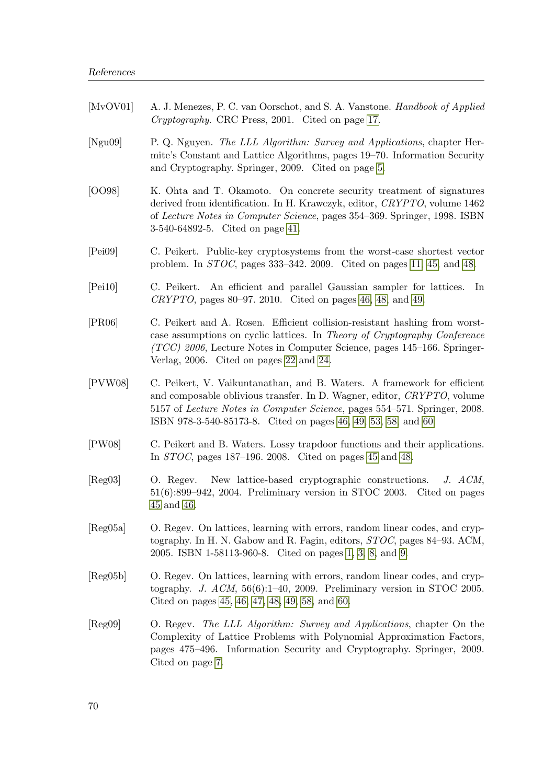<span id="page-83-1"></span><span id="page-83-0"></span>

| [MvOV01] | A. J. Menezes, P. C. van Oorschot, and S. A. Vanstone. Handbook of Applied<br>Cryptography. CRC Press, 2001. Cited on page 17.                                                                                                                                                                            |  |  |  |  |  |
|----------|-----------------------------------------------------------------------------------------------------------------------------------------------------------------------------------------------------------------------------------------------------------------------------------------------------------|--|--|--|--|--|
| [Ngu09]  | P. Q. Nguyen. The LLL Algorithm: Survey and Applications, chapter Her-<br>mite's Constant and Lattice Algorithms, pages 19–70. Information Security<br>and Cryptography. Springer, 2009. Cited on page 5.                                                                                                 |  |  |  |  |  |
| [OO98]   | K. Ohta and T. Okamoto. On concrete security treatment of signatures<br>derived from identification. In H. Krawczyk, editor, CRYPTO, volume 1462<br>of Lecture Notes in Computer Science, pages 354–369. Springer, 1998. ISBN<br>3-540-64892-5. Cited on page 41.                                         |  |  |  |  |  |
| [Pei09]  | C. Peikert. Public-key cryptosystems from the worst-case shortest vector<br>problem. In $STOC$ , pages 333–342. 2009. Cited on pages 11, 45, and 48.                                                                                                                                                      |  |  |  |  |  |
| [Pei10]  | C. Peikert. An efficient and parallel Gaussian sampler for lattices.<br>In<br>$CRYPTO$ , pages 80–97. 2010. Cited on pages 46, 48, and 49.                                                                                                                                                                |  |  |  |  |  |
| [PR06]   | C. Peikert and A. Rosen. Efficient collision-resistant hashing from worst-<br>case assumptions on cyclic lattices. In Theory of Cryptography Conference<br>$(TCC)$ 2006, Lecture Notes in Computer Science, pages 145–166. Springer-<br>Verlag, 2006. Cited on pages 22 and 24.                           |  |  |  |  |  |
| [PVW08]  | C. Peikert, V. Vaikuntanathan, and B. Waters. A framework for efficient<br>and composable oblivious transfer. In D. Wagner, editor, CRYPTO, volume<br>5157 of <i>Lecture Notes in Computer Science</i> , pages 554–571. Springer, 2008.<br>ISBN 978-3-540-85173-8. Cited on pages 46, 49, 53, 58, and 60. |  |  |  |  |  |
| [PW08]   | C. Peikert and B. Waters. Lossy trapdoor functions and their applications.<br>In $STOC$ , pages 187–196. 2008. Cited on pages 45 and 48.                                                                                                                                                                  |  |  |  |  |  |
| [Reg03]  | New lattice-based cryptographic constructions. J. ACM,<br>O. Regev.<br>$51(6)$ :899–942, 2004. Preliminary version in STOC 2003. Cited on pages<br>45 and 46.                                                                                                                                             |  |  |  |  |  |
| [Reg05a] | O. Regev. On lattices, learning with errors, random linear codes, and cryp-<br>tography. In H. N. Gabow and R. Fagin, editors, STOC, pages 84–93. ACM,<br>2005. ISBN 1-58113-960-8. Cited on pages 1, 3, 8, and 9.                                                                                        |  |  |  |  |  |
| [Reg05b] | O. Regev. On lattices, learning with errors, random linear codes, and cryp-<br>tography. J. $ACM$ , 56(6):1-40, 2009. Preliminary version in STOC 2005.<br>Cited on pages 45, 46, 47, 48, 49, 58, and 60.                                                                                                 |  |  |  |  |  |
| [Reg09]  | O. Regev. The LLL Algorithm: Survey and Applications, chapter On the<br>Complexity of Lattice Problems with Polynomial Approximation Factors,<br>pages 475–496. Information Security and Cryptography. Springer, 2009.<br>Cited on page 7.                                                                |  |  |  |  |  |